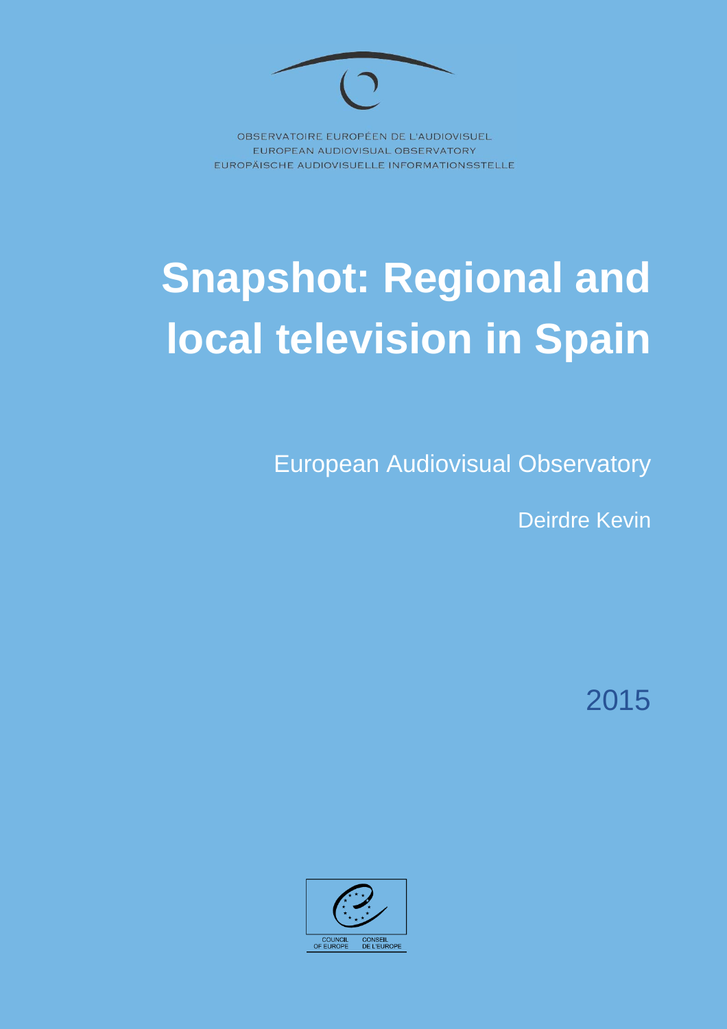

OBSERVATOIRE EUROPÉEN DE L'AUDIOVISUEL EUROPEAN AUDIOVISUAL OBSERVATORY EUROPÄISCHE AUDIOVISUELLE INFORMATIONSSTELLE

# **Snapshot: Regional and local television in Spain**

European Audiovisual Observatory

Deirdre Kevin

2015

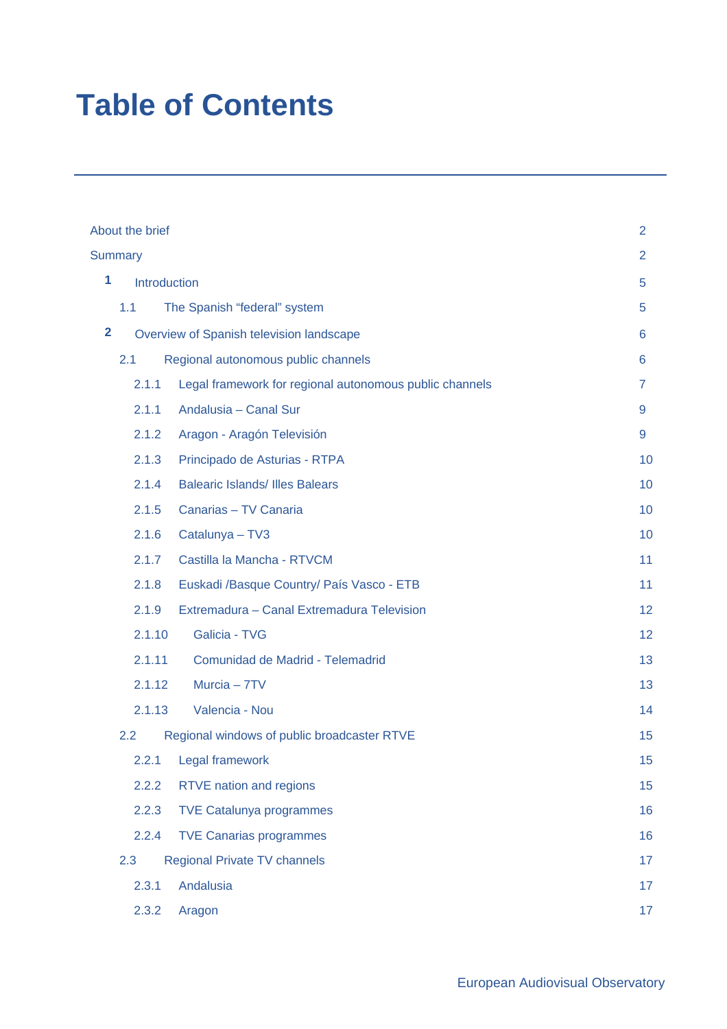# **Table of Contents**

|                | About the brief<br>$\overline{2}$ |                                                         |    |  |  |
|----------------|-----------------------------------|---------------------------------------------------------|----|--|--|
|                | <b>Summary</b>                    |                                                         |    |  |  |
| 1              | Introduction                      | 5                                                       |    |  |  |
|                | 1.1                               | The Spanish "federal" system                            | 5  |  |  |
| $\overline{2}$ |                                   | Overview of Spanish television landscape                | 6  |  |  |
|                | 2.1                               | Regional autonomous public channels                     | 6  |  |  |
|                | 2.1.1                             | Legal framework for regional autonomous public channels | 7  |  |  |
|                | 2.1.1                             | Andalusia - Canal Sur                                   | 9  |  |  |
|                | 2.1.2                             | Aragon - Aragón Televisión                              | 9  |  |  |
|                | 2.1.3                             | Principado de Asturias - RTPA                           | 10 |  |  |
|                | 2.1.4                             | <b>Balearic Islands/ Illes Balears</b>                  | 10 |  |  |
|                | 2.1.5                             | Canarias - TV Canaria                                   | 10 |  |  |
|                | 2.1.6                             | Catalunya - TV3                                         | 10 |  |  |
|                | 2.1.7                             | Castilla la Mancha - RTVCM                              | 11 |  |  |
|                | 2.1.8                             | Euskadi / Basque Country/ País Vasco - ETB              | 11 |  |  |
|                | 2.1.9                             | Extremadura - Canal Extremadura Television              | 12 |  |  |
|                | 2.1.10                            | Galicia - TVG                                           | 12 |  |  |
|                | 2.1.11                            | Comunidad de Madrid - Telemadrid                        | 13 |  |  |
|                | 2.1.12                            | Murcia - 7TV                                            | 13 |  |  |
|                | 2.1.13                            | Valencia - Nou                                          | 14 |  |  |
|                | 2.2                               | Regional windows of public broadcaster RTVE             | 15 |  |  |
|                | 2.2.1                             | Legal framework                                         | 15 |  |  |
|                | 2.2.2                             | <b>RTVE nation and regions</b>                          | 15 |  |  |
|                | 2.2.3                             | <b>TVE Catalunya programmes</b>                         | 16 |  |  |
|                | 2.2.4                             | <b>TVE Canarias programmes</b>                          | 16 |  |  |
|                | 2.3                               | <b>Regional Private TV channels</b>                     | 17 |  |  |
|                | 2.3.1                             | Andalusia                                               | 17 |  |  |
|                | 2.3.2                             | Aragon                                                  | 17 |  |  |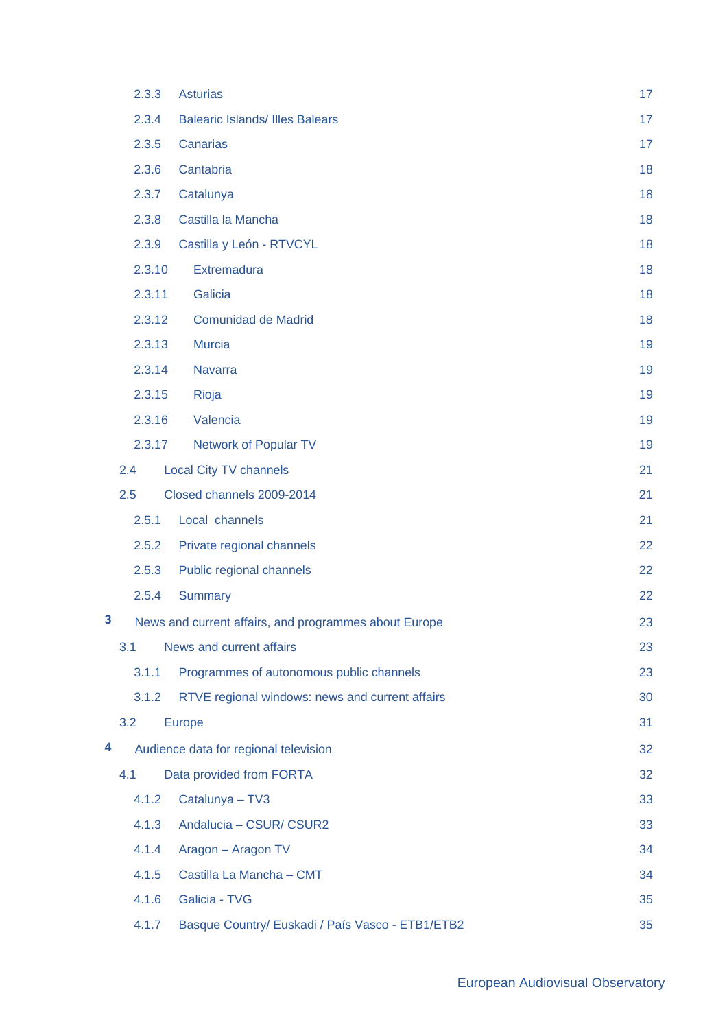|   | 2.3.3  | <b>Asturias</b>                                       | 17 |
|---|--------|-------------------------------------------------------|----|
|   | 2.3.4  | <b>Balearic Islands/ Illes Balears</b>                | 17 |
|   | 2.3.5  | Canarias                                              | 17 |
|   | 2.3.6  | Cantabria                                             | 18 |
|   | 2.3.7  | Catalunya                                             | 18 |
|   | 2.3.8  | Castilla la Mancha                                    | 18 |
|   | 2.3.9  | Castilla y León - RTVCYL                              | 18 |
|   | 2.3.10 | Extremadura                                           | 18 |
|   | 2.3.11 | Galicia                                               | 18 |
|   | 2.3.12 | <b>Comunidad de Madrid</b>                            | 18 |
|   | 2.3.13 | <b>Murcia</b>                                         | 19 |
|   | 2.3.14 | <b>Navarra</b>                                        | 19 |
|   | 2.3.15 | Rioja                                                 | 19 |
|   | 2.3.16 | Valencia                                              | 19 |
|   | 2.3.17 | <b>Network of Popular TV</b>                          | 19 |
|   | 2.4    | <b>Local City TV channels</b>                         | 21 |
|   | 2.5    | Closed channels 2009-2014                             | 21 |
|   | 2.5.1  | Local channels                                        | 21 |
|   | 2.5.2  | Private regional channels                             | 22 |
|   | 2.5.3  | Public regional channels                              | 22 |
|   | 2.5.4  | <b>Summary</b>                                        | 22 |
| 3 |        | News and current affairs, and programmes about Europe | 23 |
|   | 3.1    | News and current affairs                              | 23 |
|   | 3.1.1  | Programmes of autonomous public channels              | 23 |
|   | 3.1.2  | RTVE regional windows: news and current affairs       | 30 |
|   | 3.2    | <b>Europe</b>                                         | 31 |
| 4 |        | Audience data for regional television                 | 32 |
|   | 4.1    | Data provided from FORTA                              | 32 |
|   | 4.1.2  | Catalunya - TV3                                       | 33 |
|   | 4.1.3  | Andalucia - CSUR/ CSUR2                               | 33 |
|   | 4.1.4  | Aragon - Aragon TV                                    | 34 |
|   | 4.1.5  | Castilla La Mancha - CMT                              | 34 |
|   | 4.1.6  | Galicia - TVG                                         | 35 |
|   | 4.1.7  | Basque Country/ Euskadi / País Vasco - ETB1/ETB2      | 35 |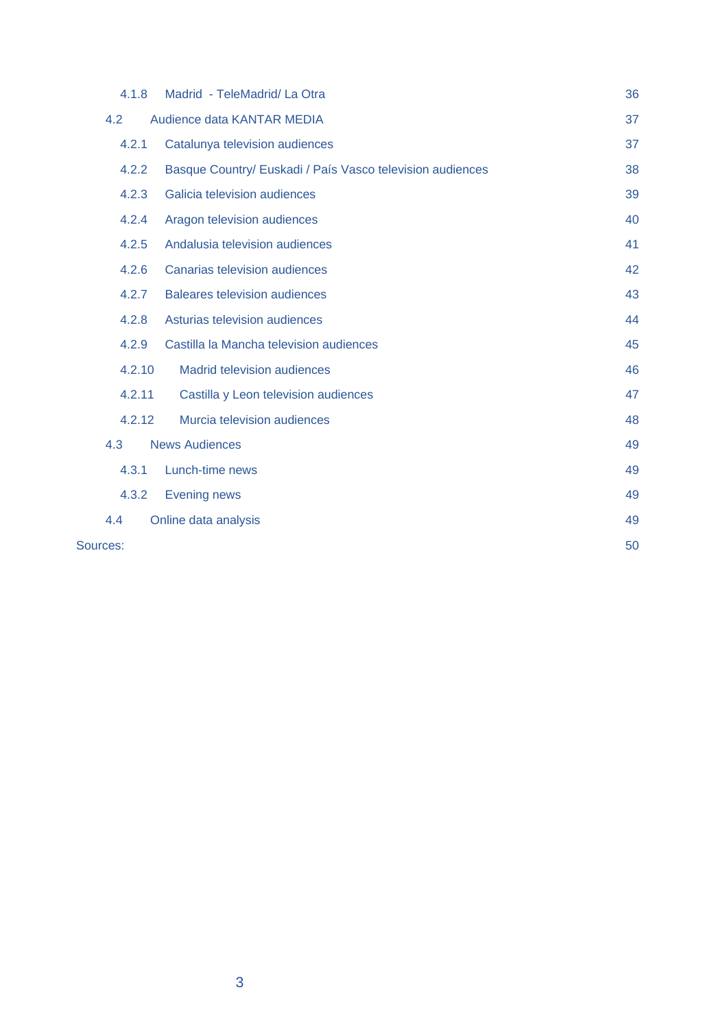| 4.1.8    | Madrid - TeleMadrid/ La Otra                              | 36 |
|----------|-----------------------------------------------------------|----|
| 4.2      | Audience data KANTAR MEDIA                                | 37 |
| 4.2.1    | Catalunya television audiences                            | 37 |
| 4.2.2    | Basque Country/ Euskadi / País Vasco television audiences | 38 |
| 4.2.3    | Galicia television audiences                              | 39 |
| 4.2.4    | Aragon television audiences                               | 40 |
| 4.2.5    | Andalusia television audiences                            | 41 |
| 4.2.6    | <b>Canarias television audiences</b>                      | 42 |
| 4.2.7    | <b>Baleares television audiences</b>                      | 43 |
| 4.2.8    | Asturias television audiences                             | 44 |
| 4.2.9    | Castilla la Mancha television audiences                   | 45 |
| 4.2.10   | <b>Madrid television audiences</b>                        | 46 |
| 4.2.11   | Castilla y Leon television audiences                      | 47 |
| 4.2.12   | Murcia television audiences                               | 48 |
| 4.3      | <b>News Audiences</b>                                     | 49 |
| 4.3.1    | Lunch-time news                                           | 49 |
| 4.3.2    | <b>Evening news</b>                                       | 49 |
| 4.4      | Online data analysis                                      | 49 |
| Sources: |                                                           | 50 |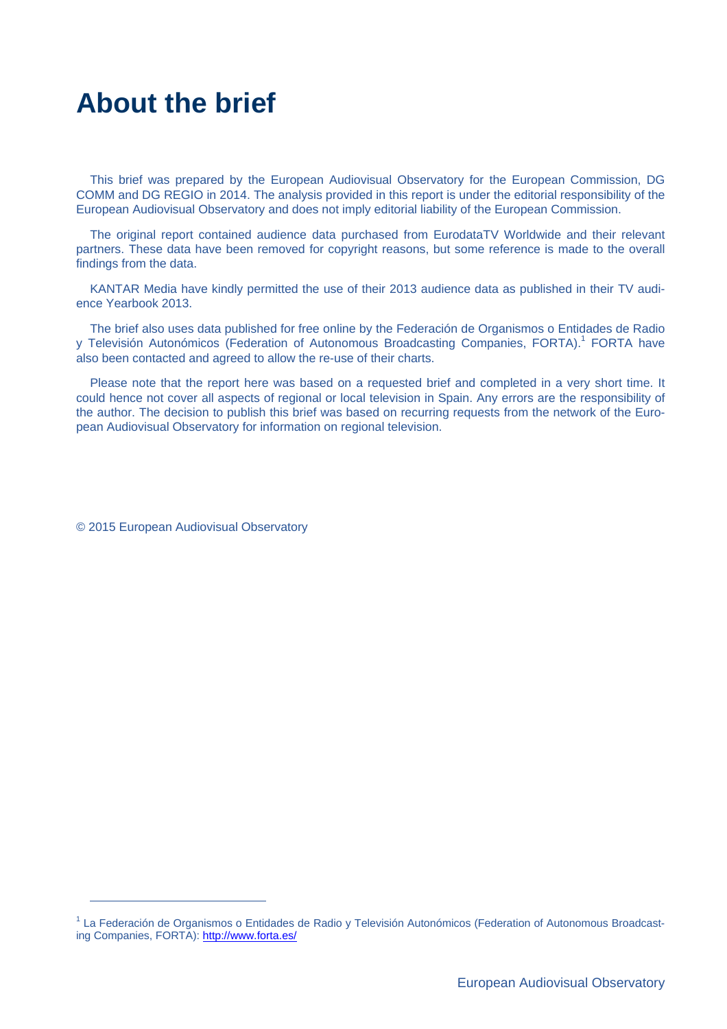# **About the brief**

This brief was prepared by the European Audiovisual Observatory for the European Commission, DG COMM and DG REGIO in 2014. The analysis provided in this report is under the editorial responsibility of the European Audiovisual Observatory and does not imply editorial liability of the European Commission.

The original report contained audience data purchased from EurodataTV Worldwide and their relevant partners. These data have been removed for copyright reasons, but some reference is made to the overall findings from the data.

KANTAR Media have kindly permitted the use of their 2013 audience data as published in their TV audience Yearbook 2013.

The brief also uses data published for free online by the Federación de Organismos o Entidades de Radio y Televisión Autonómicos (Federation of Autonomous Broadcasting Companies, FORTA).<sup>1</sup> FORTA have also been contacted and agreed to allow the re-use of their charts.

Please note that the report here was based on a requested brief and completed in a very short time. It could hence not cover all aspects of regional or local television in Spain. Any errors are the responsibility of the author. The decision to publish this brief was based on recurring requests from the network of the European Audiovisual Observatory for information on regional television.

© 2015 European Audiovisual Observatory

<sup>&</sup>lt;sup>1</sup> La Federación de Organismos o Entidades de Radio y Televisión Autonómicos (Federation of Autonomous Broadcasting Companies, FORTA): http://www.forta.es/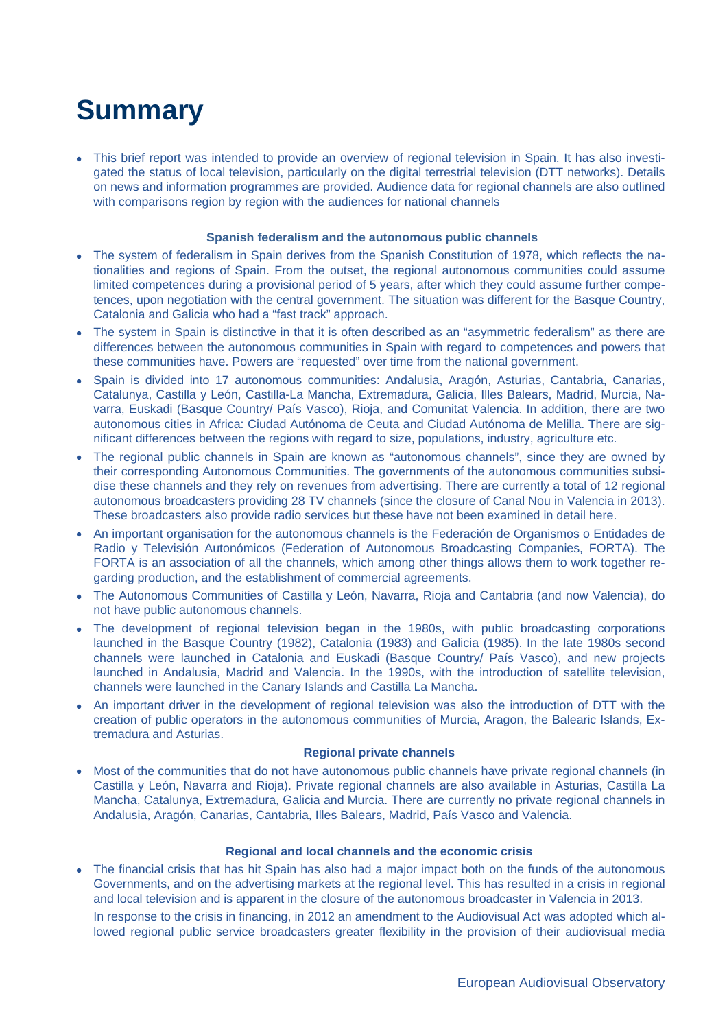# **Summary**

 This brief report was intended to provide an overview of regional television in Spain. It has also investigated the status of local television, particularly on the digital terrestrial television (DTT networks). Details on news and information programmes are provided. Audience data for regional channels are also outlined with comparisons region by region with the audiences for national channels

#### **Spanish federalism and the autonomous public channels**

- The system of federalism in Spain derives from the Spanish Constitution of 1978, which reflects the nationalities and regions of Spain. From the outset, the regional autonomous communities could assume limited competences during a provisional period of 5 years, after which they could assume further competences, upon negotiation with the central government. The situation was different for the Basque Country, Catalonia and Galicia who had a "fast track" approach.
- The system in Spain is distinctive in that it is often described as an "asymmetric federalism" as there are differences between the autonomous communities in Spain with regard to competences and powers that these communities have. Powers are "requested" over time from the national government.
- Spain is divided into 17 autonomous communities: Andalusia, Aragón, Asturias, Cantabria, Canarias, Catalunya, Castilla y León, Castilla-La Mancha, Extremadura, Galicia, Illes Balears, Madrid, Murcia, Navarra, Euskadi (Basque Country/ País Vasco), Rioja, and Comunitat Valencia. In addition, there are two autonomous cities in Africa: Ciudad Autónoma de Ceuta and Ciudad Autónoma de Melilla. There are significant differences between the regions with regard to size, populations, industry, agriculture etc.
- The regional public channels in Spain are known as "autonomous channels", since they are owned by their corresponding Autonomous Communities. The governments of the autonomous communities subsidise these channels and they rely on revenues from advertising. There are currently a total of 12 regional autonomous broadcasters providing 28 TV channels (since the closure of Canal Nou in Valencia in 2013). These broadcasters also provide radio services but these have not been examined in detail here.
- An important organisation for the autonomous channels is the Federación de Organismos o Entidades de Radio y Televisión Autonómicos (Federation of Autonomous Broadcasting Companies, FORTA). The FORTA is an association of all the channels, which among other things allows them to work together regarding production, and the establishment of commercial agreements.
- The Autonomous Communities of Castilla y León, Navarra, Rioja and Cantabria (and now Valencia), do not have public autonomous channels.
- The development of regional television began in the 1980s, with public broadcasting corporations launched in the Basque Country (1982), Catalonia (1983) and Galicia (1985). In the late 1980s second channels were launched in Catalonia and Euskadi (Basque Country/ País Vasco), and new projects launched in Andalusia, Madrid and Valencia. In the 1990s, with the introduction of satellite television, channels were launched in the Canary Islands and Castilla La Mancha.
- An important driver in the development of regional television was also the introduction of DTT with the creation of public operators in the autonomous communities of Murcia, Aragon, the Balearic Islands, Extremadura and Asturias.

#### **Regional private channels**

• Most of the communities that do not have autonomous public channels have private regional channels (in Castilla y León, Navarra and Rioja). Private regional channels are also available in Asturias, Castilla La Mancha, Catalunya, Extremadura, Galicia and Murcia. There are currently no private regional channels in Andalusia, Aragón, Canarias, Cantabria, Illes Balears, Madrid, País Vasco and Valencia.

#### **Regional and local channels and the economic crisis**

 The financial crisis that has hit Spain has also had a major impact both on the funds of the autonomous Governments, and on the advertising markets at the regional level. This has resulted in a crisis in regional and local television and is apparent in the closure of the autonomous broadcaster in Valencia in 2013.

In response to the crisis in financing, in 2012 an amendment to the Audiovisual Act was adopted which allowed regional public service broadcasters greater flexibility in the provision of their audiovisual media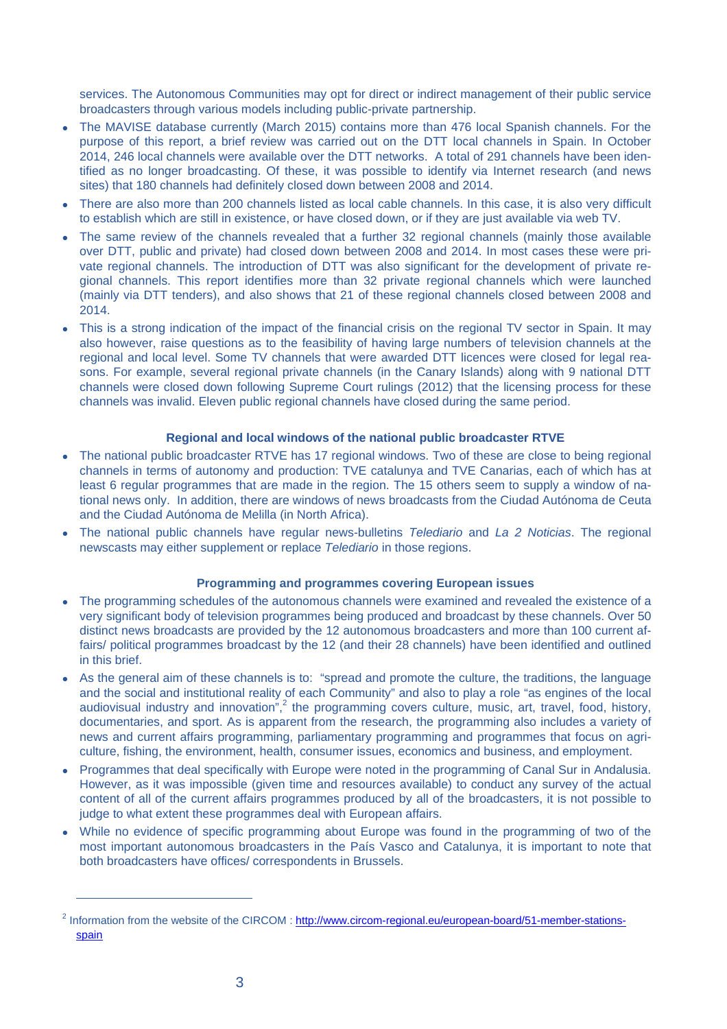services. The Autonomous Communities may opt for direct or indirect management of their public service broadcasters through various models including public-private partnership.

- The MAVISE database currently (March 2015) contains more than 476 local Spanish channels. For the purpose of this report, a brief review was carried out on the DTT local channels in Spain. In October 2014, 246 local channels were available over the DTT networks. A total of 291 channels have been identified as no longer broadcasting. Of these, it was possible to identify via Internet research (and news sites) that 180 channels had definitely closed down between 2008 and 2014.
- There are also more than 200 channels listed as local cable channels. In this case, it is also very difficult to establish which are still in existence, or have closed down, or if they are just available via web TV.
- The same review of the channels revealed that a further 32 regional channels (mainly those available over DTT, public and private) had closed down between 2008 and 2014. In most cases these were private regional channels. The introduction of DTT was also significant for the development of private regional channels. This report identifies more than 32 private regional channels which were launched (mainly via DTT tenders), and also shows that 21 of these regional channels closed between 2008 and 2014.
- This is a strong indication of the impact of the financial crisis on the regional TV sector in Spain. It may also however, raise questions as to the feasibility of having large numbers of television channels at the regional and local level. Some TV channels that were awarded DTT licences were closed for legal reasons. For example, several regional private channels (in the Canary Islands) along with 9 national DTT channels were closed down following Supreme Court rulings (2012) that the licensing process for these channels was invalid. Eleven public regional channels have closed during the same period.

#### **Regional and local windows of the national public broadcaster RTVE**

- The national public broadcaster RTVE has 17 regional windows. Two of these are close to being regional channels in terms of autonomy and production: TVE catalunya and TVE Canarias, each of which has at least 6 regular programmes that are made in the region. The 15 others seem to supply a window of national news only. In addition, there are windows of news broadcasts from the Ciudad Autónoma de Ceuta and the Ciudad Autónoma de Melilla (in North Africa).
- The national public channels have regular news-bulletins *Telediario* and *La 2 Noticias*. The regional newscasts may either supplement or replace *Telediario* in those regions.

#### **Programming and programmes covering European issues**

- The programming schedules of the autonomous channels were examined and revealed the existence of a very significant body of television programmes being produced and broadcast by these channels. Over 50 distinct news broadcasts are provided by the 12 autonomous broadcasters and more than 100 current affairs/ political programmes broadcast by the 12 (and their 28 channels) have been identified and outlined in this brief.
- As the general aim of these channels is to: "spread and promote the culture, the traditions, the language and the social and institutional reality of each Community" and also to play a role "as engines of the local audiovisual industry and innovation",<sup>2</sup> the programming covers culture, music, art, travel, food, history, documentaries, and sport. As is apparent from the research, the programming also includes a variety of news and current affairs programming, parliamentary programming and programmes that focus on agriculture, fishing, the environment, health, consumer issues, economics and business, and employment.
- Programmes that deal specifically with Europe were noted in the programming of Canal Sur in Andalusia. However, as it was impossible (given time and resources available) to conduct any survey of the actual content of all of the current affairs programmes produced by all of the broadcasters, it is not possible to judge to what extent these programmes deal with European affairs.
- While no evidence of specific programming about Europe was found in the programming of two of the most important autonomous broadcasters in the País Vasco and Catalunya, it is important to note that both broadcasters have offices/ correspondents in Brussels.

<sup>&</sup>lt;sup>2</sup> Information from the website of the CIRCOM : http://www.circom-regional.eu/european-board/51-member-stationsspain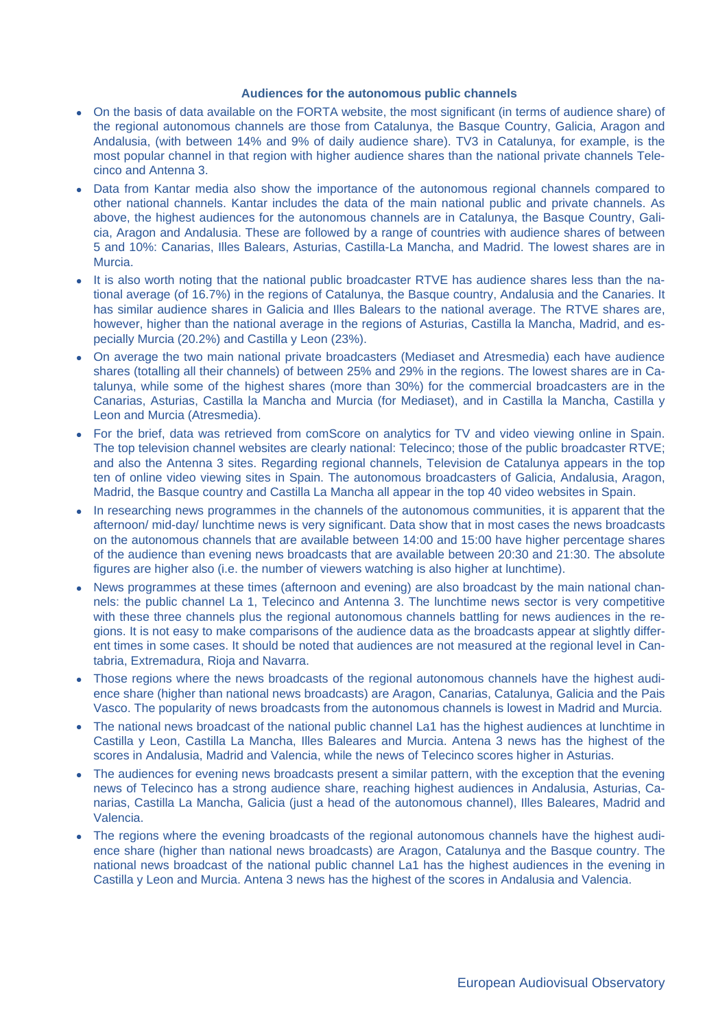#### **Audiences for the autonomous public channels**

- On the basis of data available on the FORTA website, the most significant (in terms of audience share) of the regional autonomous channels are those from Catalunya, the Basque Country, Galicia, Aragon and Andalusia, (with between 14% and 9% of daily audience share). TV3 in Catalunya, for example, is the most popular channel in that region with higher audience shares than the national private channels Telecinco and Antenna 3.
- Data from Kantar media also show the importance of the autonomous regional channels compared to other national channels. Kantar includes the data of the main national public and private channels. As above, the highest audiences for the autonomous channels are in Catalunya, the Basque Country, Galicia, Aragon and Andalusia. These are followed by a range of countries with audience shares of between 5 and 10%: Canarias, Illes Balears, Asturias, Castilla-La Mancha, and Madrid. The lowest shares are in Murcia.
- It is also worth noting that the national public broadcaster RTVE has audience shares less than the national average (of 16.7%) in the regions of Catalunya, the Basque country, Andalusia and the Canaries. It has similar audience shares in Galicia and Illes Balears to the national average. The RTVE shares are, however, higher than the national average in the regions of Asturias, Castilla la Mancha, Madrid, and especially Murcia (20.2%) and Castilla y Leon (23%).
- On average the two main national private broadcasters (Mediaset and Atresmedia) each have audience shares (totalling all their channels) of between 25% and 29% in the regions. The lowest shares are in Catalunya, while some of the highest shares (more than 30%) for the commercial broadcasters are in the Canarias, Asturias, Castilla la Mancha and Murcia (for Mediaset), and in Castilla la Mancha, Castilla y Leon and Murcia (Atresmedia).
- For the brief, data was retrieved from comScore on analytics for TV and video viewing online in Spain. The top television channel websites are clearly national: Telecinco; those of the public broadcaster RTVE; and also the Antenna 3 sites. Regarding regional channels, Television de Catalunya appears in the top ten of online video viewing sites in Spain. The autonomous broadcasters of Galicia, Andalusia, Aragon, Madrid, the Basque country and Castilla La Mancha all appear in the top 40 video websites in Spain.
- In researching news programmes in the channels of the autonomous communities, it is apparent that the afternoon/ mid-day/ lunchtime news is very significant. Data show that in most cases the news broadcasts on the autonomous channels that are available between 14:00 and 15:00 have higher percentage shares of the audience than evening news broadcasts that are available between 20:30 and 21:30. The absolute figures are higher also (i.e. the number of viewers watching is also higher at lunchtime).
- News programmes at these times (afternoon and evening) are also broadcast by the main national channels: the public channel La 1, Telecinco and Antenna 3. The lunchtime news sector is very competitive with these three channels plus the regional autonomous channels battling for news audiences in the regions. It is not easy to make comparisons of the audience data as the broadcasts appear at slightly different times in some cases. It should be noted that audiences are not measured at the regional level in Cantabria, Extremadura, Rioja and Navarra.
- Those regions where the news broadcasts of the regional autonomous channels have the highest audience share (higher than national news broadcasts) are Aragon, Canarias, Catalunya, Galicia and the Pais Vasco. The popularity of news broadcasts from the autonomous channels is lowest in Madrid and Murcia.
- The national news broadcast of the national public channel La1 has the highest audiences at lunchtime in Castilla y Leon, Castilla La Mancha, Illes Baleares and Murcia. Antena 3 news has the highest of the scores in Andalusia, Madrid and Valencia, while the news of Telecinco scores higher in Asturias.
- The audiences for evening news broadcasts present a similar pattern, with the exception that the evening news of Telecinco has a strong audience share, reaching highest audiences in Andalusia, Asturias, Canarias, Castilla La Mancha, Galicia (just a head of the autonomous channel), Illes Baleares, Madrid and Valencia.
- The regions where the evening broadcasts of the regional autonomous channels have the highest audience share (higher than national news broadcasts) are Aragon, Catalunya and the Basque country. The national news broadcast of the national public channel La1 has the highest audiences in the evening in Castilla y Leon and Murcia. Antena 3 news has the highest of the scores in Andalusia and Valencia.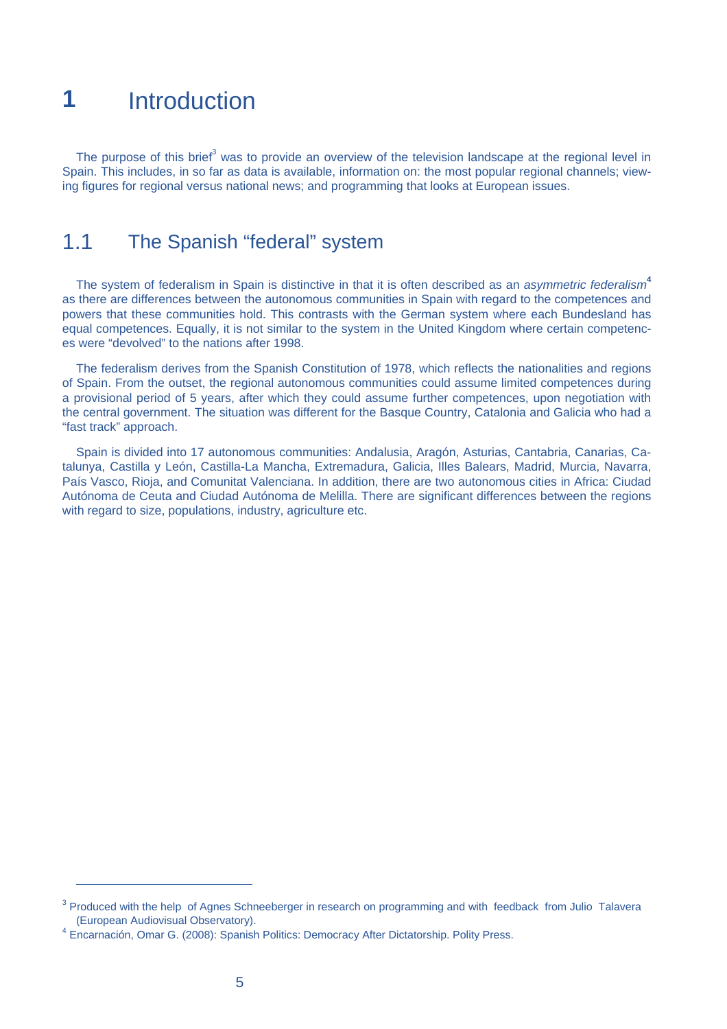# **1** Introduction

The purpose of this brief<sup>3</sup> was to provide an overview of the television landscape at the regional level in Spain. This includes, in so far as data is available, information on: the most popular regional channels; viewing figures for regional versus national news; and programming that looks at European issues.

# 1.1 The Spanish "federal" system

The system of federalism in Spain is distinctive in that it is often described as an *asymmetric federalism***<sup>4</sup>** as there are differences between the autonomous communities in Spain with regard to the competences and powers that these communities hold. This contrasts with the German system where each Bundesland has equal competences. Equally, it is not similar to the system in the United Kingdom where certain competences were "devolved" to the nations after 1998.

The federalism derives from the Spanish Constitution of 1978, which reflects the nationalities and regions of Spain. From the outset, the regional autonomous communities could assume limited competences during a provisional period of 5 years, after which they could assume further competences, upon negotiation with the central government. The situation was different for the Basque Country, Catalonia and Galicia who had a "fast track" approach.

Spain is divided into 17 autonomous communities: Andalusia, Aragón, Asturias, Cantabria, Canarias, Catalunya, Castilla y León, Castilla-La Mancha, Extremadura, Galicia, Illes Balears, Madrid, Murcia, Navarra, País Vasco, Rioja, and Comunitat Valenciana. In addition, there are two autonomous cities in Africa: Ciudad Autónoma de Ceuta and Ciudad Autónoma de Melilla. There are significant differences between the regions with regard to size, populations, industry, agriculture etc.

 $3$  Produced with the help of Agnes Schneeberger in research on programming and with feedback from Julio Talavera (European Audiovisual Observatory). 4

Encarnación, Omar G. (2008): Spanish Politics: Democracy After Dictatorship. Polity Press.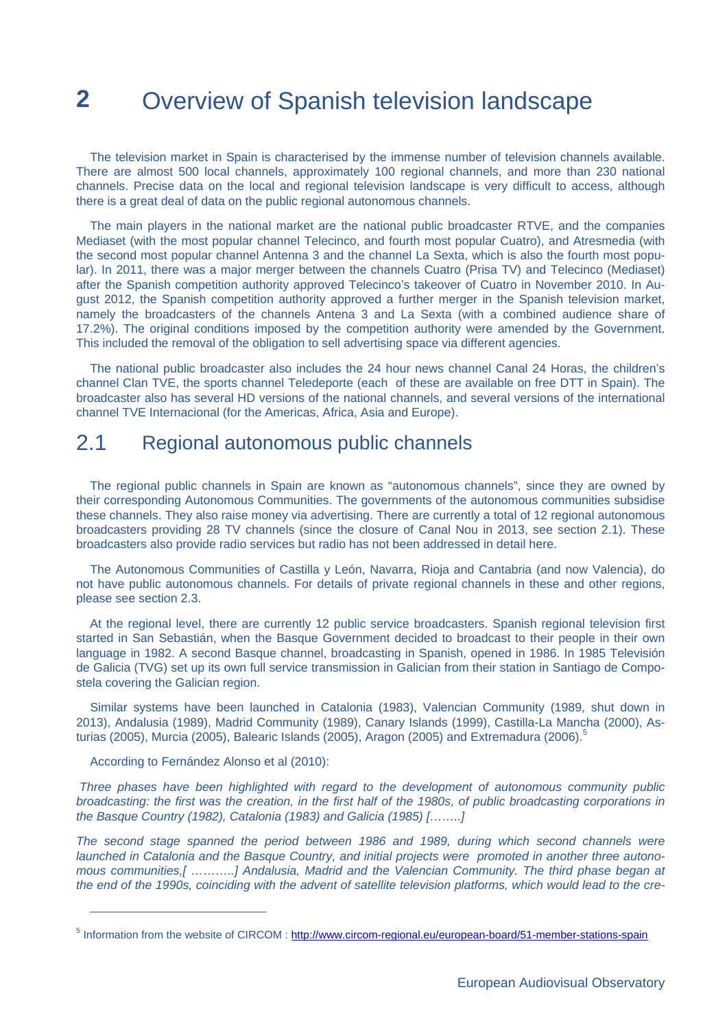# **2** Overview of Spanish television landscape

The television market in Spain is characterised by the immense number of television channels available. There are almost 500 local channels, approximately 100 regional channels, and more than 230 national channels. Precise data on the local and regional television landscape is very difficult to access, although there is a great deal of data on the public regional autonomous channels.

The main players in the national market are the national public broadcaster RTVE, and the companies Mediaset (with the most popular channel Telecinco, and fourth most popular Cuatro), and Atresmedia (with the second most popular channel Antenna 3 and the channel La Sexta, which is also the fourth most popular). In 2011, there was a major merger between the channels Cuatro (Prisa TV) and Telecinco (Mediaset) after the Spanish competition authority approved Telecinco's takeover of Cuatro in November 2010. In August 2012, the Spanish competition authority approved a further merger in the Spanish television market, namely the broadcasters of the channels Antena 3 and La Sexta (with a combined audience share of 17.2%). The original conditions imposed by the competition authority were amended by the Government. This included the removal of the obligation to sell advertising space via different agencies.

The national public broadcaster also includes the 24 hour news channel Canal 24 Horas, the children's channel Clan TVE, the sports channel Teledeporte (each of these are available on free DTT in Spain). The broadcaster also has several HD versions of the national channels, and several versions of the international channel TVE Internacional (for the Americas, Africa, Asia and Europe).

# 2.1 Regional autonomous public channels

The regional public channels in Spain are known as "autonomous channels", since they are owned by their corresponding Autonomous Communities. The governments of the autonomous communities subsidise these channels. They also raise money via advertising. There are currently a total of 12 regional autonomous broadcasters providing 28 TV channels (since the closure of Canal Nou in 2013, see section 2.1). These broadcasters also provide radio services but radio has not been addressed in detail here.

The Autonomous Communities of Castilla y León, Navarra, Rioja and Cantabria (and now Valencia), do not have public autonomous channels. For details of private regional channels in these and other regions, please see section 2.3.

At the regional level, there are currently 12 public service broadcasters. Spanish regional television first started in San Sebastián, when the Basque Government decided to broadcast to their people in their own language in 1982. A second Basque channel, broadcasting in Spanish, opened in 1986. In 1985 Televisión de Galicia (TVG) set up its own full service transmission in Galician from their station in Santiago de Compostela covering the Galician region.

Similar systems have been launched in Catalonia (1983), Valencian Community (1989, shut down in 2013), Andalusia (1989), Madrid Community (1989), Canary Islands (1999), Castilla-La Mancha (2000), Asturias (2005), Murcia (2005), Balearic Islands (2005), Aragon (2005) and Extremadura (2006).<sup>5</sup>

According to Fernández Alonso et al (2010):

 $\overline{a}$ 

 *Three phases have been highlighted with regard to the development of autonomous community public broadcasting: the first was the creation, in the first half of the 1980s, of public broadcasting corporations in the Basque Country (1982), Catalonia (1983) and Galicia (1985) [……..]* 

The second stage spanned the period between 1986 and 1989, during which second channels were *launched in Catalonia and the Basque Country, and initial projects were promoted in another three autonomous communities,[ ………..] Andalusia, Madrid and the Valencian Community. The third phase began at the end of the 1990s, coinciding with the advent of satellite television platforms, which would lead to the cre-*

<sup>&</sup>lt;sup>5</sup> Information from the website of CIRCOM : http://www.circom-regional.eu/european-board/51-member-stations-spain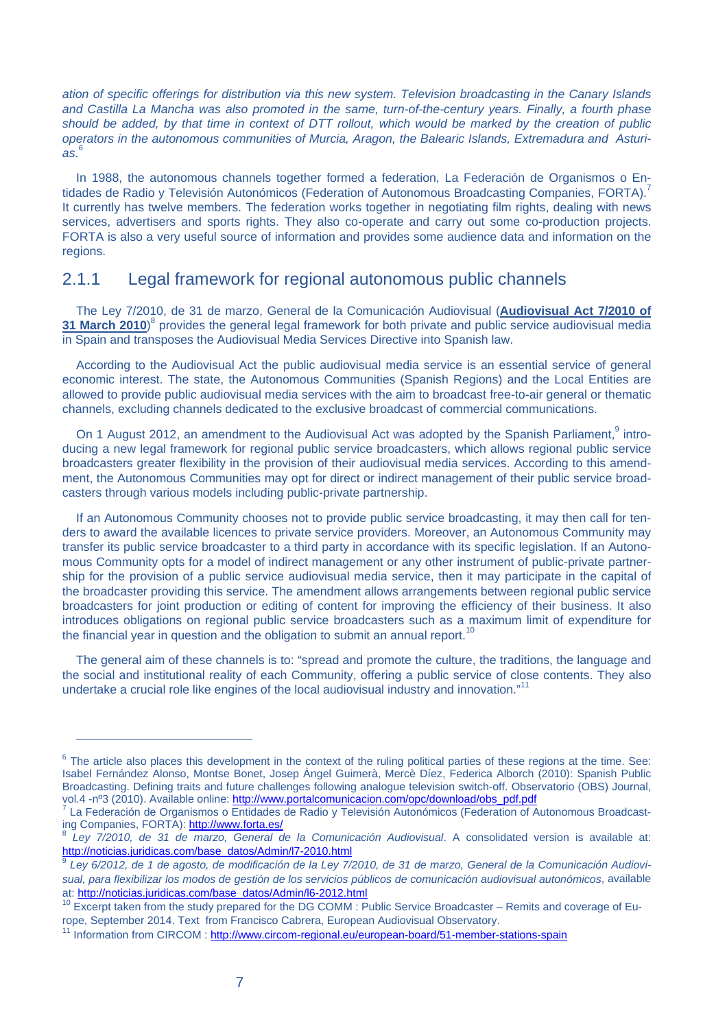*ation of specific offerings for distribution via this new system. Television broadcasting in the Canary Islands and Castilla La Mancha was also promoted in the same, turn-of-the-century years. Finally, a fourth phase should be added, by that time in context of DTT rollout, which would be marked by the creation of public operators in the autonomous communities of Murcia, Aragon, the Balearic Islands, Extremadura and Asturias.6* 

In 1988, the autonomous channels together formed a federation, La Federación de Organismos o Entidades de Radio y Televisión Autonómicos (Federation of Autonomous Broadcasting Companies, FORTA).<sup>7</sup> It currently has twelve members. The federation works together in negotiating film rights, dealing with news services, advertisers and sports rights. They also co-operate and carry out some co-production projects. FORTA is also a very useful source of information and provides some audience data and information on the regions.

#### 2.1.1 Legal framework for regional autonomous public channels

The Ley 7/2010, de 31 de marzo, General de la Comunicación Audiovisual (**Audiovisual Act 7/2010 of**  31 March 2010)<sup>8</sup> provides the general legal framework for both private and public service audiovisual media in Spain and transposes the Audiovisual Media Services Directive into Spanish law.

According to the Audiovisual Act the public audiovisual media service is an essential service of general economic interest. The state, the Autonomous Communities (Spanish Regions) and the Local Entities are allowed to provide public audiovisual media services with the aim to broadcast free-to-air general or thematic channels, excluding channels dedicated to the exclusive broadcast of commercial communications.

On 1 August 2012, an amendment to the Audiovisual Act was adopted by the Spanish Parliament,<sup>9</sup> introducing a new legal framework for regional public service broadcasters, which allows regional public service broadcasters greater flexibility in the provision of their audiovisual media services. According to this amendment, the Autonomous Communities may opt for direct or indirect management of their public service broadcasters through various models including public-private partnership.

If an Autonomous Community chooses not to provide public service broadcasting, it may then call for tenders to award the available licences to private service providers. Moreover, an Autonomous Community may transfer its public service broadcaster to a third party in accordance with its specific legislation. If an Autonomous Community opts for a model of indirect management or any other instrument of public-private partnership for the provision of a public service audiovisual media service, then it may participate in the capital of the broadcaster providing this service. The amendment allows arrangements between regional public service broadcasters for joint production or editing of content for improving the efficiency of their business. It also introduces obligations on regional public service broadcasters such as a maximum limit of expenditure for the financial year in question and the obligation to submit an annual report.<sup>10</sup>

The general aim of these channels is to: "spread and promote the culture, the traditions, the language and the social and institutional reality of each Community, offering a public service of close contents. They also undertake a crucial role like engines of the local audiovisual industry and innovation."<sup>11</sup>

 $6$  The article also places this development in the context of the ruling political parties of these regions at the time. See: Isabel Fernández Alonso, Montse Bonet, Josep Àngel Guimerà, Mercè Díez, Federica Alborch (2010): Spanish Public Broadcasting. Defining traits and future challenges following analogue television switch-off. Observatorio (OBS) Journal, vol.4 -nº3 (2010). Available online: http://www.portalcomunicacion.com/opc/download/obs\_pdf.pdf

La Federación de Organismos o Entidades de Radio y Televisión Autonómicos (Federation of Autonomous Broadcasting Companies, FORTA): http://www.forta.es/<br><sup>8</sup> Ley 7/2010, de 31 de marzo, General de la Comunicación Audiovisual. A consolidated version is available at:

http://noticias.juridicas.com/base\_datos/Admin/l7-2010.html

<sup>9</sup> *Ley 6/2012, de 1 de agosto, de modificación de la Ley 7/2010, de 31 de marzo, General de la Comunicación Audiovisual, para flexibilizar los modos de gestión de los servicios públicos de comunicación audiovisual autonómicos*, available at: http://noticias.juridicas.com/base\_datos/Admin/l6-2012.html

<sup>&</sup>lt;sup>10</sup> Excerpt taken from the study prepared for the DG COMM : Public Service Broadcaster – Remits and coverage of Europe, September 2014. Text from Francisco Cabrera, European Audiovisual Observatory.<br><sup>11</sup> Information from CIRCOM : http://www.circom-regional.eu/european-board/51-member-stations-spain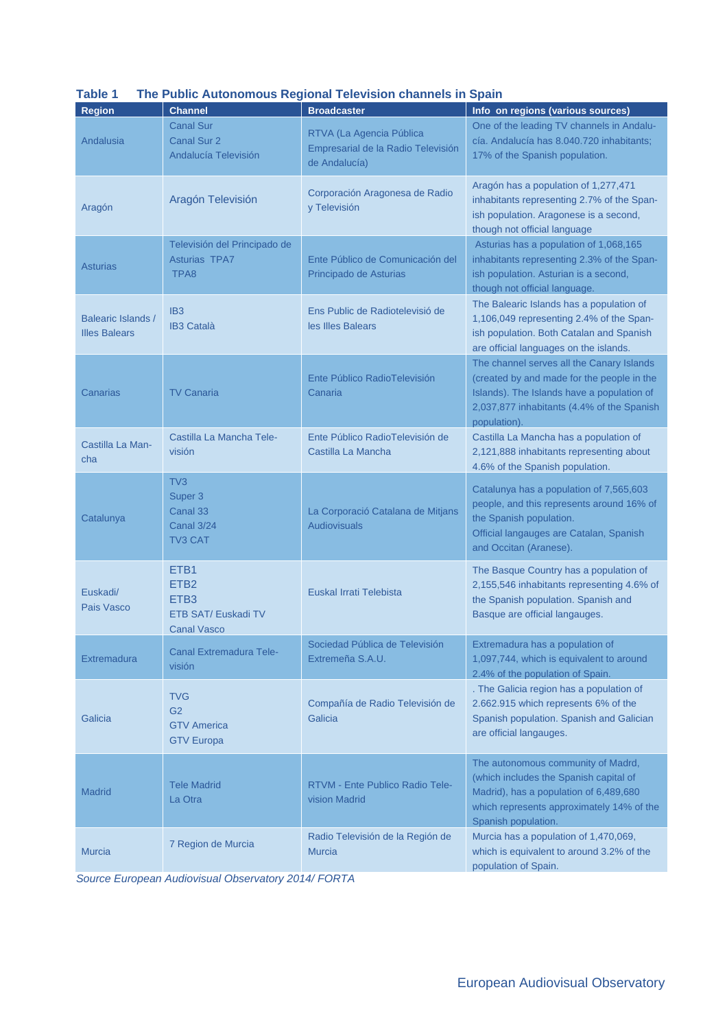| Table T                                    |                                                                                                       | The Public Autonomous Regional Television Channels in Spain                     |                                                                                                                                                                                                     |
|--------------------------------------------|-------------------------------------------------------------------------------------------------------|---------------------------------------------------------------------------------|-----------------------------------------------------------------------------------------------------------------------------------------------------------------------------------------------------|
| <b>Region</b>                              | <b>Channel</b>                                                                                        | <b>Broadcaster</b>                                                              | Info on regions (various sources)                                                                                                                                                                   |
| Andalusia                                  | <b>Canal Sur</b><br><b>Canal Sur 2</b><br>Andalucía Televisión                                        | RTVA (La Agencia Pública<br>Empresarial de la Radio Televisión<br>de Andalucía) | One of the leading TV channels in Andalu-<br>cía. Andalucía has 8.040.720 inhabitants;<br>17% of the Spanish population.                                                                            |
| Aragón                                     | Aragón Televisión                                                                                     | Corporación Aragonesa de Radio<br>y Televisión                                  | Aragón has a population of 1,277,471<br>inhabitants representing 2.7% of the Span-<br>ish population. Aragonese is a second,<br>though not official language                                        |
| <b>Asturias</b>                            | Televisión del Principado de<br><b>Asturias TPA7</b><br>TPA8                                          | Ente Público de Comunicación del<br>Principado de Asturias                      | Asturias has a population of 1,068,165<br>inhabitants representing 2.3% of the Span-<br>ish population. Asturian is a second,<br>though not official language.                                      |
| Balearic Islands /<br><b>Illes Balears</b> | IB <sub>3</sub><br><b>IB3 Català</b>                                                                  | Ens Public de Radiotelevisió de<br>les Illes Balears                            | The Balearic Islands has a population of<br>1,106,049 representing 2.4% of the Span-<br>ish population. Both Catalan and Spanish<br>are official languages on the islands.                          |
| Canarias                                   | <b>TV Canaria</b>                                                                                     | Ente Público RadioTelevisión<br>Canaria                                         | The channel serves all the Canary Islands<br>(created by and made for the people in the<br>Islands). The Islands have a population of<br>2,037,877 inhabitants (4.4% of the Spanish<br>population). |
| Castilla La Man-<br>cha                    | Castilla La Mancha Tele-<br>visión                                                                    | Ente Público RadioTelevisión de<br>Castilla La Mancha                           | Castilla La Mancha has a population of<br>2,121,888 inhabitants representing about<br>4.6% of the Spanish population.                                                                               |
| Catalunya                                  | TV <sub>3</sub><br>Super 3<br>Canal 33<br><b>Canal 3/24</b><br><b>TV3 CAT</b>                         | La Corporació Catalana de Mitjans<br><b>Audiovisuals</b>                        | Catalunya has a population of 7,565,603<br>people, and this represents around 16% of<br>the Spanish population.<br>Official langauges are Catalan, Spanish<br>and Occitan (Aranese).                |
| Euskadi/<br>Pais Vasco                     | ETB <sub>1</sub><br>ETB <sub>2</sub><br>ETB <sub>3</sub><br>ETB SAT/ Euskadi TV<br><b>Canal Vasco</b> | Euskal Irrati Telebista                                                         | The Basque Country has a population of<br>2,155,546 inhabitants representing 4.6% of<br>the Spanish population. Spanish and<br>Basque are official langauges.                                       |
| Extremadura                                | <b>Canal Extremadura Tele-</b><br>visión                                                              | Sociedad Pública de Televisión<br>Extremeña S.A.U.                              | Extremadura has a population of<br>1,097,744, which is equivalent to around<br>2.4% of the population of Spain.                                                                                     |
| Galicia                                    | <b>TVG</b><br>G <sub>2</sub><br><b>GTV America</b><br><b>GTV Europa</b>                               | Compañía de Radio Televisión de<br>Galicia                                      | . The Galicia region has a population of<br>2.662.915 which represents 6% of the<br>Spanish population. Spanish and Galician<br>are official langauges.                                             |
| <b>Madrid</b>                              | <b>Tele Madrid</b><br>La Otra                                                                         | RTVM - Ente Publico Radio Tele-<br>vision Madrid                                | The autonomous community of Madrd,<br>(which includes the Spanish capital of<br>Madrid), has a population of 6,489,680<br>which represents approximately 14% of the<br>Spanish population.          |
| <b>Murcia</b>                              | 7 Region de Murcia                                                                                    | Radio Televisión de la Región de<br><b>Murcia</b>                               | Murcia has a population of 1,470,069,<br>which is equivalent to around 3.2% of the<br>population of Spain.                                                                                          |

#### **Table 1 The Public Autonomous Regional Television channels in Spain**

*Source European Audiovisual Observatory 2014/ FORTA*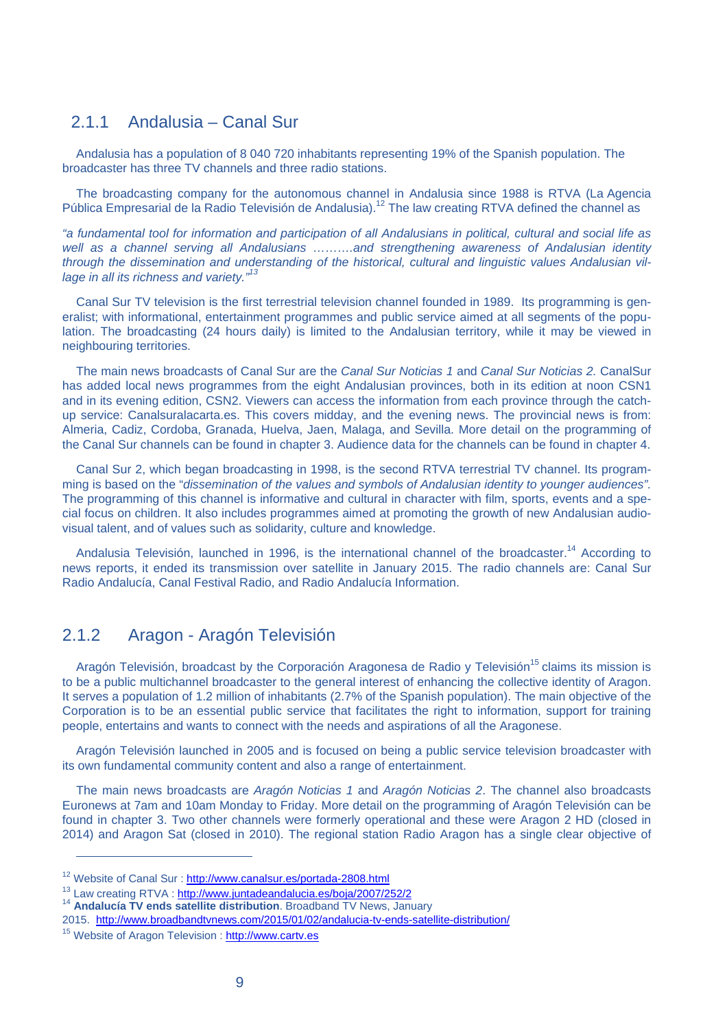## 2.1.1 Andalusia – Canal Sur

Andalusia has a population of 8 040 720 inhabitants representing 19% of the Spanish population. The broadcaster has three TV channels and three radio stations.

The broadcasting company for the autonomous channel in Andalusia since 1988 is RTVA (La Agencia Pública Empresarial de la Radio Televisión de Andalusia).<sup>12</sup> The law creating RTVA defined the channel as

*"a fundamental tool for information and participation of all Andalusians in political, cultural and social life as*  well as a channel serving all Andalusians .........and strengthening awareness of Andalusian identity *through the dissemination and understanding of the historical, cultural and linguistic values Andalusian village in all its richness and variety."13* 

Canal Sur TV television is the first terrestrial television channel founded in 1989. Its programming is generalist; with informational, entertainment programmes and public service aimed at all segments of the population. The broadcasting (24 hours daily) is limited to the Andalusian territory, while it may be viewed in neighbouring territories.

The main news broadcasts of Canal Sur are the *Canal Sur Noticias 1* and *Canal Sur Noticias 2.* CanalSur has added local news programmes from the eight Andalusian provinces, both in its edition at noon CSN1 and in its evening edition, CSN2. Viewers can access the information from each province through the catchup service: Canalsuralacarta.es. This covers midday, and the evening news. The provincial news is from: Almeria, Cadiz, Cordoba, Granada, Huelva, Jaen, Malaga, and Sevilla. More detail on the programming of the Canal Sur channels can be found in chapter 3. Audience data for the channels can be found in chapter 4.

Canal Sur 2, which began broadcasting in 1998, is the second RTVA terrestrial TV channel. Its programming is based on the "*dissemination of the values and symbols of Andalusian identity to younger audiences".* The programming of this channel is informative and cultural in character with film, sports, events and a special focus on children. It also includes programmes aimed at promoting the growth of new Andalusian audiovisual talent, and of values such as solidarity, culture and knowledge.

Andalusia Televisión, launched in 1996, is the international channel of the broadcaster.<sup>14</sup> According to news reports, it ended its transmission over satellite in January 2015. The radio channels are: Canal Sur Radio Andalucía, Canal Festival Radio, and Radio Andalucía Information.

#### 2.1.2 Aragon - Aragón Televisión

Aragón Televisión, broadcast by the Corporación Aragonesa de Radio y Televisión<sup>15</sup> claims its mission is to be a public multichannel broadcaster to the general interest of enhancing the collective identity of Aragon. It serves a population of 1.2 million of inhabitants (2.7% of the Spanish population). The main objective of the Corporation is to be an essential public service that facilitates the right to information, support for training people, entertains and wants to connect with the needs and aspirations of all the Aragonese.

Aragón Televisión launched in 2005 and is focused on being a public service television broadcaster with its own fundamental community content and also a range of entertainment.

The main news broadcasts are *Aragón Noticias 1* and *Aragón Noticias 2*. The channel also broadcasts Euronews at 7am and 10am Monday to Friday. More detail on the programming of Aragón Televisión can be found in chapter 3. Two other channels were formerly operational and these were Aragon 2 HD (closed in 2014) and Aragon Sat (closed in 2010). The regional station Radio Aragon has a single clear objective of

 $12$  Website of Canal Sur : http://www.canalsur.es/portada-2808.html<br> $13$  Law creating RTVA : http://www.juntadeandalucia.es/boja/2007/252/2

<sup>&</sup>lt;sup>14</sup> Andalucía TV ends satellite distribution. Broadband TV News, January

<sup>2015.</sup> http://www.broadbandtvnews.com/2015/01/02/andalucia-tv-ends-satellite-distribution/

<sup>&</sup>lt;sup>15</sup> Website of Aragon Television : http://www.cartv.es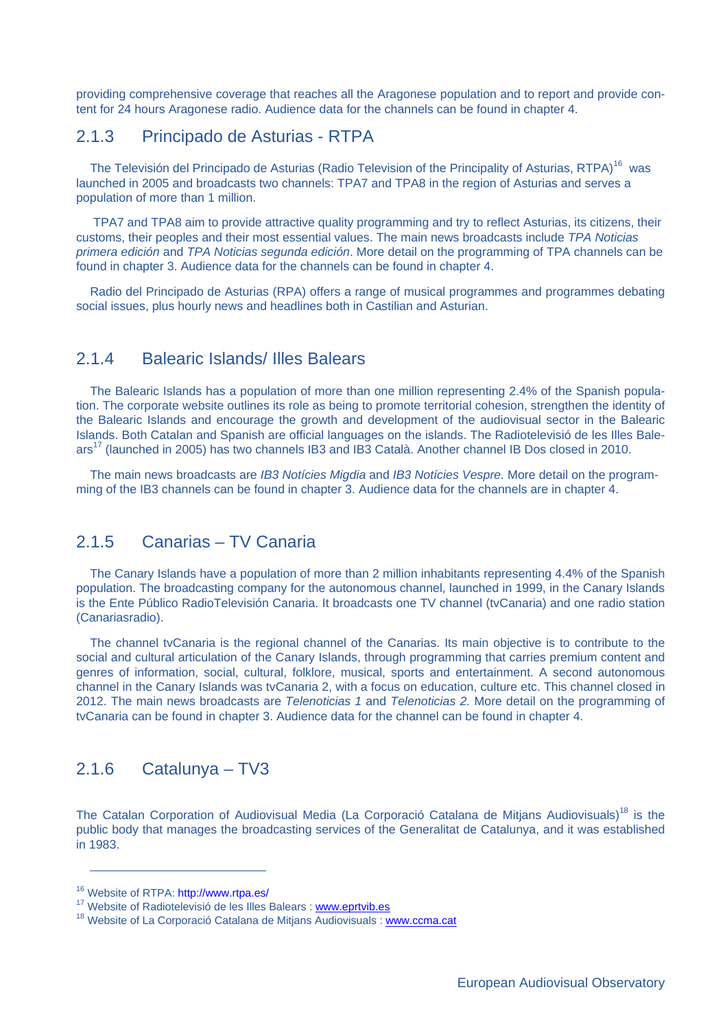providing comprehensive coverage that reaches all the Aragonese population and to report and provide content for 24 hours Aragonese radio. Audience data for the channels can be found in chapter 4.

#### 2.1.3 Principado de Asturias - RTPA

The Televisión del Principado de Asturias (Radio Television of the Principality of Asturias, RTPA)<sup>16</sup> was launched in 2005 and broadcasts two channels: TPA7 and TPA8 in the region of Asturias and serves a population of more than 1 million.

 TPA7 and TPA8 aim to provide attractive quality programming and try to reflect Asturias, its citizens, their customs, their peoples and their most essential values. The main news broadcasts include *TPA Noticias primera edición* and *TPA Noticias segunda edición*. More detail on the programming of TPA channels can be found in chapter 3. Audience data for the channels can be found in chapter 4.

Radio del Principado de Asturias (RPA) offers a range of musical programmes and programmes debating social issues, plus hourly news and headlines both in Castilian and Asturian.

#### 2.1.4 Balearic Islands/ Illes Balears

The Balearic Islands has a population of more than one million representing 2.4% of the Spanish population. The corporate website outlines its role as being to promote territorial cohesion, strengthen the identity of the Balearic Islands and encourage the growth and development of the audiovisual sector in the Balearic Islands. Both Catalan and Spanish are official languages on the islands. The Radiotelevisió de les Illes Balears17 (launched in 2005) has two channels IB3 and IB3 Català. Another channel IB Dos closed in 2010.

The main news broadcasts are *IB3 Notícies Migdia* and *IB3 Notícies Vespre.* More detail on the programming of the IB3 channels can be found in chapter 3. Audience data for the channels are in chapter 4.

#### 2.1.5 Canarias – TV Canaria

The Canary Islands have a population of more than 2 million inhabitants representing 4.4% of the Spanish population. The broadcasting company for the autonomous channel, launched in 1999, in the Canary Islands is the Ente Público RadioTelevisión Canaria. It broadcasts one TV channel (tvCanaria) and one radio station (Canariasradio).

The channel tvCanaria is the regional channel of the Canarias. Its main objective is to contribute to the social and cultural articulation of the Canary Islands, through programming that carries premium content and genres of information, social, cultural, folklore, musical, sports and entertainment. A second autonomous channel in the Canary Islands was tvCanaria 2, with a focus on education, culture etc. This channel closed in 2012. The main news broadcasts are *Telenoticias 1* and *Telenoticias 2.* More detail on the programming of tvCanaria can be found in chapter 3. Audience data for the channel can be found in chapter 4.

#### 2.1.6 Catalunya – TV3

The Catalan Corporation of Audiovisual Media (La Corporació Catalana de Mitjans Audiovisuals)<sup>18</sup> is the public body that manages the broadcasting services of the Generalitat de Catalunya, and it was established in 1983.

<sup>16</sup> Website of RTPA: http://www.rtpa.es/

<sup>&</sup>lt;sup>17</sup> Website of Radiotelevisió de les Illes Balears : www.eprtvib.es

<sup>&</sup>lt;sup>18</sup> Website of La Corporació Catalana de Mitjans Audiovisuals : www.ccma.cat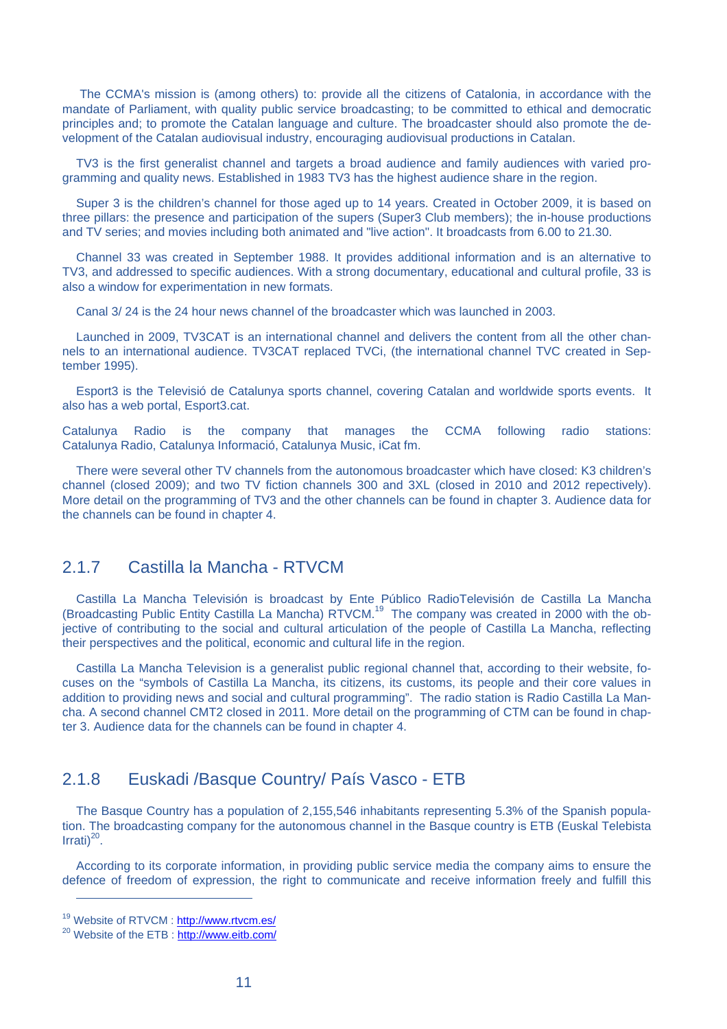The CCMA's mission is (among others) to: provide all the citizens of Catalonia, in accordance with the mandate of Parliament, with quality public service broadcasting; to be committed to ethical and democratic principles and; to promote the Catalan language and culture. The broadcaster should also promote the development of the Catalan audiovisual industry, encouraging audiovisual productions in Catalan.

TV3 is the first generalist channel and targets a broad audience and family audiences with varied programming and quality news. Established in 1983 TV3 has the highest audience share in the region.

Super 3 is the children's channel for those aged up to 14 years. Created in October 2009, it is based on three pillars: the presence and participation of the supers (Super3 Club members); the in-house productions and TV series; and movies including both animated and "live action". It broadcasts from 6.00 to 21.30.

Channel 33 was created in September 1988. It provides additional information and is an alternative to TV3, and addressed to specific audiences. With a strong documentary, educational and cultural profile, 33 is also a window for experimentation in new formats.

Canal 3/ 24 is the 24 hour news channel of the broadcaster which was launched in 2003.

Launched in 2009, TV3CAT is an international channel and delivers the content from all the other channels to an international audience. TV3CAT replaced TVCi, (the international channel TVC created in September 1995).

Esport3 is the Televisió de Catalunya sports channel, covering Catalan and worldwide sports events. It also has a web portal, Esport3.cat.

Catalunya Radio is the company that manages the CCMA following radio stations: Catalunya Radio, Catalunya Informació, Catalunya Music, iCat fm.

There were several other TV channels from the autonomous broadcaster which have closed: K3 children's channel (closed 2009); and two TV fiction channels 300 and 3XL (closed in 2010 and 2012 repectively). More detail on the programming of TV3 and the other channels can be found in chapter 3. Audience data for the channels can be found in chapter 4.

#### 2.1.7 Castilla la Mancha - RTVCM

Castilla La Mancha Televisión is broadcast by Ente Público RadioTelevisión de Castilla La Mancha (Broadcasting Public Entity Castilla La Mancha) RTVCM.19 The company was created in 2000 with the objective of contributing to the social and cultural articulation of the people of Castilla La Mancha, reflecting their perspectives and the political, economic and cultural life in the region.

Castilla La Mancha Television is a generalist public regional channel that, according to their website, focuses on the "symbols of Castilla La Mancha, its citizens, its customs, its people and their core values in addition to providing news and social and cultural programming". The radio station is Radio Castilla La Mancha. A second channel CMT2 closed in 2011. More detail on the programming of CTM can be found in chapter 3. Audience data for the channels can be found in chapter 4.

#### 2.1.8 Euskadi /Basque Country/ País Vasco - ETB

The Basque Country has a population of 2,155,546 inhabitants representing 5.3% of the Spanish population. The broadcasting company for the autonomous channel in the Basque country is ETB (Euskal Telebista Irrati $)^{20}$ .

According to its corporate information, in providing public service media the company aims to ensure the defence of freedom of expression, the right to communicate and receive information freely and fulfill this

<sup>&</sup>lt;sup>19</sup> Website of RTVCM : http://www.rtvcm.es/

<sup>&</sup>lt;sup>20</sup> Website of the ETB : http://www.eitb.com/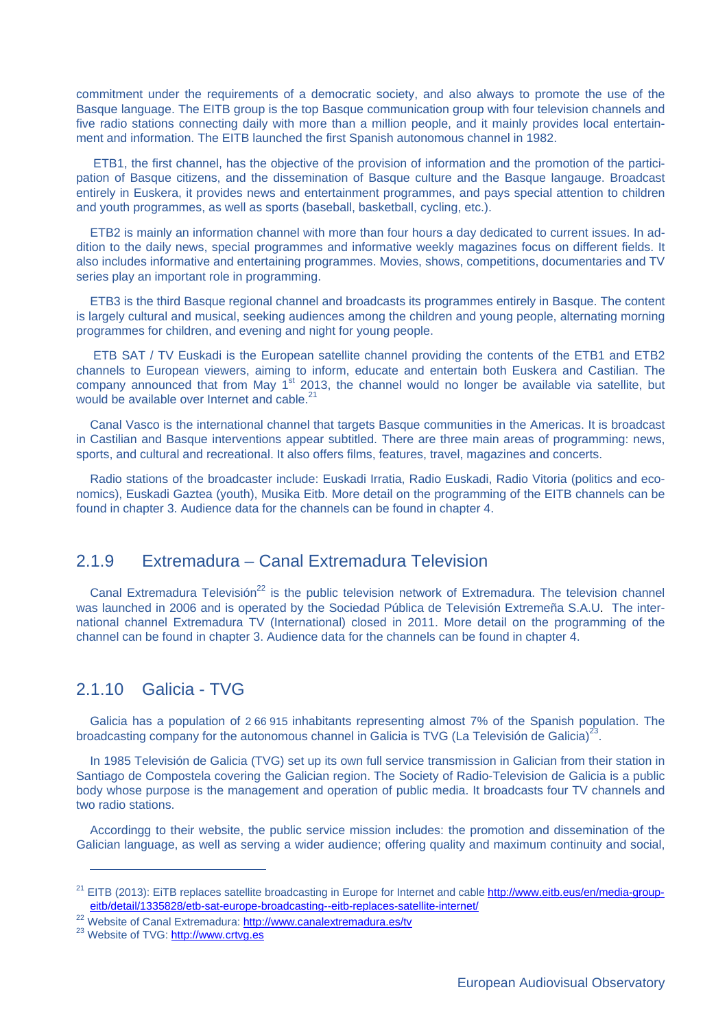commitment under the requirements of a democratic society, and also always to promote the use of the Basque language. The EITB group is the top Basque communication group with four television channels and five radio stations connecting daily with more than a million people, and it mainly provides local entertainment and information. The EITB launched the first Spanish autonomous channel in 1982.

 ETB1, the first channel, has the objective of the provision of information and the promotion of the participation of Basque citizens, and the dissemination of Basque culture and the Basque langauge. Broadcast entirely in Euskera, it provides news and entertainment programmes, and pays special attention to children and youth programmes, as well as sports (baseball, basketball, cycling, etc.).

ETB2 is mainly an information channel with more than four hours a day dedicated to current issues. In addition to the daily news, special programmes and informative weekly magazines focus on different fields. It also includes informative and entertaining programmes. Movies, shows, competitions, documentaries and TV series play an important role in programming.

ETB3 is the third Basque regional channel and broadcasts its programmes entirely in Basque. The content is largely cultural and musical, seeking audiences among the children and young people, alternating morning programmes for children, and evening and night for young people.

 ETB SAT / TV Euskadi is the European satellite channel providing the contents of the ETB1 and ETB2 channels to European viewers, aiming to inform, educate and entertain both Euskera and Castilian. The company announced that from May  $1<sup>st</sup>$  2013, the channel would no longer be available via satellite, but would be available over Internet and cable.<sup>21</sup>

Canal Vasco is the international channel that targets Basque communities in the Americas. It is broadcast in Castilian and Basque interventions appear subtitled. There are three main areas of programming: news, sports, and cultural and recreational. It also offers films, features, travel, magazines and concerts.

Radio stations of the broadcaster include: Euskadi Irratia, Radio Euskadi, Radio Vitoria (politics and economics), Euskadi Gaztea (youth), Musika Eitb. More detail on the programming of the EITB channels can be found in chapter 3. Audience data for the channels can be found in chapter 4.

#### 2.1.9 Extremadura – Canal Extremadura Television

Canal Extremadura Televisión<sup>22</sup> is the public television network of Extremadura. The television channel was launched in 2006 and is operated by the Sociedad Pública de Televisión Extremeña S.A.U. The international channel Extremadura TV (International) closed in 2011. More detail on the programming of the channel can be found in chapter 3. Audience data for the channels can be found in chapter 4.

# 2.1.10 Galicia - TVG

Galicia has a population of 2 66 915 inhabitants representing almost 7% of the Spanish population. The broadcasting company for the autonomous channel in Galicia is TVG (La Televisión de Galicia) $^{23}$ .

In 1985 Televisión de Galicia (TVG) set up its own full service transmission in Galician from their station in Santiago de Compostela covering the Galician region. The Society of Radio-Television de Galicia is a public body whose purpose is the management and operation of public media. It broadcasts four TV channels and two radio stations.

Accordingg to their website, the public service mission includes: the promotion and dissemination of the Galician language, as well as serving a wider audience; offering quality and maximum continuity and social,

<sup>&</sup>lt;sup>21</sup> EITB (2013): EiTB replaces satellite broadcasting in Europe for Internet and cable http://www.eitb.eus/en/media-groupeitb/detail/1335828/etb-sat-europe-broadcasting--eitb-replaces-satellite-internet/

<sup>&</sup>lt;sup>22</sup> Website of Canal Extremadura: http://www.canalextremadura.es/tv<br><sup>23</sup> Website of TVG: http://www.crtvg.es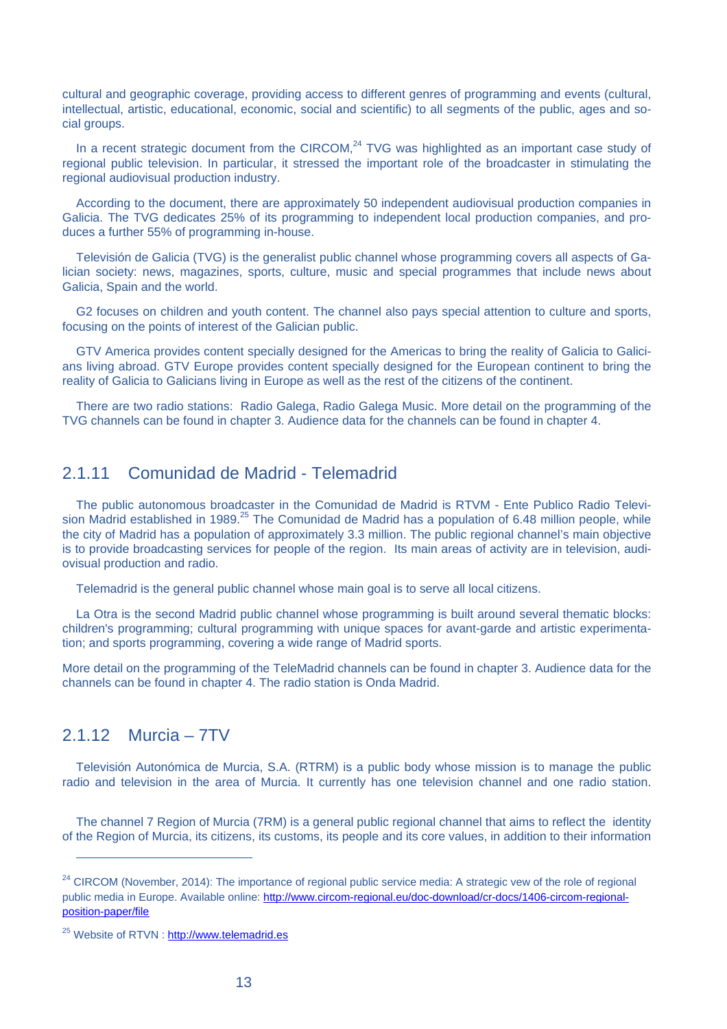cultural and geographic coverage, providing access to different genres of programming and events (cultural, intellectual, artistic, educational, economic, social and scientific) to all segments of the public, ages and social groups.

In a recent strategic document from the CIRCOM, $^{24}$  TVG was highlighted as an important case study of regional public television. In particular, it stressed the important role of the broadcaster in stimulating the regional audiovisual production industry.

According to the document, there are approximately 50 independent audiovisual production companies in Galicia. The TVG dedicates 25% of its programming to independent local production companies, and produces a further 55% of programming in-house.

Televisión de Galicia (TVG) is the generalist public channel whose programming covers all aspects of Galician society: news, magazines, sports, culture, music and special programmes that include news about Galicia, Spain and the world.

G2 focuses on children and youth content. The channel also pays special attention to culture and sports, focusing on the points of interest of the Galician public.

GTV America provides content specially designed for the Americas to bring the reality of Galicia to Galicians living abroad. GTV Europe provides content specially designed for the European continent to bring the reality of Galicia to Galicians living in Europe as well as the rest of the citizens of the continent.

There are two radio stations: Radio Galega, Radio Galega Music. More detail on the programming of the TVG channels can be found in chapter 3. Audience data for the channels can be found in chapter 4.

#### 2.1.11 Comunidad de Madrid - Telemadrid

The public autonomous broadcaster in the Comunidad de Madrid is RTVM - Ente Publico Radio Television Madrid established in 1989.<sup>25</sup> The Comunidad de Madrid has a population of 6.48 million people, while the city of Madrid has a population of approximately 3.3 million. The public regional channel's main objective is to provide broadcasting services for people of the region. Its main areas of activity are in television, audiovisual production and radio.

Telemadrid is the general public channel whose main goal is to serve all local citizens.

La Otra is the second Madrid public channel whose programming is built around several thematic blocks: children's programming; cultural programming with unique spaces for avant-garde and artistic experimentation; and sports programming, covering a wide range of Madrid sports.

More detail on the programming of the TeleMadrid channels can be found in chapter 3. Audience data for the channels can be found in chapter 4. The radio station is Onda Madrid.

### 2.1.12 Murcia – 7TV

 $\overline{a}$ 

Televisión Autonómica de Murcia, S.A. (RTRM) is a public body whose mission is to manage the public radio and television in the area of Murcia. It currently has one television channel and one radio station.

The channel 7 Region of Murcia (7RM) is a general public regional channel that aims to reflect the identity of the Region of Murcia, its citizens, its customs, its people and its core values, in addition to their information

<sup>&</sup>lt;sup>24</sup> CIRCOM (November, 2014): The importance of regional public service media: A strategic vew of the role of regional public media in Europe. Available online: http://www.circom-regional.eu/doc-download/cr-docs/1406-circom-regionalposition-paper/file

<sup>25</sup> Website of RTVN : http://www.telemadrid.es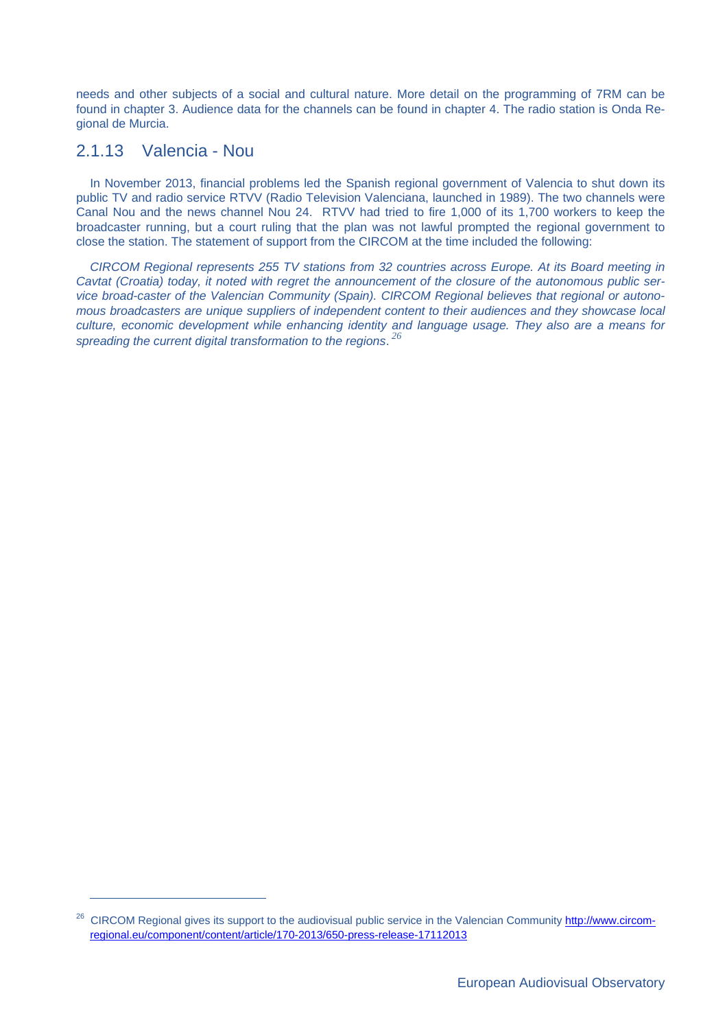needs and other subjects of a social and cultural nature. More detail on the programming of 7RM can be found in chapter 3. Audience data for the channels can be found in chapter 4. The radio station is Onda Regional de Murcia.

#### 2.1.13 Valencia - Nou

 $\overline{a}$ 

In November 2013, financial problems led the Spanish regional government of Valencia to shut down its public TV and radio service RTVV (Radio Television Valenciana, launched in 1989). The two channels were Canal Nou and the news channel Nou 24. RTVV had tried to fire 1,000 of its 1,700 workers to keep the broadcaster running, but a court ruling that the plan was not lawful prompted the regional government to close the station. The statement of support from the CIRCOM at the time included the following:

*CIRCOM Regional represents 255 TV stations from 32 countries across Europe. At its Board meeting in Cavtat (Croatia) today, it noted with regret the announcement of the closure of the autonomous public service broad-caster of the Valencian Community (Spain). CIRCOM Regional believes that regional or autonomous broadcasters are unique suppliers of independent content to their audiences and they showcase local culture, economic development while enhancing identity and language usage. They also are a means for spreading the current digital transformation to the regions*. *26*

<sup>&</sup>lt;sup>26</sup> CIRCOM Regional gives its support to the audiovisual public service in the Valencian Community http://www.circomregional.eu/component/content/article/170-2013/650-press-release-17112013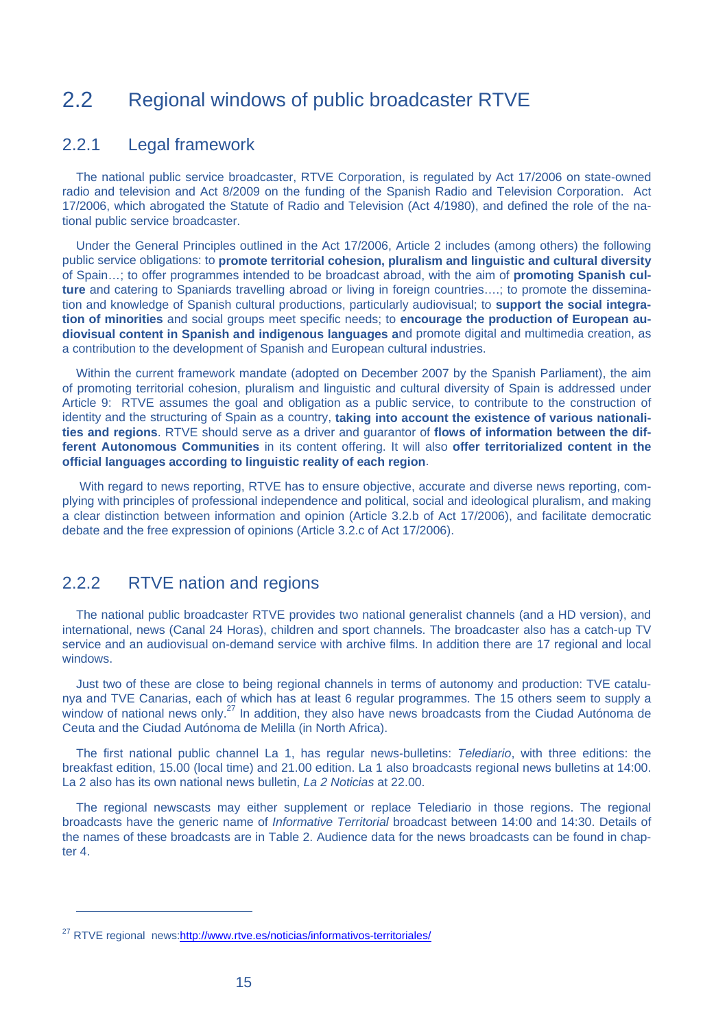# 2.2 Regional windows of public broadcaster RTVE

#### 2.2.1 Legal framework

The national public service broadcaster, RTVE Corporation, is regulated by Act 17/2006 on state-owned radio and television and Act 8/2009 on the funding of the Spanish Radio and Television Corporation. Act 17/2006, which abrogated the Statute of Radio and Television (Act 4/1980), and defined the role of the national public service broadcaster.

Under the General Principles outlined in the Act 17/2006, Article 2 includes (among others) the following public service obligations: to **promote territorial cohesion, pluralism and linguistic and cultural diversity** of Spain…; to offer programmes intended to be broadcast abroad, with the aim of **promoting Spanish culture** and catering to Spaniards travelling abroad or living in foreign countries….; to promote the dissemination and knowledge of Spanish cultural productions, particularly audiovisual; to **support the social integration of minorities** and social groups meet specific needs; to **encourage the production of European audiovisual content in Spanish and indigenous languages a**nd promote digital and multimedia creation, as a contribution to the development of Spanish and European cultural industries.

Within the current framework mandate (adopted on December 2007 by the Spanish Parliament), the aim of promoting territorial cohesion, pluralism and linguistic and cultural diversity of Spain is addressed under Article 9: RTVE assumes the goal and obligation as a public service, to contribute to the construction of identity and the structuring of Spain as a country, **taking into account the existence of various nationalities and regions**. RTVE should serve as a driver and guarantor of **flows of information between the different Autonomous Communities** in its content offering. It will also **offer territorialized content in the official languages according to linguistic reality of each region**.

 With regard to news reporting, RTVE has to ensure objective, accurate and diverse news reporting, complying with principles of professional independence and political, social and ideological pluralism, and making a clear distinction between information and opinion (Article 3.2.b of Act 17/2006), and facilitate democratic debate and the free expression of opinions (Article 3.2.c of Act 17/2006).

#### 2.2.2 RTVE nation and regions

The national public broadcaster RTVE provides two national generalist channels (and a HD version), and international, news (Canal 24 Horas), children and sport channels. The broadcaster also has a catch-up TV service and an audiovisual on-demand service with archive films. In addition there are 17 regional and local windows.

Just two of these are close to being regional channels in terms of autonomy and production: TVE catalunya and TVE Canarias, each of which has at least 6 regular programmes. The 15 others seem to supply a window of national news only.<sup>27</sup> In addition, they also have news broadcasts from the Ciudad Autónoma de Ceuta and the Ciudad Autónoma de Melilla (in North Africa).

The first national public channel La 1, has regular news-bulletins: *Telediario*, with three editions: the breakfast edition, 15.00 (local time) and 21.00 edition. La 1 also broadcasts regional news bulletins at 14:00. La 2 also has its own national news bulletin, *La 2 Noticias* at 22.00.

The regional newscasts may either supplement or replace Telediario in those regions. The regional broadcasts have the generic name of *Informative Territorial* broadcast between 14:00 and 14:30. Details of the names of these broadcasts are in Table 2. Audience data for the news broadcasts can be found in chapter 4

<sup>&</sup>lt;sup>27</sup> RTVE regional news:http://www.rtve.es/noticias/informativos-territoriales/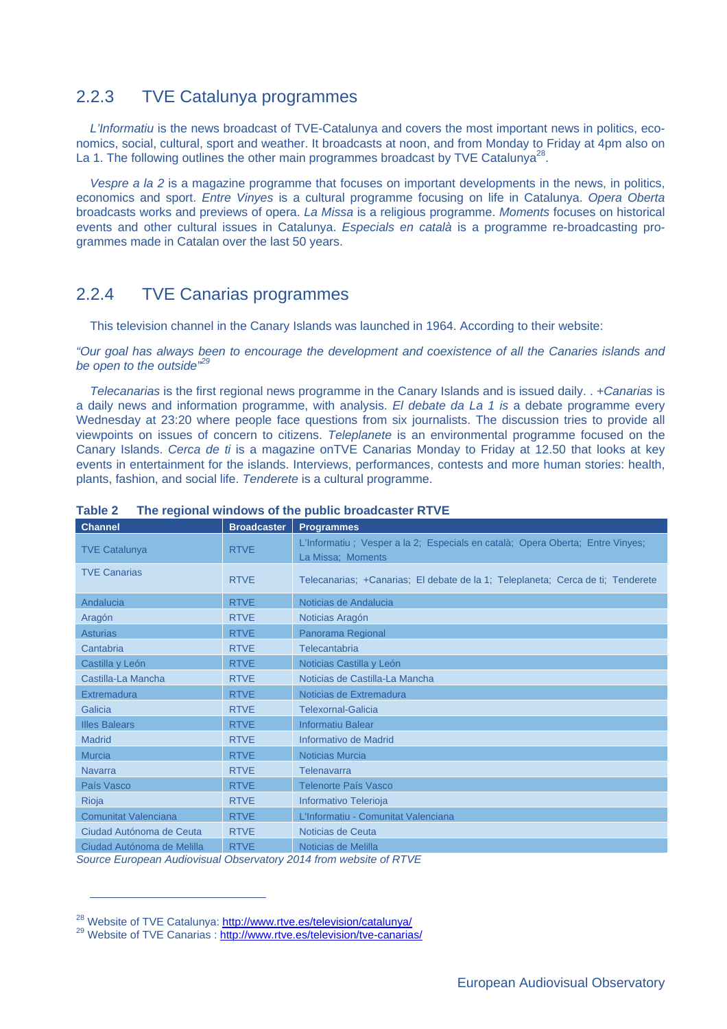#### 2.2.3 TVE Catalunya programmes

*L'Informatiu* is the news broadcast of TVE-Catalunya and covers the most important news in politics, economics, social, cultural, sport and weather. It broadcasts at noon, and from Monday to Friday at 4pm also on La 1. The following outlines the other main programmes broadcast by TVE Catalunya<sup>28</sup>

*Vespre a la 2* is a magazine programme that focuses on important developments in the news, in politics, economics and sport. *Entre Vinyes* is a cultural programme focusing on life in Catalunya. *Opera Oberta* broadcasts works and previews of opera. *La Missa* is a religious programme. *Moments* focuses on historical events and other cultural issues in Catalunya. *Especials en català* is a programme re-broadcasting programmes made in Catalan over the last 50 years.

### 2.2.4 TVE Canarias programmes

This television channel in the Canary Islands was launched in 1964. According to their website:

*"Our goal has always been to encourage the development and coexistence of all the Canaries islands and be open to the outside"29*

*Telecanarias* is the first regional news programme in the Canary Islands and is issued daily. . *+Canarias* is a daily news and information programme, with analysis. *El debate da La 1 is* a debate programme every Wednesday at 23:20 where people face questions from six journalists. The discussion tries to provide all viewpoints on issues of concern to citizens. *Teleplanete* is an environmental programme focused on the Canary Islands. *Cerca de ti* is a magazine onTVE Canarias Monday to Friday at 12.50 that looks at key events in entertainment for the islands. Interviews, performances, contests and more human stories: health, plants, fashion, and social life. *Tenderete* is a cultural programme.

| <b>Channel</b>              | <b>Broadcaster</b> | <b>Programmes</b>                                                                                   |
|-----------------------------|--------------------|-----------------------------------------------------------------------------------------------------|
| <b>TVE Catalunya</b>        | <b>RTVE</b>        | L'Informatiu ; Vesper a la 2; Especials en català; Opera Oberta; Entre Vinyes;<br>La Missa; Moments |
| <b>TVE Canarias</b>         | <b>RTVE</b>        | Telecanarias; + Canarias; El debate de la 1; Teleplaneta; Cerca de ti; Tenderete                    |
| Andalucia                   | <b>RTVE</b>        | Noticias de Andalucia                                                                               |
| Aragón                      | <b>RTVE</b>        | Noticias Aragón                                                                                     |
| <b>Asturias</b>             | <b>RTVE</b>        | Panorama Regional                                                                                   |
| Cantabria                   | <b>RTVE</b>        | Telecantabria                                                                                       |
| Castilla y León             | <b>RTVE</b>        | Noticias Castilla y León                                                                            |
| Castilla-La Mancha          | <b>RTVE</b>        | Noticias de Castilla-La Mancha                                                                      |
| Extremadura                 | <b>RTVE</b>        | Noticias de Extremadura                                                                             |
| Galicia                     | <b>RTVE</b>        | <b>Telexornal-Galicia</b>                                                                           |
| <b>Illes Balears</b>        | <b>RTVE</b>        | <b>Informatiu Balear</b>                                                                            |
| <b>Madrid</b>               | <b>RTVE</b>        | Informativo de Madrid                                                                               |
| <b>Murcia</b>               | <b>RTVE</b>        | <b>Noticias Murcia</b>                                                                              |
| <b>Navarra</b>              | <b>RTVE</b>        | Telenavarra                                                                                         |
| País Vasco                  | <b>RTVE</b>        | Telenorte País Vasco                                                                                |
| Rioja                       | <b>RTVE</b>        | Informativo Telerioja                                                                               |
| <b>Comunitat Valenciana</b> | <b>RTVE</b>        | L'Informatiu - Comunitat Valenciana                                                                 |
| Ciudad Autónoma de Ceuta    | <b>RTVE</b>        | Noticias de Ceuta                                                                                   |
| Ciudad Autónoma de Melilla  | <b>RTVE</b>        | Noticias de Melilla                                                                                 |

#### **Table 2 The regional windows of the public broadcaster RTVE**

*Source European Audiovisual Observatory 2014 from website of RTVE*

<sup>&</sup>lt;sup>28</sup> Website of TVE Catalunya: http://www.rtve.es/television/catalunya/<br><sup>29</sup> Website of TVE Canarias : http://www.rtve.es/television/tve-canarias/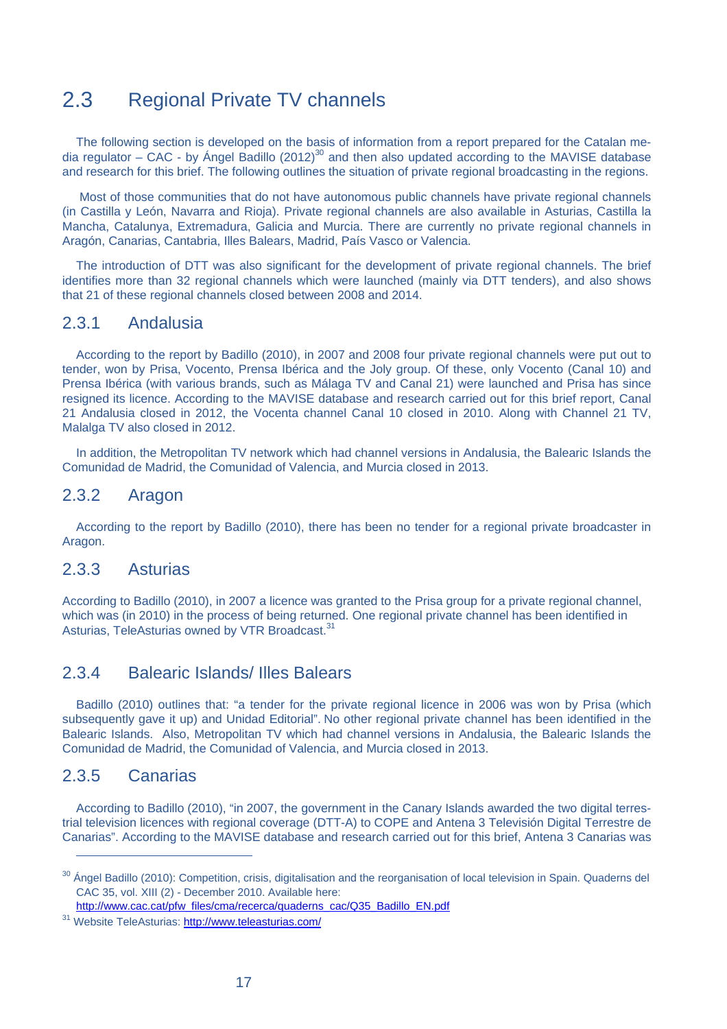# 2.3 Regional Private TV channels

The following section is developed on the basis of information from a report prepared for the Catalan media regulator – CAC - by Ángel Badillo (2012)<sup>30</sup> and then also updated according to the MAVISE database and research for this brief. The following outlines the situation of private regional broadcasting in the regions.

 Most of those communities that do not have autonomous public channels have private regional channels (in Castilla y León, Navarra and Rioja). Private regional channels are also available in Asturias, Castilla la Mancha, Catalunya, Extremadura, Galicia and Murcia. There are currently no private regional channels in Aragón, Canarias, Cantabria, Illes Balears, Madrid, País Vasco or Valencia.

The introduction of DTT was also significant for the development of private regional channels. The brief identifies more than 32 regional channels which were launched (mainly via DTT tenders), and also shows that 21 of these regional channels closed between 2008 and 2014.

#### 2.3.1 Andalusia

According to the report by Badillo (2010), in 2007 and 2008 four private regional channels were put out to tender, won by Prisa, Vocento, Prensa Ibérica and the Joly group. Of these, only Vocento (Canal 10) and Prensa Ibérica (with various brands, such as Málaga TV and Canal 21) were launched and Prisa has since resigned its licence. According to the MAVISE database and research carried out for this brief report, Canal 21 Andalusia closed in 2012, the Vocenta channel Canal 10 closed in 2010. Along with Channel 21 TV, Malalga TV also closed in 2012.

In addition, the Metropolitan TV network which had channel versions in Andalusia, the Balearic Islands the Comunidad de Madrid, the Comunidad of Valencia, and Murcia closed in 2013.

#### 2.3.2 Aragon

According to the report by Badillo (2010), there has been no tender for a regional private broadcaster in Aragon.

#### 2.3.3 Asturias

According to Badillo (2010), in 2007 a licence was granted to the Prisa group for a private regional channel, which was (in 2010) in the process of being returned. One regional private channel has been identified in Asturias, TeleAsturias owned by VTR Broadcast.<sup>31</sup>

#### 2.3.4 Balearic Islands/ Illes Balears

Badillo (2010) outlines that: "a tender for the private regional licence in 2006 was won by Prisa (which subsequently gave it up) and Unidad Editorial". No other regional private channel has been identified in the Balearic Islands. Also, Metropolitan TV which had channel versions in Andalusia, the Balearic Islands the Comunidad de Madrid, the Comunidad of Valencia, and Murcia closed in 2013.

#### 2.3.5 Canarias

 $\overline{a}$ 

According to Badillo (2010), "in 2007, the government in the Canary Islands awarded the two digital terrestrial television licences with regional coverage (DTT-A) to COPE and Antena 3 Televisión Digital Terrestre de Canarias". According to the MAVISE database and research carried out for this brief, Antena 3 Canarias was

http://www.cac.cat/pfw\_files/cma/recerca/quaderns\_cac/Q35\_Badillo\_EN.pdf

<sup>&</sup>lt;sup>30</sup> Ángel Badillo (2010): Competition, crisis, digitalisation and the reorganisation of local television in Spain. Quaderns del CAC 35, vol. XIII (2) - December 2010. Available here:

<sup>31</sup> Website TeleAsturias: http://www.teleasturias.com/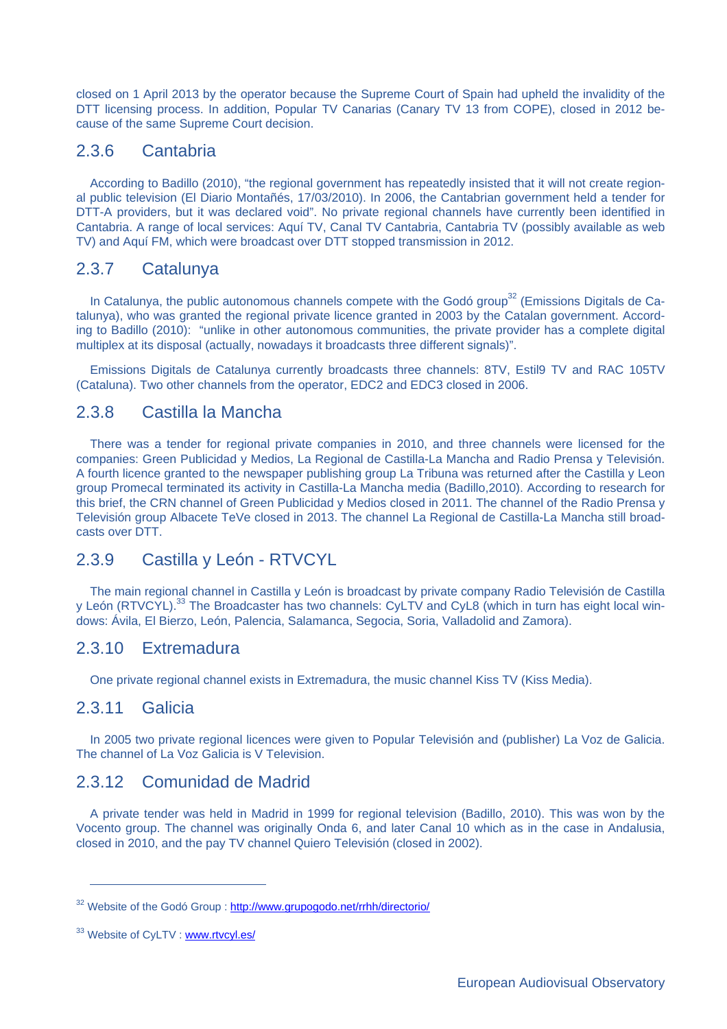closed on 1 April 2013 by the operator because the Supreme Court of Spain had upheld the invalidity of the DTT licensing process. In addition, Popular TV Canarias (Canary TV 13 from COPE), closed in 2012 because of the same Supreme Court decision.

#### 2.3.6 Cantabria

According to Badillo (2010), "the regional government has repeatedly insisted that it will not create regional public television (El Diario Montañés, 17/03/2010). In 2006, the Cantabrian government held a tender for DTT-A providers, but it was declared void". No private regional channels have currently been identified in Cantabria. A range of local services: Aquí TV, Canal TV Cantabria, Cantabria TV (possibly available as web TV) and Aquí FM, which were broadcast over DTT stopped transmission in 2012.

#### 2.3.7 Catalunya

In Catalunya, the public autonomous channels compete with the Godó group<sup>32</sup> (Emissions Digitals de Catalunya), who was granted the regional private licence granted in 2003 by the Catalan government. According to Badillo (2010): "unlike in other autonomous communities, the private provider has a complete digital multiplex at its disposal (actually, nowadays it broadcasts three different signals)".

Emissions Digitals de Catalunya currently broadcasts three channels: 8TV, Estil9 TV and RAC 105TV (Cataluna). Two other channels from the operator, EDC2 and EDC3 closed in 2006.

#### 2.3.8 Castilla la Mancha

There was a tender for regional private companies in 2010, and three channels were licensed for the companies: Green Publicidad y Medios, La Regional de Castilla-La Mancha and Radio Prensa y Televisión. A fourth licence granted to the newspaper publishing group La Tribuna was returned after the Castilla y Leon group Promecal terminated its activity in Castilla-La Mancha media (Badillo,2010). According to research for this brief, the CRN channel of Green Publicidad y Medios closed in 2011. The channel of the Radio Prensa y Televisión group Albacete TeVe closed in 2013. The channel La Regional de Castilla-La Mancha still broadcasts over DTT.

#### 2.3.9 Castilla y León - RTVCYL

The main regional channel in Castilla y León is broadcast by private company Radio Televisión de Castilla y León (RTVCYL).<sup>33</sup> The Broadcaster has two channels: CyLTV and CyL8 (which in turn has eight local windows: Ávila, El Bierzo, León, Palencia, Salamanca, Segocia, Soria, Valladolid and Zamora).

#### 2.3.10 Extremadura

One private regional channel exists in Extremadura, the music channel Kiss TV (Kiss Media).

#### 2.3.11 Galicia

 $\overline{a}$ 

In 2005 two private regional licences were given to Popular Televisión and (publisher) La Voz de Galicia. The channel of La Voz Galicia is V Television.

#### 2.3.12 Comunidad de Madrid

A private tender was held in Madrid in 1999 for regional television (Badillo, 2010). This was won by the Vocento group. The channel was originally Onda 6, and later Canal 10 which as in the case in Andalusia, closed in 2010, and the pay TV channel Quiero Televisión (closed in 2002).

<sup>&</sup>lt;sup>32</sup> Website of the Godó Group : http://www.grupogodo.net/rrhh/directorio/

<sup>33</sup> Website of CyLTV : www.rtvcyl.es/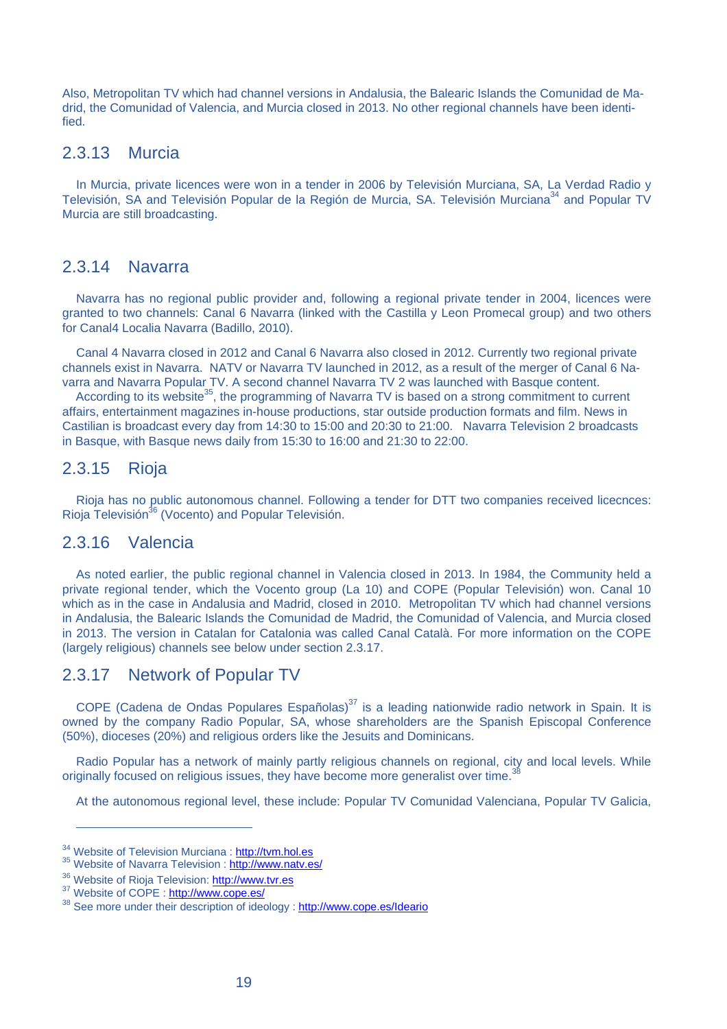Also, Metropolitan TV which had channel versions in Andalusia, the Balearic Islands the Comunidad de Madrid, the Comunidad of Valencia, and Murcia closed in 2013. No other regional channels have been identified.

#### 2.3.13 Murcia

In Murcia, private licences were won in a tender in 2006 by Televisión Murciana, SA, La Verdad Radio y Televisión, SA and Televisión Popular de la Región de Murcia, SA. Televisión Murciana<sup>34</sup> and Popular TV Murcia are still broadcasting.

#### 2.3.14 Navarra

Navarra has no regional public provider and, following a regional private tender in 2004, licences were granted to two channels: Canal 6 Navarra (linked with the Castilla y Leon Promecal group) and two others for Canal4 Localia Navarra (Badillo, 2010).

Canal 4 Navarra closed in 2012 and Canal 6 Navarra also closed in 2012. Currently two regional private channels exist in Navarra. NATV or Navarra TV launched in 2012, as a result of the merger of Canal 6 Navarra and Navarra Popular TV. A second channel Navarra TV 2 was launched with Basque content.

According to its website<sup>35</sup>, the programming of Navarra TV is based on a strong commitment to current affairs, entertainment magazines in-house productions, star outside production formats and film. News in Castilian is broadcast every day from 14:30 to 15:00 and 20:30 to 21:00. Navarra Television 2 broadcasts in Basque, with Basque news daily from 15:30 to 16:00 and 21:30 to 22:00.

#### 2.3.15 Rioja

Rioja has no public autonomous channel. Following a tender for DTT two companies received licecnces: Rioja Televisión<sup>36</sup> (Vocento) and Popular Televisión.

#### 2.3.16 Valencia

As noted earlier, the public regional channel in Valencia closed in 2013. In 1984, the Community held a private regional tender, which the Vocento group (La 10) and COPE (Popular Televisión) won. Canal 10 which as in the case in Andalusia and Madrid, closed in 2010. Metropolitan TV which had channel versions in Andalusia, the Balearic Islands the Comunidad de Madrid, the Comunidad of Valencia, and Murcia closed in 2013. The version in Catalan for Catalonia was called Canal Català. For more information on the COPE (largely religious) channels see below under section 2.3.17.

#### 2.3.17 Network of Popular TV

COPE (Cadena de Ondas Populares Españolas)<sup>37</sup> is a leading nationwide radio network in Spain. It is owned by the company Radio Popular, SA, whose shareholders are the Spanish Episcopal Conference (50%), dioceses (20%) and religious orders like the Jesuits and Dominicans.

Radio Popular has a network of mainly partly religious channels on regional, city and local levels. While originally focused on religious issues, they have become more generalist over time.

At the autonomous regional level, these include: Popular TV Comunidad Valenciana, Popular TV Galicia,

<sup>&</sup>lt;sup>34</sup> Website of Television Murciana : http://tvm.hol.es<br><sup>35</sup> Website of Navarra Television : http://www.natv.es/

<sup>&</sup>lt;sup>36</sup> Website of Rioja Television: http://www.tvr.es<br><sup>37</sup> Website of COPE : http://www.cope.es/

<sup>&</sup>lt;sup>38</sup> See more under their description of ideology : http://www.cope.es/Ideario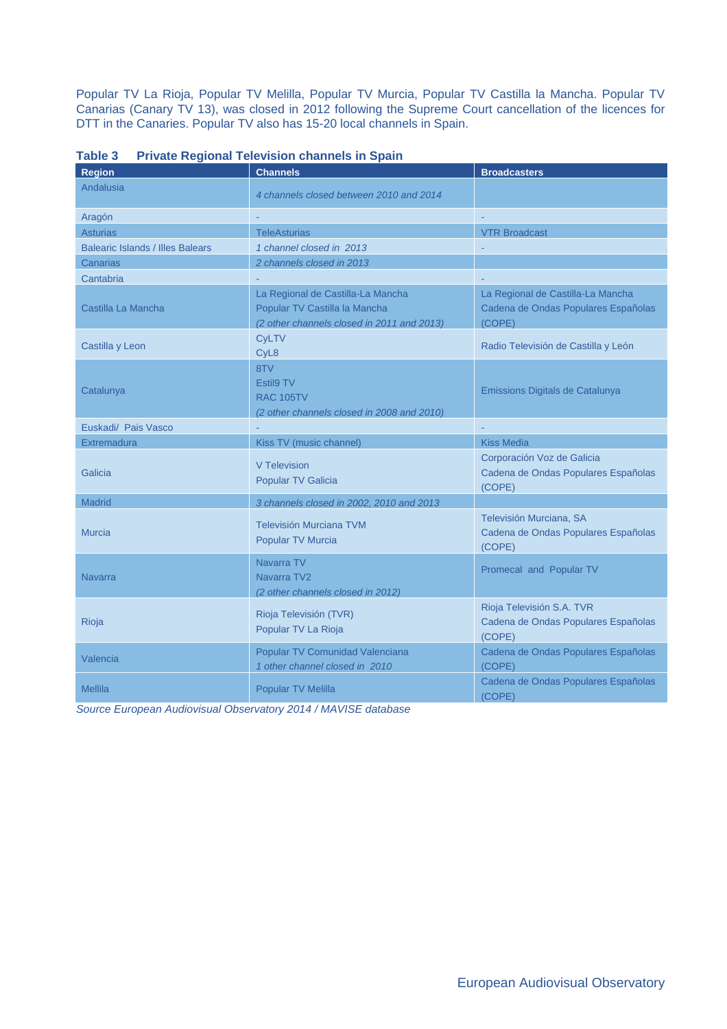Popular TV La Rioja, Popular TV Melilla, Popular TV Murcia, Popular TV Castilla la Mancha. Popular TV Canarias (Canary TV 13), was closed in 2012 following the Supreme Court cancellation of the licences for DTT in the Canaries. Popular TV also has 15-20 local channels in Spain.

| <b>Region</b>                           | <b>Channels</b>                                                                                                  | <b>Broadcasters</b>                                                                |
|-----------------------------------------|------------------------------------------------------------------------------------------------------------------|------------------------------------------------------------------------------------|
| Andalusia                               | 4 channels closed between 2010 and 2014                                                                          |                                                                                    |
| Aragón                                  |                                                                                                                  |                                                                                    |
| <b>Asturias</b>                         | <b>TeleAsturias</b>                                                                                              | <b>VTR Broadcast</b>                                                               |
| <b>Balearic Islands / Illes Balears</b> | 1 channel closed in 2013                                                                                         |                                                                                    |
| Canarias                                | 2 channels closed in 2013                                                                                        |                                                                                    |
| Cantabria                               |                                                                                                                  |                                                                                    |
| Castilla La Mancha                      | La Regional de Castilla-La Mancha<br>Popular TV Castilla la Mancha<br>(2 other channels closed in 2011 and 2013) | La Regional de Castilla-La Mancha<br>Cadena de Ondas Populares Españolas<br>(COPE) |
| Castilla y Leon                         | <b>CyLTV</b><br>CyL <sub>8</sub>                                                                                 | Radio Televisión de Castilla y León                                                |
| Catalunya                               | 8TV<br>Estil9 TV<br><b>RAC 105TV</b><br>(2 other channels closed in 2008 and 2010)                               | Emissions Digitals de Catalunya                                                    |
| Euskadi/ Pais Vasco                     |                                                                                                                  |                                                                                    |
| <b>Extremadura</b>                      | Kiss TV (music channel)                                                                                          | <b>Kiss Media</b>                                                                  |
| Galicia                                 | V Television<br><b>Popular TV Galicia</b>                                                                        | Corporación Voz de Galicia<br>Cadena de Ondas Populares Españolas<br>(COPE)        |
| <b>Madrid</b>                           | 3 channels closed in 2002, 2010 and 2013                                                                         |                                                                                    |
| <b>Murcia</b>                           | <b>Televisión Murciana TVM</b><br>Popular TV Murcia                                                              | Televisión Murciana, SA<br>Cadena de Ondas Populares Españolas<br>(COPE)           |
| <b>Navarra</b>                          | Navarra TV<br>Navarra TV2<br>(2 other channels closed in 2012)                                                   | Promecal and Popular TV                                                            |
| Rioja                                   | Rioja Televisión (TVR)<br>Popular TV La Rioja                                                                    | Rioja Televisión S.A. TVR<br>Cadena de Ondas Populares Españolas<br>(COPE)         |
| Valencia                                | Popular TV Comunidad Valenciana<br>1 other channel closed in 2010                                                | Cadena de Ondas Populares Españolas<br>(COPE)                                      |
| <b>Mellila</b>                          | <b>Popular TV Melilla</b>                                                                                        | Cadena de Ondas Populares Españolas<br>(COPE)                                      |

**Table 3 Private Regional Television channels in Spain** 

*Source European Audiovisual Observatory 2014 / MAVISE database*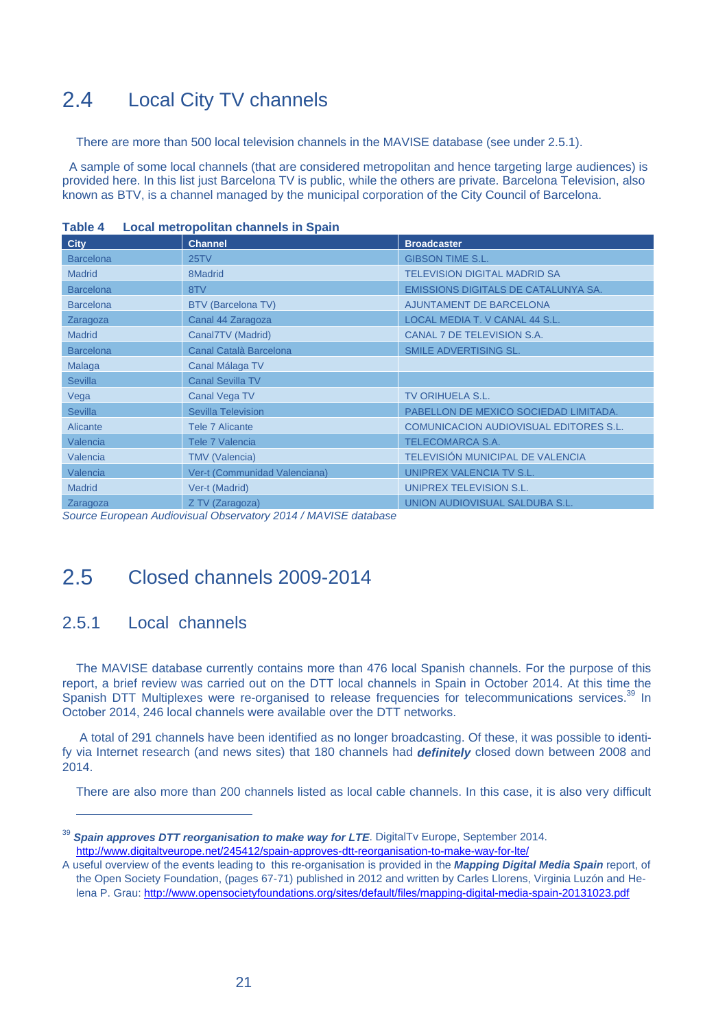# 2.4 Local City TV channels

There are more than 500 local television channels in the MAVISE database (see under 2.5.1).

 A sample of some local channels (that are considered metropolitan and hence targeting large audiences) is provided here. In this list just Barcelona TV is public, while the others are private. Barcelona Television, also known as BTV, is a channel managed by the municipal corporation of the City Council of Barcelona.

| <b>City</b>      | <b>Channel</b>                | <b>Broadcaster</b>                     |
|------------------|-------------------------------|----------------------------------------|
| <b>Barcelona</b> | 25 <sub>T</sub>               | <b>GIBSON TIME S.L.</b>                |
| <b>Madrid</b>    | 8Madrid                       | <b>TELEVISION DIGITAL MADRID SA</b>    |
| <b>Barcelona</b> | 8TV                           | EMISSIONS DIGITALS DE CATALUNYA SA.    |
| <b>Barcelona</b> | <b>BTV (Barcelona TV)</b>     | <b>AJUNTAMENT DE BARCELONA</b>         |
| Zaragoza         | Canal 44 Zaragoza             | LOCAL MEDIA T. V CANAL 44 S.L.         |
| <b>Madrid</b>    | Canal7TV (Madrid)             | CANAL 7 DE TELEVISION S.A.             |
| <b>Barcelona</b> | Canal Català Barcelona        | <b>SMILE ADVERTISING SL.</b>           |
| Malaga           | Canal Málaga TV               |                                        |
| <b>Sevilla</b>   | <b>Canal Sevilla TV</b>       |                                        |
| Vega             | Canal Vega TV                 | <b>TV ORIHUELA S.L.</b>                |
| <b>Sevilla</b>   | Sevilla Television            | PABELLON DE MEXICO SOCIEDAD LIMITADA.  |
| Alicante         | Tele 7 Alicante               | COMUNICACION AUDIOVISUAL EDITORES S.L. |
| Valencia         | Tele 7 Valencia               | <b>TELECOMARCA S.A.</b>                |
| Valencia         | <b>TMV</b> (Valencia)         | TELEVISIÓN MUNICIPAL DE VALENCIA       |
| Valencia         | Ver-t (Communidad Valenciana) | UNIPREX VALENCIA TV S.L.               |
| <b>Madrid</b>    | Ver-t (Madrid)                | UNIPREX TELEVISION S.L.                |
| Zaragoza         | Z TV (Zaragoza)               | UNION AUDIOVISUAL SALDUBA S.L.         |

**Table 4 Local metropolitan channels in Spain** 

*Source European Audiovisual Observatory 2014 / MAVISE database*

# 2.5 Closed channels 2009-2014

#### 2.5.1 Local channels

 $\overline{a}$ 

The MAVISE database currently contains more than 476 local Spanish channels. For the purpose of this report, a brief review was carried out on the DTT local channels in Spain in October 2014. At this time the Spanish DTT Multiplexes were re-organised to release frequencies for telecommunications services.<sup>39</sup> In October 2014, 246 local channels were available over the DTT networks.

 A total of 291 channels have been identified as no longer broadcasting. Of these, it was possible to identify via Internet research (and news sites) that 180 channels had *definitely* closed down between 2008 and 2014.

There are also more than 200 channels listed as local cable channels. In this case, it is also very difficult

<sup>&</sup>lt;sup>39</sup> Spain approves DTT reorganisation to make way for LTE. DigitalTv Europe, September 2014. http://www.digitaltveurope.net/245412/spain-approves-dtt-reorganisation-to-make-way-for-lte/

A useful overview of the events leading to this re-organisation is provided in the *Mapping Digital Media Spain* report, of the Open Society Foundation, (pages 67-71) published in 2012 and written by Carles Llorens, Virginia Luzón and Helena P. Grau: http://www.opensocietyfoundations.org/sites/default/files/mapping-digital-media-spain-20131023.pdf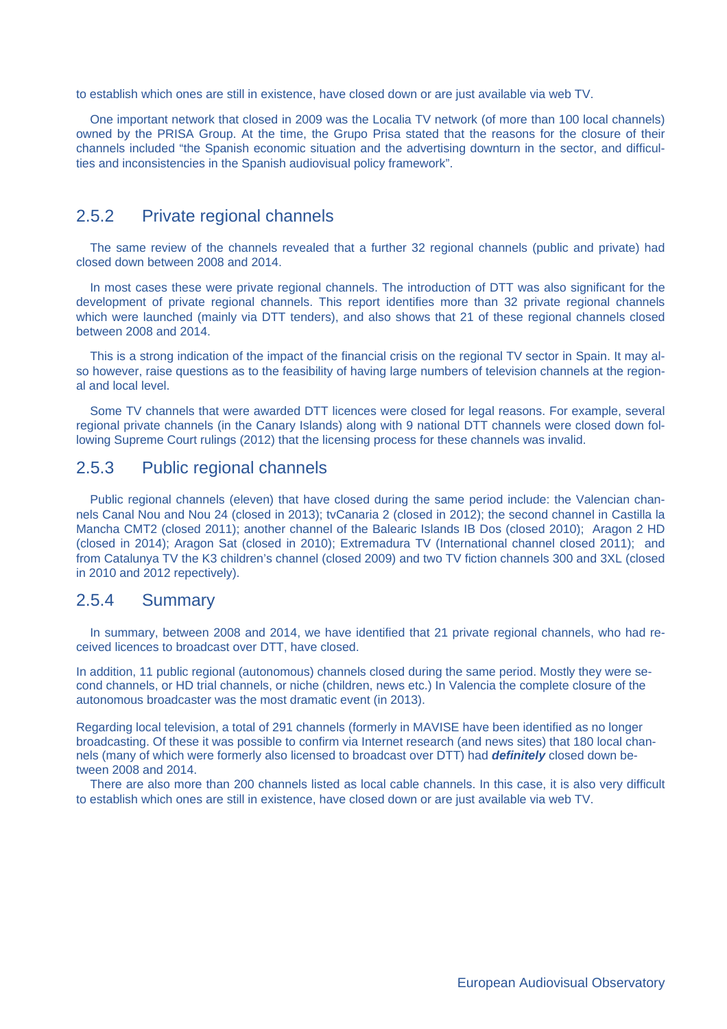to establish which ones are still in existence, have closed down or are just available via web TV.

One important network that closed in 2009 was the Localia TV network (of more than 100 local channels) owned by the PRISA Group. At the time, the Grupo Prisa stated that the reasons for the closure of their channels included "the Spanish economic situation and the advertising downturn in the sector, and difficulties and inconsistencies in the Spanish audiovisual policy framework".

#### 2.5.2 Private regional channels

The same review of the channels revealed that a further 32 regional channels (public and private) had closed down between 2008 and 2014.

In most cases these were private regional channels. The introduction of DTT was also significant for the development of private regional channels. This report identifies more than 32 private regional channels which were launched (mainly via DTT tenders), and also shows that 21 of these regional channels closed between 2008 and 2014.

This is a strong indication of the impact of the financial crisis on the regional TV sector in Spain. It may also however, raise questions as to the feasibility of having large numbers of television channels at the regional and local level.

Some TV channels that were awarded DTT licences were closed for legal reasons. For example, several regional private channels (in the Canary Islands) along with 9 national DTT channels were closed down following Supreme Court rulings (2012) that the licensing process for these channels was invalid.

#### 2.5.3 Public regional channels

Public regional channels (eleven) that have closed during the same period include: the Valencian channels Canal Nou and Nou 24 (closed in 2013); tvCanaria 2 (closed in 2012); the second channel in Castilla la Mancha CMT2 (closed 2011); another channel of the Balearic Islands IB Dos (closed 2010); Aragon 2 HD (closed in 2014); Aragon Sat (closed in 2010); Extremadura TV (International channel closed 2011); and from Catalunya TV the K3 children's channel (closed 2009) and two TV fiction channels 300 and 3XL (closed in 2010 and 2012 repectively).

#### 2.5.4 Summary

In summary, between 2008 and 2014, we have identified that 21 private regional channels, who had received licences to broadcast over DTT, have closed.

In addition, 11 public regional (autonomous) channels closed during the same period. Mostly they were second channels, or HD trial channels, or niche (children, news etc.) In Valencia the complete closure of the autonomous broadcaster was the most dramatic event (in 2013).

Regarding local television, a total of 291 channels (formerly in MAVISE have been identified as no longer broadcasting. Of these it was possible to confirm via Internet research (and news sites) that 180 local channels (many of which were formerly also licensed to broadcast over DTT) had *definitely* closed down between 2008 and 2014.

There are also more than 200 channels listed as local cable channels. In this case, it is also very difficult to establish which ones are still in existence, have closed down or are just available via web TV.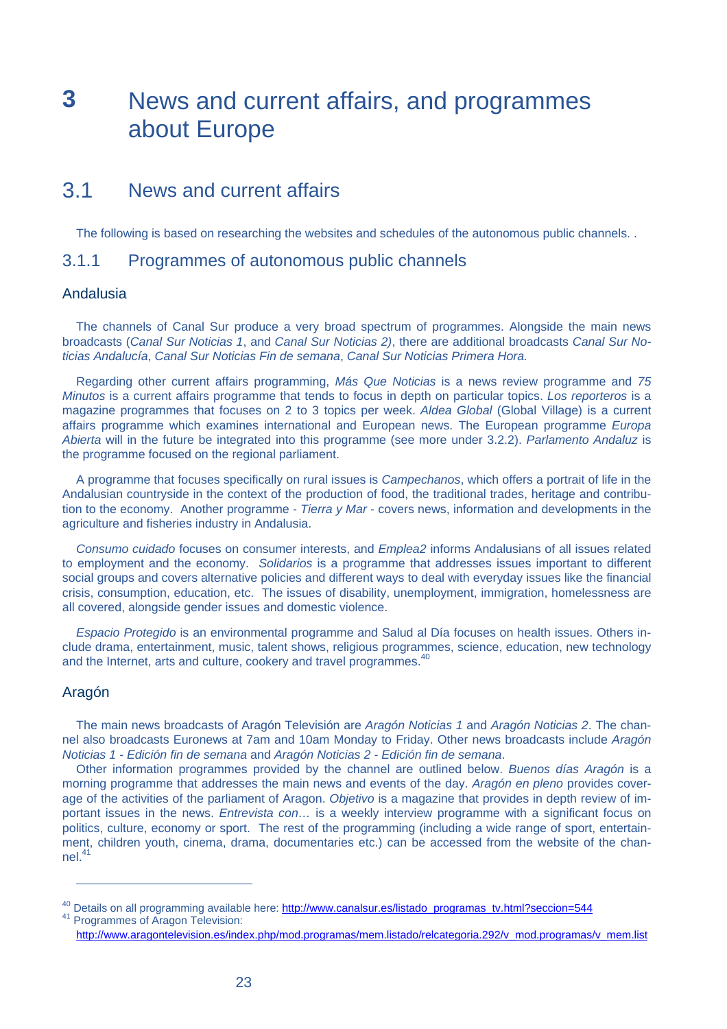# **3** News and current affairs, and programmes about Europe

# 3.1 News and current affairs

The following is based on researching the websites and schedules of the autonomous public channels. .

#### 3.1.1 Programmes of autonomous public channels

#### Andalusia

The channels of Canal Sur produce a very broad spectrum of programmes. Alongside the main news broadcasts (*Canal Sur Noticias 1*, and *Canal Sur Noticias 2)*, there are additional broadcasts *Canal Sur Noticias Andalucía*, *Canal Sur Noticias Fin de semana*, *Canal Sur Noticias Primera Hora.* 

Regarding other current affairs programming, *Más Que Noticias* is a news review programme and *75 Minutos* is a current affairs programme that tends to focus in depth on particular topics. *Los reporteros* is a magazine programmes that focuses on 2 to 3 topics per week. *Aldea Global* (Global Village) is a current affairs programme which examines international and European news. The European programme *Europa Abierta* will in the future be integrated into this programme (see more under 3.2.2). *Parlamento Andaluz* is the programme focused on the regional parliament.

A programme that focuses specifically on rural issues is *Campechanos*, which offers a portrait of life in the Andalusian countryside in the context of the production of food, the traditional trades, heritage and contribution to the economy. Another programme - *Tierra y Mar* - covers news, information and developments in the agriculture and fisheries industry in Andalusia.

*Consumo cuidado* focuses on consumer interests, and *Emplea2* informs Andalusians of all issues related to employment and the economy. *Solidarios* is a programme that addresses issues important to different social groups and covers alternative policies and different ways to deal with everyday issues like the financial crisis, consumption, education, etc. The issues of disability, unemployment, immigration, homelessness are all covered, alongside gender issues and domestic violence.

*Espacio Protegido* is an environmental programme and Salud al Día focuses on health issues. Others include drama, entertainment, music, talent shows, religious programmes, science, education, new technology and the Internet, arts and culture, cookery and travel programmes.<sup>40</sup>

#### Aragón

 $\overline{a}$ 

The main news broadcasts of Aragón Televisión are *Aragón Noticias 1* and *Aragón Noticias 2*. The channel also broadcasts Euronews at 7am and 10am Monday to Friday. Other news broadcasts include *Aragón Noticias 1 - Edición fin de semana* and *Aragón Noticias 2 - Edición fin de semana*.

Other information programmes provided by the channel are outlined below. *Buenos días Aragón* is a morning programme that addresses the main news and events of the day. *Aragón en pleno* provides coverage of the activities of the parliament of Aragon. *Objetivo* is a magazine that provides in depth review of important issues in the news. *Entrevista con…* is a weekly interview programme with a significant focus on politics, culture, economy or sport.The rest of the programming (including a wide range of sport, entertainment, children youth, cinema, drama, documentaries etc.) can be accessed from the website of the channel.41

<sup>&</sup>lt;sup>40</sup> Details on all programming available here: http://www.canalsur.es/listado\_programas\_tv.html?seccion=544  $^{41}$  Programmes of Aragon Television:

http://www.aragontelevision.es/index.php/mod.programas/mem.listado/relcategoria.292/v\_mod.programas/v\_mem.list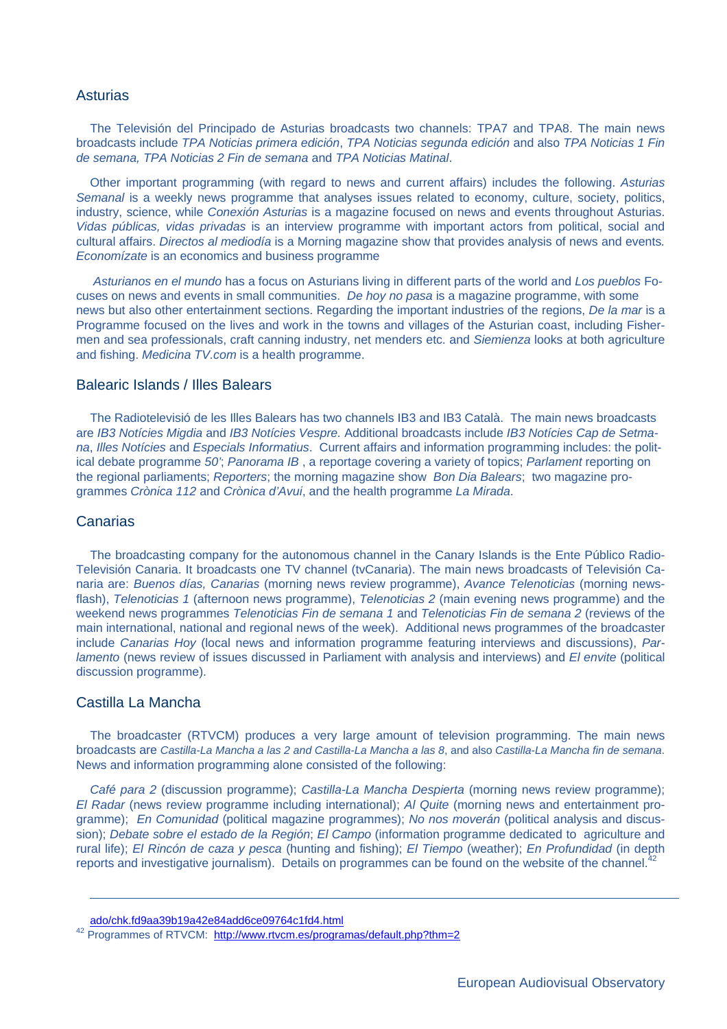#### **Asturias**

The Televisión del Principado de Asturias broadcasts two channels: TPA7 and TPA8. The main news broadcasts include *TPA Noticias primera edición*, *TPA Noticias segunda edición* and also *TPA Noticias 1 Fin de semana, TPA Noticias 2 Fin de semana* and *TPA Noticias Matinal*.

Other important programming (with regard to news and current affairs) includes the following. *Asturias Semanal* is a weekly news programme that analyses issues related to economy, culture, society, politics, industry, science, while *Conexión Asturias* is a magazine focused on news and events throughout Asturias. *Vidas públicas, vidas privadas* is an interview programme with important actors from political, social and cultural affairs. *Directos al mediodía* is a Morning magazine show that provides analysis of news and events*. Economízate* is an economics and business programme

*Asturianos en el mundo* has a focus on Asturians living in different parts of the world and *Los pueblos* Focuses on news and events in small communities. *De hoy no pasa* is a magazine programme, with some news but also other entertainment sections. Regarding the important industries of the regions, *De la mar* is a Programme focused on the lives and work in the towns and villages of the Asturian coast, including Fishermen and sea professionals, craft canning industry, net menders etc. and *Siemienza* looks at both agriculture and fishing. *Medicina TV.com* is a health programme.

#### Balearic Islands / Illes Balears

The Radiotelevisió de les Illes Balears has two channels IB3 and IB3 Català. The main news broadcasts are *IB3 Notícies Migdia* and *IB3 Notícies Vespre.* Additional broadcasts include *IB3 Notícies Cap de Setmana*, *Illes Notícies* and *Especials Informatius*. Current affairs and information programming includes: the political debate programme *50'*; *Panorama IB* , a reportage covering a variety of topics; *Parlament* reporting on the regional parliaments; *Reporters*; the morning magazine show *Bon Dia Balears*; two magazine programmes *Crònica 112* and *Crònica d'Avui*, and the health programme *La Mirada*.

#### **Canarias**

The broadcasting company for the autonomous channel in the Canary Islands is the Ente Público Radio-Televisión Canaria. It broadcasts one TV channel (tvCanaria). The main news broadcasts of Televisión Canaria are: *Buenos días, Canarias* (morning news review programme), *Avance Telenoticias* (morning newsflash), *Telenoticias 1* (afternoon news programme), *Telenoticias 2* (main evening news programme) and the weekend news programmes *Telenoticias Fin de semana 1* and *Telenoticias Fin de semana 2* (reviews of the main international, national and regional news of the week). Additional news programmes of the broadcaster include *Canarias Hoy* (local news and information programme featuring interviews and discussions), *Parlamento* (news review of issues discussed in Parliament with analysis and interviews) and *El envite* (political discussion programme).

#### Castilla La Mancha

 $\overline{a}$ 

The broadcaster (RTVCM) produces a very large amount of television programming. The main news broadcasts are *Castilla-La Mancha a las 2 and Castilla-La Mancha a las 8*, and also *Castilla-La Mancha fin de semana*. News and information programming alone consisted of the following:

*Café para 2* (discussion programme); *Castilla-La Mancha Despierta* (morning news review programme); *El Radar* (news review programme including international); *Al Quite* (morning news and entertainment programme); *En Comunidad* (political magazine programmes); *No nos moverán* (political analysis and discussion); *Debate sobre el estado de la Región*; *El Campo* (information programme dedicated to agriculture and rural life); *El Rincón de caza y pesca* (hunting and fishing); *El Tiempo* (weather); *En Profundidad* (in depth reports and investigative journalism). Details on programmes can be found on the website of the channel.<sup>4</sup>

ado/chk.fd9aa39b19a42e84add6ce09764c1fd4.html

<sup>42</sup> Programmes of RTVCM: http://www.rtvcm.es/programas/default.php?thm=2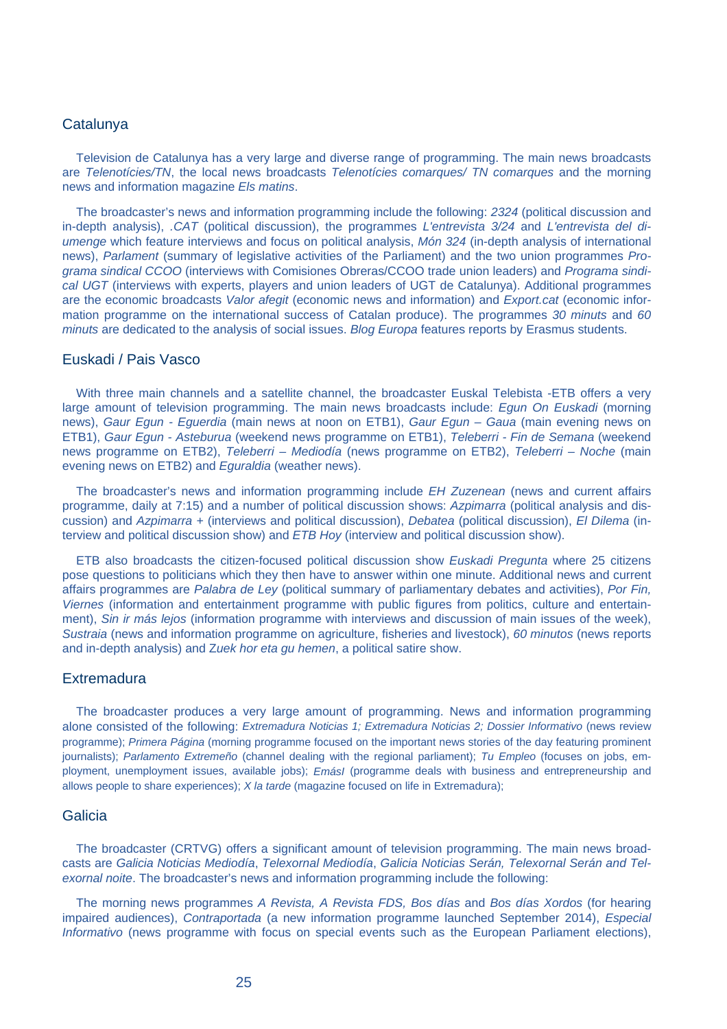#### **Catalunya**

Television de Catalunya has a very large and diverse range of programming. The main news broadcasts are *Telenotícies/TN*, the local news broadcasts *Telenotícies comarques/ TN comarques* and the morning news and information magazine *Els matins*.

The broadcaster's news and information programming include the following: *2324* (political discussion and in-depth analysis), *.CAT* (political discussion), the programmes *L'entrevista 3/24* and *L'entrevista del diumenge* which feature interviews and focus on political analysis, *Món 324* (in-depth analysis of international news), *Parlament* (summary of legislative activities of the Parliament) and the two union programmes *Programa sindical CCOO* (interviews with Comisiones Obreras/CCOO trade union leaders) and *Programa sindical UGT* (interviews with experts, players and union leaders of UGT de Catalunya). Additional programmes are the economic broadcasts *Valor afegit* (economic news and information) and *Export.cat* (economic information programme on the international success of Catalan produce). The programmes *30 minuts* and *60 minuts* are dedicated to the analysis of social issues. *Blog Europa* features reports by Erasmus students.

#### Euskadi / Pais Vasco

With three main channels and a satellite channel, the broadcaster Euskal Telebista -ETB offers a very large amount of television programming. The main news broadcasts include: *Egun On Euskadi* (morning news), *Gaur Egun - Eguerdia* (main news at noon on ETB1), *Gaur Egun – Gaua* (main evening news on ETB1), *Gaur Egun - Asteburua* (weekend news programme on ETB1), *Teleberri - Fin de Semana* (weekend news programme on ETB2), *Teleberri – Mediodía* (news programme on ETB2), *Teleberri – Noche* (main evening news on ETB2) and *Eguraldia* (weather news).

The broadcaster's news and information programming include *EH Zuzenean* (news and current affairs programme, daily at 7:15) and a number of political discussion shows: *Azpimarra* (political analysis and discussion) and *Azpimarra +* (interviews and political discussion), *Debatea* (political discussion), *El Dilema* (interview and political discussion show) and *ETB Hoy* (interview and political discussion show).

ETB also broadcasts the citizen-focused political discussion show *Euskadi Pregunta* where 25 citizens pose questions to politicians which they then have to answer within one minute. Additional news and current affairs programmes are *Palabra de Ley* (political summary of parliamentary debates and activities), *Por Fin, Viernes* (information and entertainment programme with public figures from politics, culture and entertainment), *Sin ir más lejos* (information programme with interviews and discussion of main issues of the week), *Sustraia* (news and information programme on agriculture, fisheries and livestock), *60 minutos* (news reports and in-depth analysis) and Z*uek hor eta gu hemen*, a political satire show.

#### **Extremadura**

The broadcaster produces a very large amount of programming. News and information programming alone consisted of the following: *Extremadura Noticias 1; Extremadura Noticias 2; Dossier Informativo* (news review programme); *Primera Página* (morning programme focused on the important news stories of the day featuring prominent journalists); *Parlamento Extremeño* (channel dealing with the regional parliament); *Tu Empleo* (focuses on jobs, employment, unemployment issues, available jobs); *EmásI* (programme deals with business and entrepreneurship and allows people to share experiences); *X la tarde* (magazine focused on life in Extremadura);

#### Galicia

The broadcaster (CRTVG) offers a significant amount of television programming. The main news broadcasts are *Galicia Noticias Mediodía*, *Telexornal Mediodía*, *Galicia Noticias Serán, Telexornal Serán and Telexornal noite*. The broadcaster's news and information programming include the following:

The morning news programmes *A Revista, A Revista FDS, Bos días* and *Bos días Xordos* (for hearing impaired audiences), *Contraportada* (a new information programme launched September 2014), *Especial Informativo* (news programme with focus on special events such as the European Parliament elections),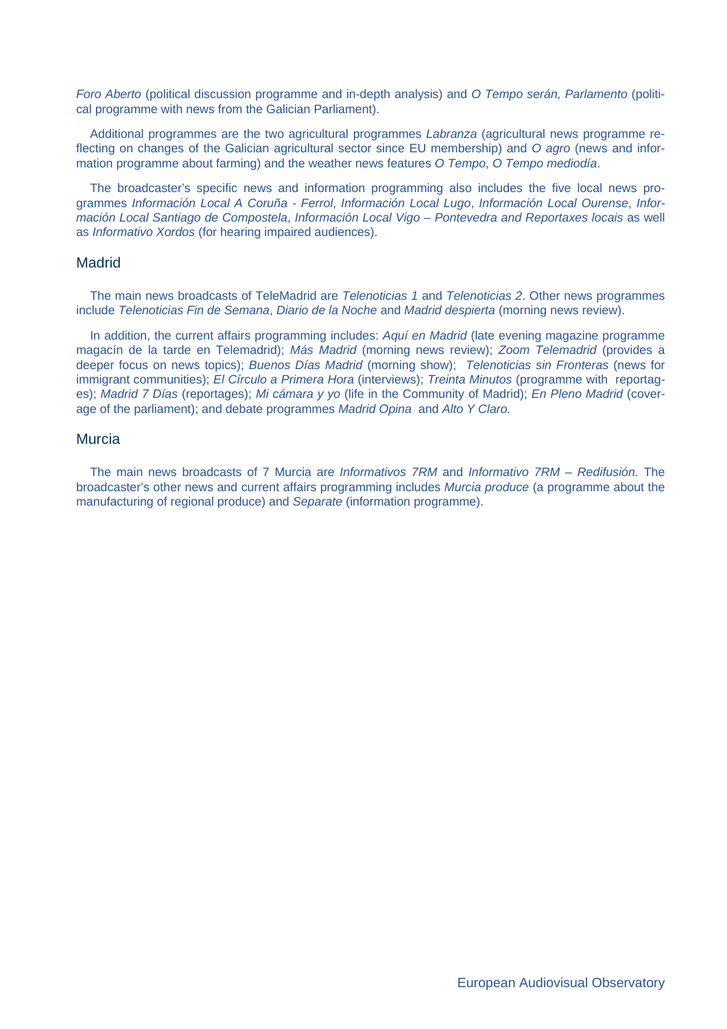*Foro Aberto* (political discussion programme and in-depth analysis) and *O Tempo serán, Parlamento* (political programme with news from the Galician Parliament).

Additional programmes are the two agricultural programmes *Labranza* (agricultural news programme reflecting on changes of the Galician agricultural sector since EU membership) and *O agro* (news and information programme about farming) and the weather news features *O Tempo*, *O Tempo mediodía*.

The broadcaster's specific news and information programming also includes the five local news programmes *Información Local A Coruña - Ferrol*, *Información Local Lugo*, *Información Local Ourense*, *Información Local Santiago de Compostela, Información Local Vigo – Pontevedra and Reportaxes locais as well* as *Informativo Xordos* (for hearing impaired audiences).

#### **Madrid**

The main news broadcasts of TeleMadrid are *Telenoticias 1* and *Telenoticias 2*. Other news programmes include *Telenoticias Fin de Semana*, *Diario de la Noche* and *Madrid despierta* (morning news review).

In addition, the current affairs programming includes: *Aquí en Madrid* (late evening magazine programme magacín de la tarde en Telemadrid); *Más Madrid* (morning news review); *Zoom Telemadrid* (provides a deeper focus on news topics); *Buenos Días Madrid* (morning show); *Telenoticias sin Fronteras* (news for immigrant communities); *El Círculo a Primera Hora* (interviews); *Treinta Minutos* (programme with reportages); *Madrid 7 Días* (reportages); *Mi cámara y yo* (life in the Community of Madrid); *En Pleno Madrid* (coverage of the parliament); and debate programmes *Madrid Opina* and *Alto Y Claro.* 

#### Murcia

The main news broadcasts of 7 Murcia are *Informativos 7RM* and *Informativo 7RM – Redifusión.* The broadcaster's other news and current affairs programming includes *Murcia produce* (a programme about the manufacturing of regional produce) and *Separate* (information programme).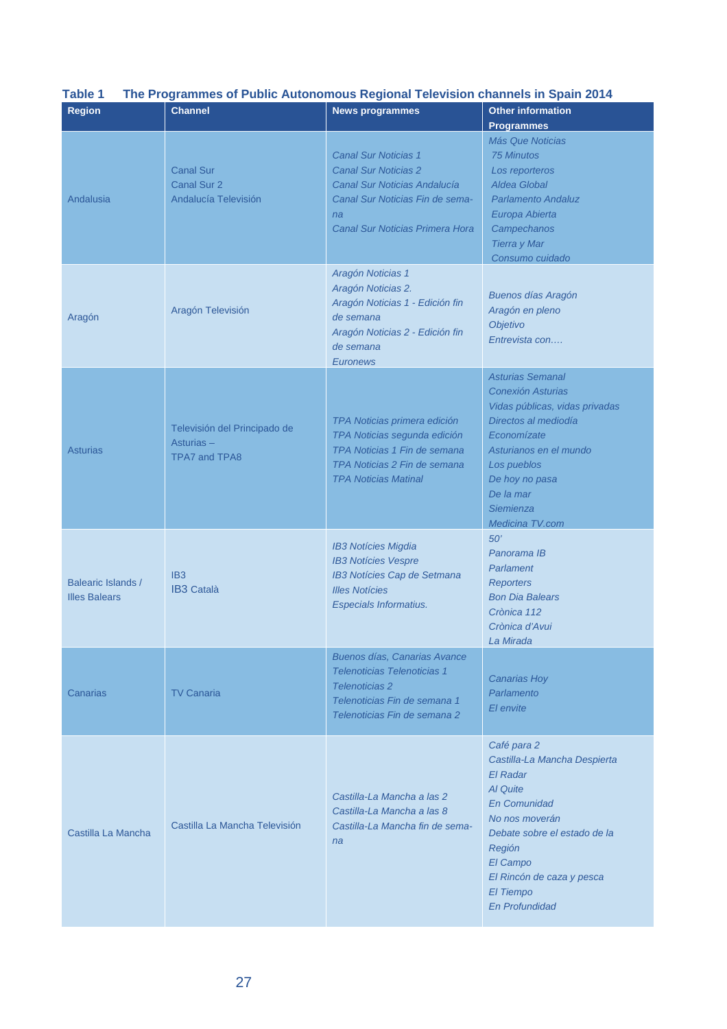| . .<br><b>Region</b>                       | <b>Channel</b>                                                       | <b>News programmes</b>                                                                                                                                                                                            | <b>Other information</b>                                                                                                                                                                                                             |
|--------------------------------------------|----------------------------------------------------------------------|-------------------------------------------------------------------------------------------------------------------------------------------------------------------------------------------------------------------|--------------------------------------------------------------------------------------------------------------------------------------------------------------------------------------------------------------------------------------|
|                                            |                                                                      |                                                                                                                                                                                                                   | <b>Programmes</b>                                                                                                                                                                                                                    |
| Andalusia                                  | <b>Canal Sur</b><br><b>Canal Sur 2</b><br>Andalucía Televisión       | <b>Canal Sur Noticias 1</b><br><b>Canal Sur Noticias 2</b><br>Canal Sur Noticias Andalucía<br>Canal Sur Noticias Fin de sema-<br>na<br>Canal Sur Noticias Primera Hora<br>Aragón Noticias 1<br>Aragón Noticias 2. | Más Que Noticias<br><b>75 Minutos</b><br>Los reporteros<br>Aldea Global<br><b>Parlamento Andaluz</b><br>Europa Abierta<br>Campechanos<br><b>Tierra y Mar</b><br>Consumo cuidado<br><b>Buenos días Aragón</b>                         |
| Aragón                                     | Aragón Televisión                                                    | Aragón Noticias 1 - Edición fin<br>de semana<br>Aragón Noticias 2 - Edición fin<br>de semana<br><b>Euronews</b>                                                                                                   | Aragón en pleno<br>Objetivo<br>Entrevista con                                                                                                                                                                                        |
| Asturias                                   | Televisión del Principado de<br>Asturias $-$<br><b>TPA7 and TPA8</b> | TPA Noticias primera edición<br>TPA Noticias segunda edición<br>TPA Noticias 1 Fin de semana<br>TPA Noticias 2 Fin de semana<br><b>TPA Noticias Matinal</b>                                                       | <b>Asturias Semanal</b><br>Conexión Asturias<br>Vidas públicas, vidas privadas<br>Directos al mediodía<br>Economízate<br>Asturianos en el mundo<br>Los pueblos<br>De hoy no pasa<br>De la mar<br><b>Siemienza</b><br>Medicina TV.com |
| Balearic Islands /<br><b>Illes Balears</b> | IB <sub>3</sub><br><b>IB3 Català</b>                                 | <b>IB3 Notícies Migdia</b><br><b>IB3 Notícies Vespre</b><br>IB3 Notícies Cap de Setmana<br><b>Illes Notícies</b><br>Especials Informatius.                                                                        | 50'<br>Panorama IB<br>Parlament<br><b>Reporters</b><br><b>Bon Dia Balears</b><br>Crònica 112<br>Crònica d'Avui<br>La Mirada                                                                                                          |
| Canarias                                   | <b>TV Canaria</b>                                                    | Buenos días, Canarias Avance<br><b>Telenoticias Telenoticias 1</b><br><b>Telenoticias 2</b><br>Telenoticias Fin de semana 1<br>Telenoticias Fin de semana 2                                                       | Canarias Hoy<br>Parlamento<br>El envite                                                                                                                                                                                              |
| Castilla La Mancha                         | Castilla La Mancha Televisión                                        | Castilla-La Mancha a las 2<br>Castilla-La Mancha a las 8<br>Castilla-La Mancha fin de sema-<br>na                                                                                                                 | Café para 2<br>Castilla-La Mancha Despierta<br>El Radar<br>Al Quite<br>En Comunidad<br>No nos moverán<br>Debate sobre el estado de la<br>Región<br>El Campo<br>El Rincón de caza y pesca<br>El Tiempo<br><b>En Profundidad</b>       |

#### **Table 1 The Programmes of Public Autonomous Regional Television channels in Spain 2014**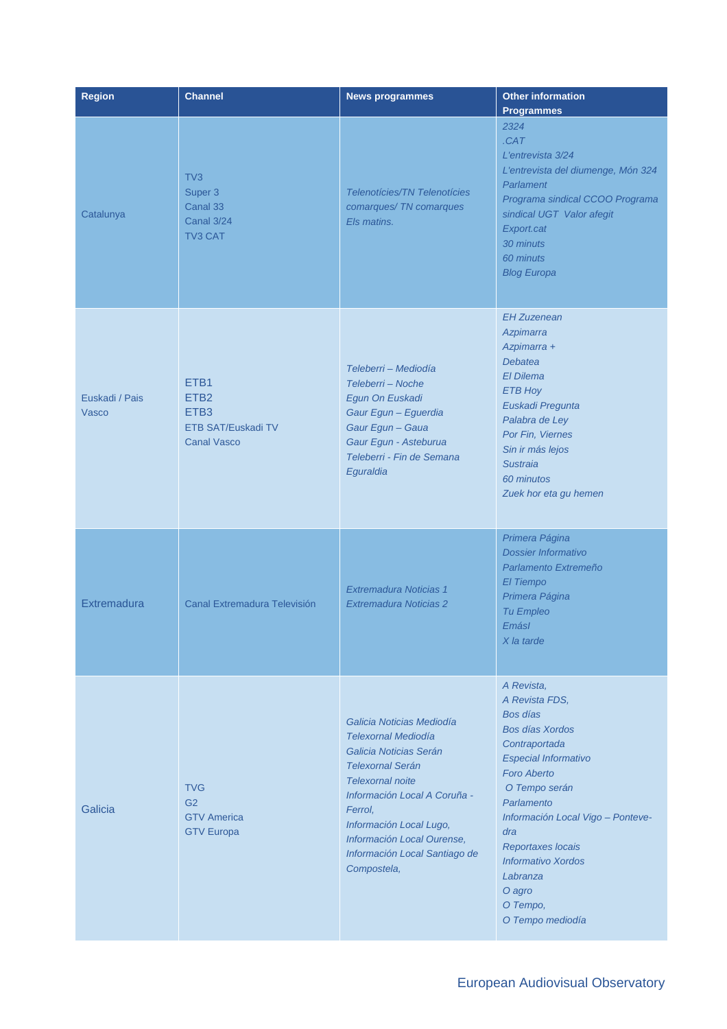| <b>Region</b>           | <b>Channel</b>                                                                           | <b>News programmes</b>                                                                                                                                                                                                                                                                      | <b>Other information</b><br><b>Programmes</b>                                                                                                                                                                                                                                                                               |
|-------------------------|------------------------------------------------------------------------------------------|---------------------------------------------------------------------------------------------------------------------------------------------------------------------------------------------------------------------------------------------------------------------------------------------|-----------------------------------------------------------------------------------------------------------------------------------------------------------------------------------------------------------------------------------------------------------------------------------------------------------------------------|
| Catalunya               | TV3<br>Super 3<br>Canal 33<br><b>Canal 3/24</b><br><b>TV3 CAT</b>                        | <b>Telenotícies/TN Telenotícies</b><br>comarques/ TN comarques<br>Els matins.                                                                                                                                                                                                               | 2324<br>CAT<br>L'entrevista 3/24<br>L'entrevista del diumenge, Món 324<br>Parlament<br>Programa sindical CCOO Programa<br>sindical UGT Valor afegit<br>Export.cat<br>30 minuts<br>60 minuts<br><b>Blog Europa</b>                                                                                                           |
| Euskadi / Pais<br>Vasco | ETB1<br>ETB <sub>2</sub><br>ETB <sub>3</sub><br>ETB SAT/Euskadi TV<br><b>Canal Vasco</b> | Teleberri - Mediodía<br>Teleberri - Noche<br>Egun On Euskadi<br>Gaur Egun - Eguerdia<br>Gaur Egun - Gaua<br>Gaur Egun - Asteburua<br>Teleberri - Fin de Semana<br>Eguraldia                                                                                                                 | <b>EH Zuzenean</b><br>Azpimarra<br>Azpimarra +<br><b>Debatea</b><br>El Dilema<br><b>ETB Hoy</b><br>Euskadi Pregunta<br>Palabra de Ley<br>Por Fin, Viernes<br>Sin ir más lejos<br><b>Sustraia</b><br>60 minutos<br>Zuek hor eta gu hemen                                                                                     |
| Extremadura             | Canal Extremadura Televisión                                                             | Extremadura Noticias 1<br>Extremadura Noticias 2                                                                                                                                                                                                                                            | Primera Página<br>Dossier Informativo<br>Parlamento Extremeño<br>El Tiempo<br>Primera Página<br>Tu Empleo<br>Emásl<br>X la tarde                                                                                                                                                                                            |
| Galicia                 | <b>TVG</b><br>G <sub>2</sub><br><b>GTV America</b><br><b>GTV Europa</b>                  | Galicia Noticias Mediodía<br><b>Telexornal Mediodía</b><br>Galicia Noticias Serán<br><b>Telexornal Serán</b><br><b>Telexornal noite</b><br>Información Local A Coruña -<br>Ferrol,<br>Información Local Lugo,<br>Información Local Ourense,<br>Información Local Santiago de<br>Compostela, | A Revista,<br>A Revista FDS.<br>Bos días<br>Bos días Xordos<br>Contraportada<br><b>Especial Informativo</b><br><b>Foro Aberto</b><br>O Tempo serán<br>Parlamento<br>Información Local Vigo - Ponteve-<br>dra<br><b>Reportaxes locais</b><br><b>Informativo Xordos</b><br>Labranza<br>O agro<br>O Tempo,<br>O Tempo mediodía |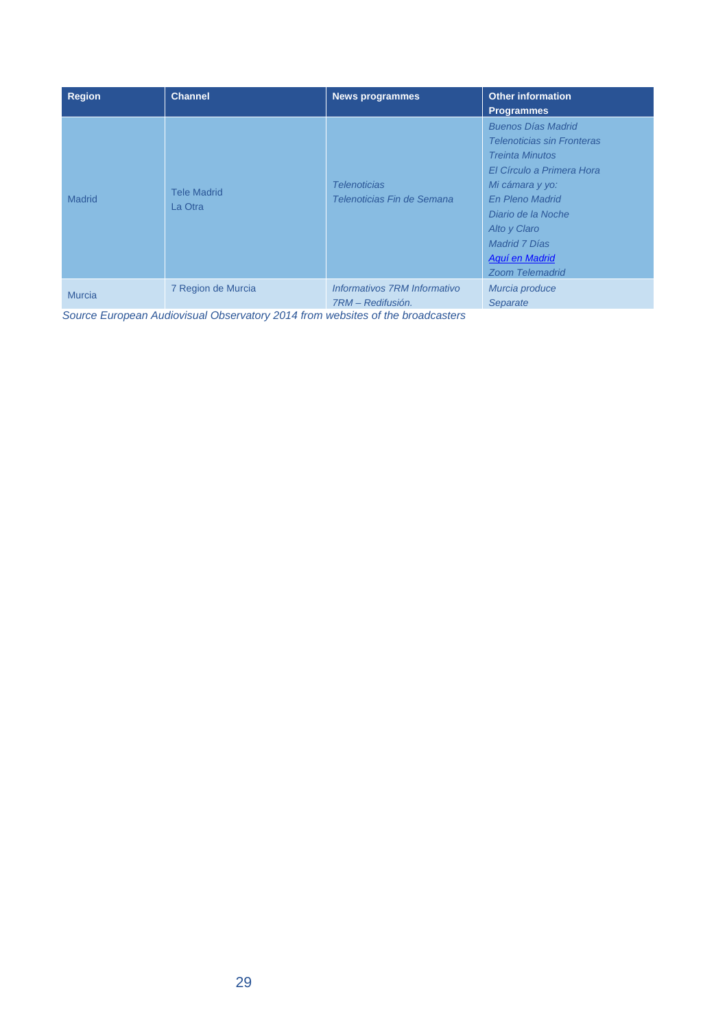| <b>Region</b> | <b>Channel</b>                | <b>News programmes</b>                            | <b>Other information</b><br><b>Programmes</b>                                                                                                                                                                                                                         |
|---------------|-------------------------------|---------------------------------------------------|-----------------------------------------------------------------------------------------------------------------------------------------------------------------------------------------------------------------------------------------------------------------------|
| <b>Madrid</b> | <b>Tele Madrid</b><br>La Otra | <b>Telenoticias</b><br>Telenoticias Fin de Semana | <b>Buenos Días Madrid</b><br><b>Telenoticias sin Fronteras</b><br><b>Treinta Minutos</b><br>El Círculo a Primera Hora<br>Mi cámara y yo:<br><b>En Pleno Madrid</b><br>Diario de la Noche<br>Alto y Claro<br>Madrid 7 Días<br>Aquí en Madrid<br><b>Zoom Telemadrid</b> |
| <b>Murcia</b> | 7 Region de Murcia            | Informativos 7RM Informativo<br>7RM - Redifusión. | Murcia produce<br>Separate                                                                                                                                                                                                                                            |

*Source European Audiovisual Observatory 2014 from websites of the broadcasters*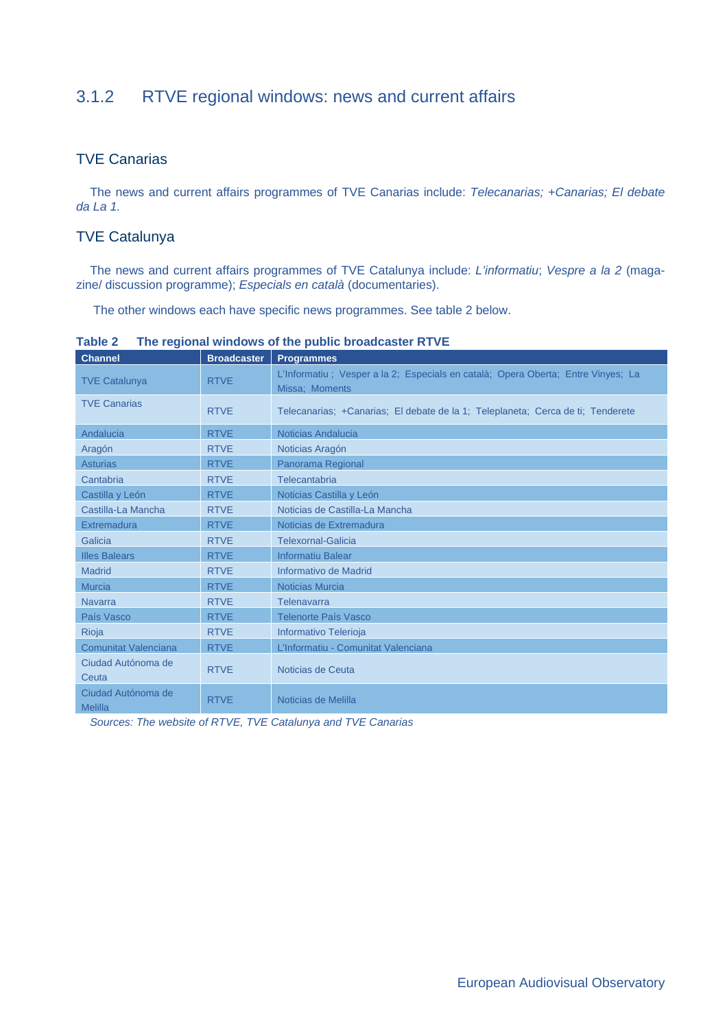# 3.1.2 RTVE regional windows: news and current affairs

#### TVE Canarias

The news and current affairs programmes of TVE Canarias include: *Telecanarias; +Canarias; El debate da La 1.* 

#### TVE Catalunya

The news and current affairs programmes of TVE Catalunya include: *L'informatiu*; *Vespre a la 2* (magazine/ discussion programme); *Especials en català* (documentaries).

The other windows each have specific news programmes. See table 2 below.

| <b>Channel</b>                       | <b>Broadcaster</b> | <b>Programmes</b>                                                                                   |
|--------------------------------------|--------------------|-----------------------------------------------------------------------------------------------------|
| <b>TVE Catalunya</b>                 | <b>RTVE</b>        | L'Informatiu ; Vesper a la 2; Especials en català; Opera Oberta; Entre Vinyes; La<br>Missa; Moments |
| <b>TVE Canarias</b>                  | <b>RTVE</b>        | Telecanarias; +Canarias; El debate de la 1; Teleplaneta; Cerca de ti; Tenderete                     |
| Andalucia                            | <b>RTVE</b>        | Noticias Andalucia                                                                                  |
| Aragón                               | <b>RTVE</b>        | Noticias Aragón                                                                                     |
| <b>Asturias</b>                      | <b>RTVE</b>        | Panorama Regional                                                                                   |
| Cantabria                            | <b>RTVE</b>        | Telecantabria                                                                                       |
| Castilla y León                      | <b>RTVE</b>        | Noticias Castilla y León                                                                            |
| Castilla-La Mancha                   | <b>RTVE</b>        | Noticias de Castilla-La Mancha                                                                      |
| Extremadura                          | <b>RTVE</b>        | Noticias de Extremadura                                                                             |
| Galicia                              | <b>RTVE</b>        | Telexornal-Galicia                                                                                  |
| <b>Illes Balears</b>                 | <b>RTVE</b>        | <b>Informatiu Balear</b>                                                                            |
| <b>Madrid</b>                        | <b>RTVE</b>        | Informativo de Madrid                                                                               |
| <b>Murcia</b>                        | <b>RTVE</b>        | <b>Noticias Murcia</b>                                                                              |
| <b>Navarra</b>                       | <b>RTVE</b>        | Telenavarra                                                                                         |
| País Vasco                           | <b>RTVE</b>        | <b>Telenorte País Vasco</b>                                                                         |
| <b>Rioja</b>                         | <b>RTVE</b>        | Informativo Telerioja                                                                               |
| <b>Comunitat Valenciana</b>          | <b>RTVE</b>        | L'Informatiu - Comunitat Valenciana                                                                 |
| Ciudad Autónoma de<br>Ceuta          | <b>RTVE</b>        | Noticias de Ceuta                                                                                   |
| Ciudad Autónoma de<br><b>Melilla</b> | <b>RTVE</b>        | Noticias de Melilla                                                                                 |

**Table 2 The regional windows of the public broadcaster RTVE** 

*Sources: The website of RTVE, TVE Catalunya and TVE Canarias*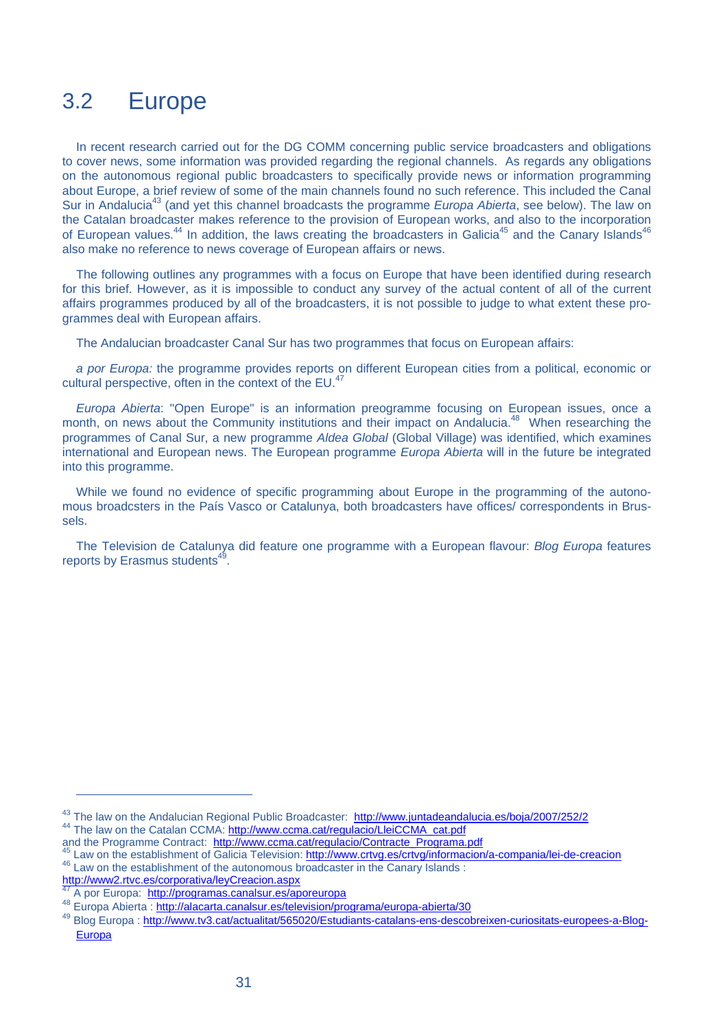# 3.2 Europe

In recent research carried out for the DG COMM concerning public service broadcasters and obligations to cover news, some information was provided regarding the regional channels. As regards any obligations on the autonomous regional public broadcasters to specifically provide news or information programming about Europe, a brief review of some of the main channels found no such reference. This included the Canal Sur in Andalucia<sup>43</sup> (and yet this channel broadcasts the programme *Europa Abierta*, see below). The law on the Catalan broadcaster makes reference to the provision of European works, and also to the incorporation of European values.<sup>44</sup> In addition, the laws creating the broadcasters in Galicia<sup>45</sup> and the Canary Islands<sup>4</sup> also make no reference to news coverage of European affairs or news.

The following outlines any programmes with a focus on Europe that have been identified during research for this brief. However, as it is impossible to conduct any survey of the actual content of all of the current affairs programmes produced by all of the broadcasters, it is not possible to judge to what extent these programmes deal with European affairs.

The Andalucian broadcaster Canal Sur has two programmes that focus on European affairs:

*a por Europa:* the programme provides reports on different European cities from a political, economic or cultural perspective, often in the context of the EU.<sup>47</sup>

*Europa Abierta*: "Open Europe" is an information preogramme focusing on European issues, once a month, on news about the Community institutions and their impact on Andalucia.<sup>48</sup> When researching the programmes of Canal Sur, a new programme *Aldea Global* (Global Village) was identified, which examines international and European news. The European programme *Europa Abierta* will in the future be integrated into this programme.

While we found no evidence of specific programming about Europe in the programming of the autonomous broadcsters in the País Vasco or Catalunya, both broadcasters have offices/ correspondents in Brussels.

The Television de Catalunya did feature one programme with a European flavour: *Blog Europa* features reports by Erasmus students<sup>4</sup>

<sup>&</sup>lt;sup>43</sup> The law on the Andalucian Regional Public Broadcaster: http://www.juntadeandalucia.es/boja/2007/252/2<br><sup>44</sup> The law on the Catalan CCMA: http://www.ccma.cat/regulacio/LleiCCMA\_cat.pdf<br>and the Programme Contract: http:/

<sup>&</sup>lt;sup>45</sup> Law on the establishment of Galicia Television: http://www.crtvg.es/crtvg/informacion/a-compania/lei-de-creacion<br><sup>46</sup> Law on the establishment of the autonomous broadcaster in the Canary Islands :

http://www2.rtvc.es/corporativa/leyCreacion.aspx

A por Europa: http://programas.canalsur.es/aporeuropa

<sup>48</sup> Europa Abierta : http://alacarta.canalsur.es/television/programa/europa-abierta/30

<sup>49</sup> Blog Europa : http://www.tv3.cat/actualitat/565020/Estudiants-catalans-ens-descobreixen-curiositats-europees-a-Blog-Europa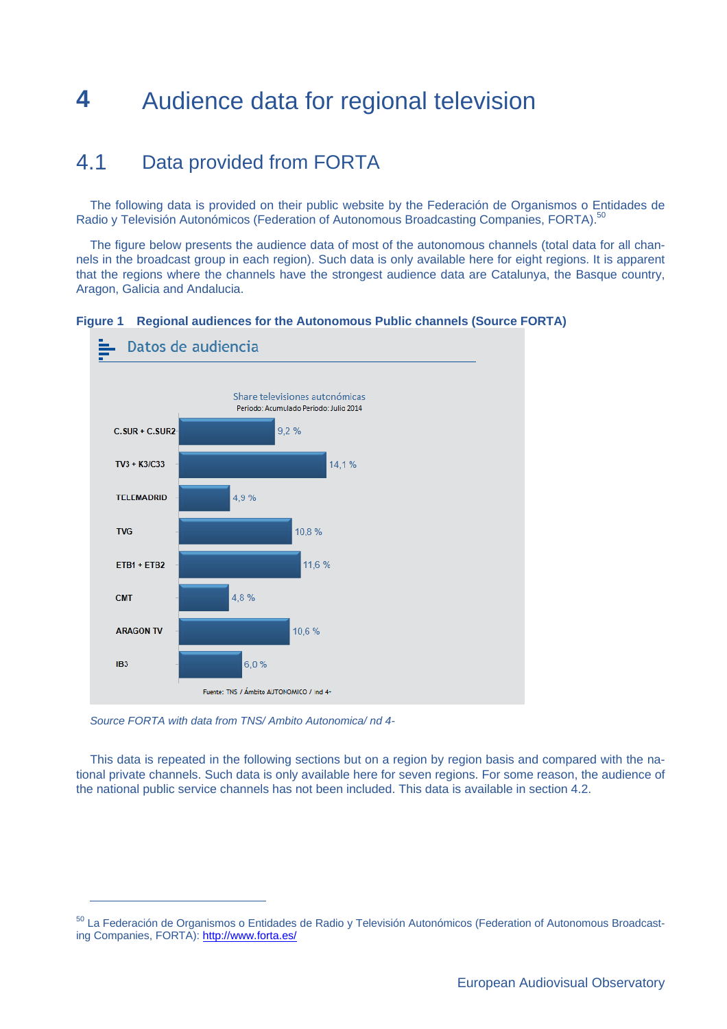# **4** Audience data for regional television

# 4.1 Data provided from FORTA

The following data is provided on their public website by the Federación de Organismos o Entidades de Radio y Televisión Autonómicos (Federation of Autonomous Broadcasting Companies, FORTA).<sup>50</sup>

The figure below presents the audience data of most of the autonomous channels (total data for all channels in the broadcast group in each region). Such data is only available here for eight regions. It is apparent that the regions where the channels have the strongest audience data are Catalunya, the Basque country, Aragon, Galicia and Andalucia.





*Source FORTA with data from TNS/ Ambito Autonomica/ nd 4-* 

 $\overline{a}$ 

This data is repeated in the following sections but on a region by region basis and compared with the national private channels. Such data is only available here for seven regions. For some reason, the audience of the national public service channels has not been included. This data is available in section 4.2.

<sup>50</sup> La Federación de Organismos o Entidades de Radio y Televisión Autonómicos (Federation of Autonomous Broadcasting Companies, FORTA): http://www.forta.es/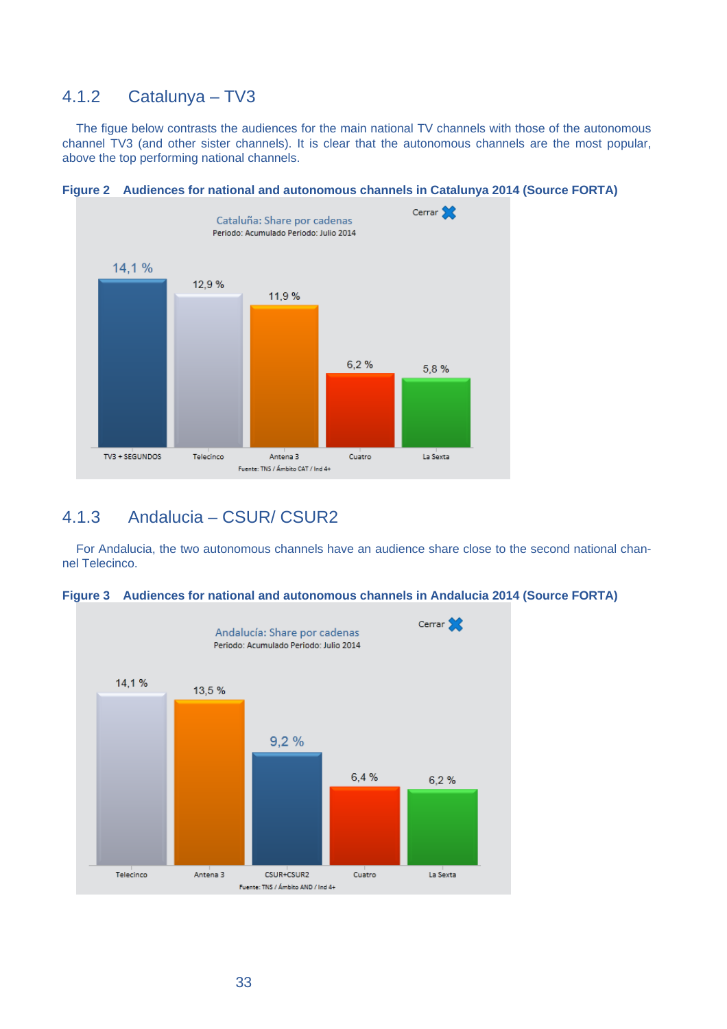#### 4.1.2 Catalunya – TV3

The figue below contrasts the audiences for the main national TV channels with those of the autonomous channel TV3 (and other sister channels). It is clear that the autonomous channels are the most popular, above the top performing national channels.





## 4.1.3 Andalucia – CSUR/ CSUR2

For Andalucia, the two autonomous channels have an audience share close to the second national channel Telecinco.



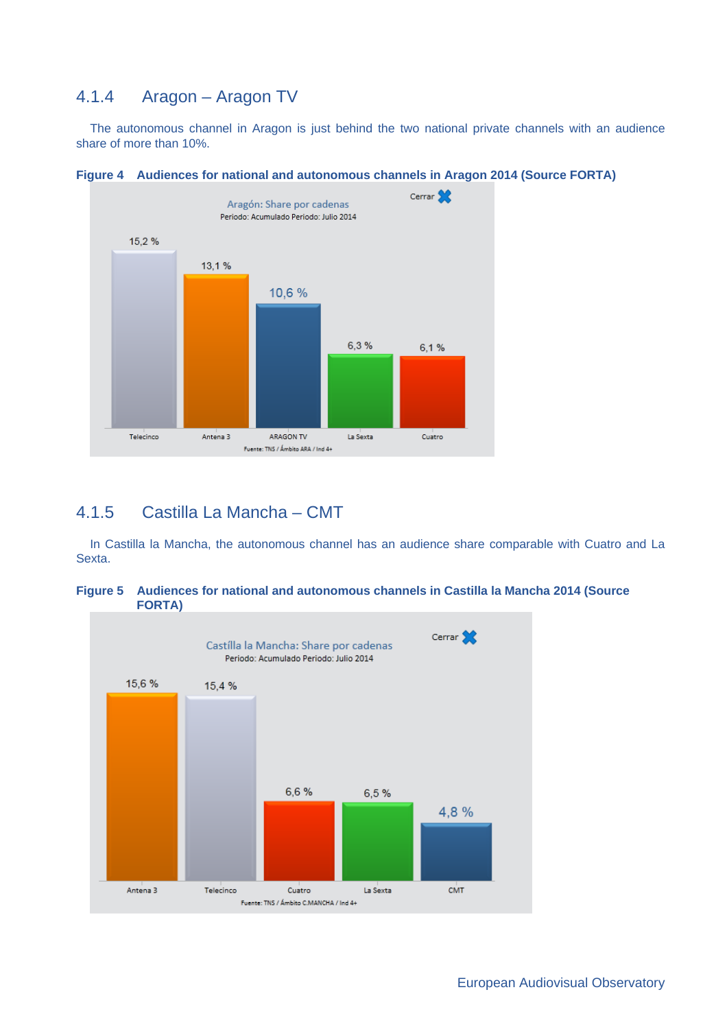# 4.1.4 Aragon – Aragon TV

The autonomous channel in Aragon is just behind the two national private channels with an audience share of more than 10%.



**Figure 4 Audiences for national and autonomous channels in Aragon 2014 (Source FORTA)** 

#### 4.1.5 Castilla La Mancha – CMT

In Castilla la Mancha, the autonomous channel has an audience share comparable with Cuatro and La Sexta.



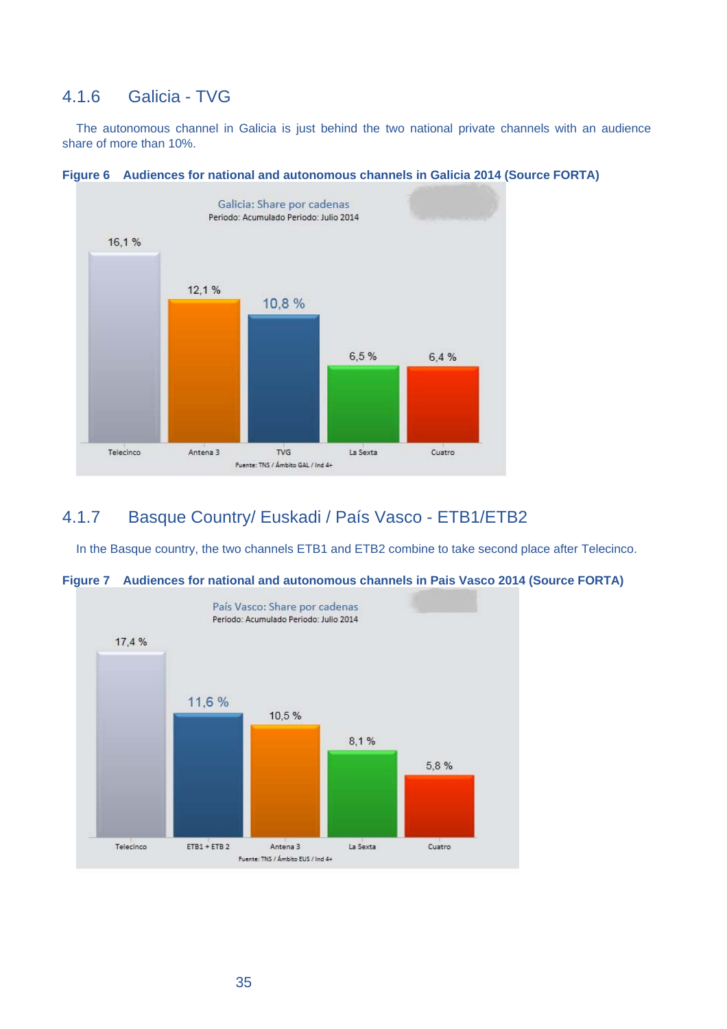### 4.1.6 Galicia - TVG

The autonomous channel in Galicia is just behind the two national private channels with an audience share of more than 10%.





## 4.1.7 Basque Country/ Euskadi / País Vasco - ETB1/ETB2

In the Basque country, the two channels ETB1 and ETB2 combine to take second place after Telecinco.



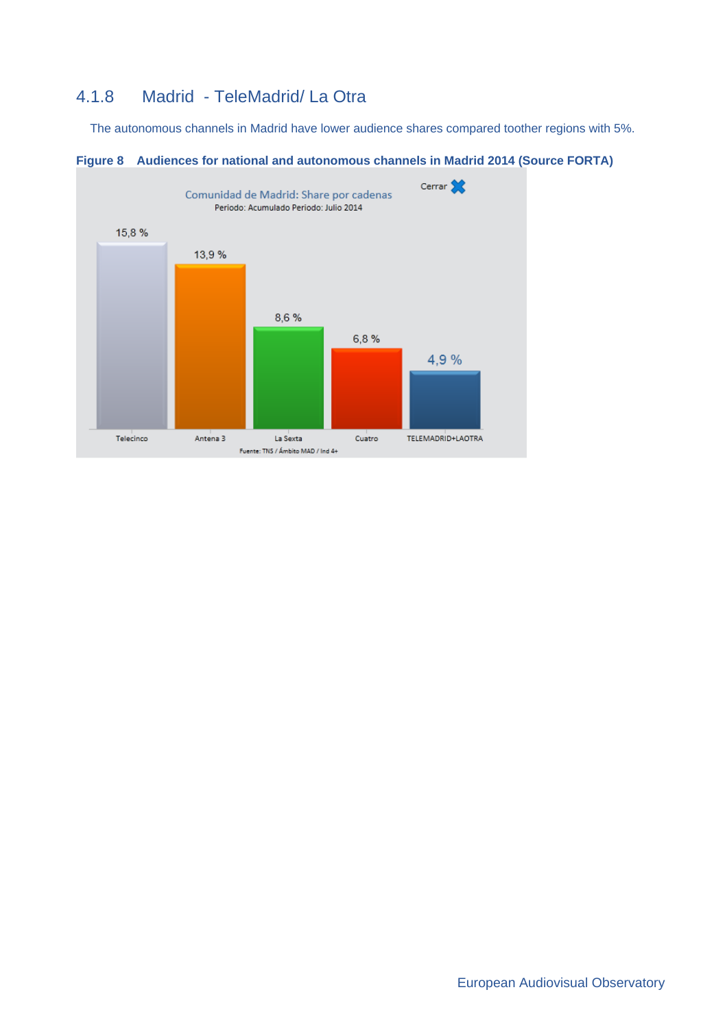# 4.1.8 Madrid - TeleMadrid/ La Otra

The autonomous channels in Madrid have lower audience shares compared toother regions with 5%.



**Figure 8 Audiences for national and autonomous channels in Madrid 2014 (Source FORTA)**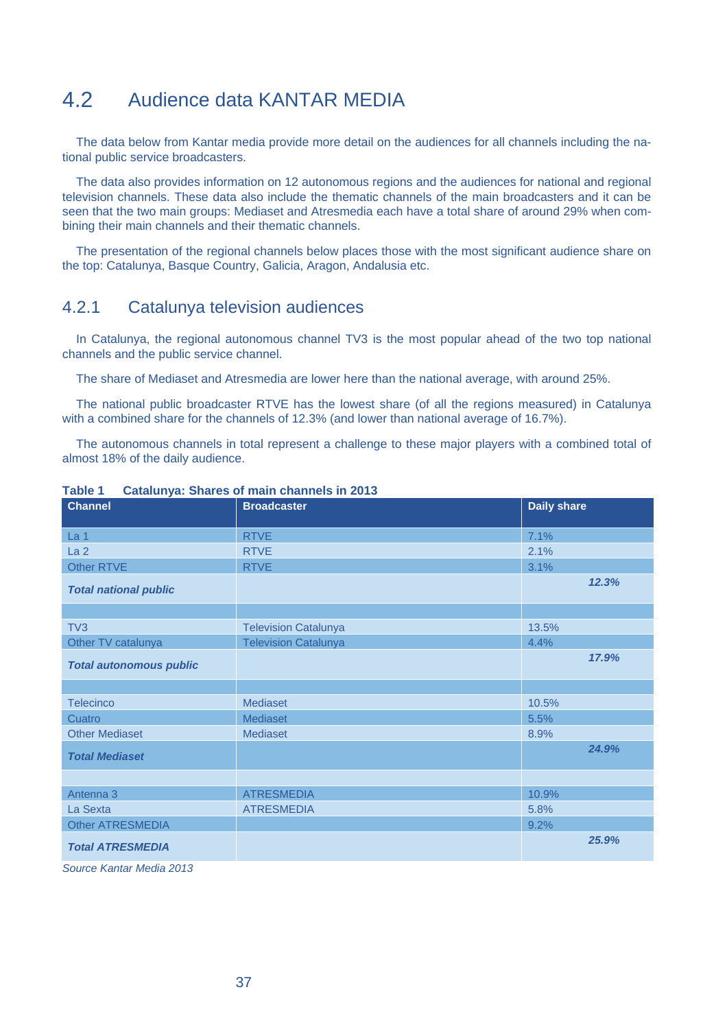# 4.2 Audience data KANTAR MEDIA

The data below from Kantar media provide more detail on the audiences for all channels including the national public service broadcasters.

The data also provides information on 12 autonomous regions and the audiences for national and regional television channels. These data also include the thematic channels of the main broadcasters and it can be seen that the two main groups: Mediaset and Atresmedia each have a total share of around 29% when combining their main channels and their thematic channels.

The presentation of the regional channels below places those with the most significant audience share on the top: Catalunya, Basque Country, Galicia, Aragon, Andalusia etc.

#### 4.2.1 Catalunya television audiences

In Catalunya, the regional autonomous channel TV3 is the most popular ahead of the two top national channels and the public service channel.

The share of Mediaset and Atresmedia are lower here than the national average, with around 25%.

The national public broadcaster RTVE has the lowest share (of all the regions measured) in Catalunya with a combined share for the channels of 12.3% (and lower than national average of 16.7%).

The autonomous channels in total represent a challenge to these major players with a combined total of almost 18% of the daily audience.

| <b>Channel</b>                 | <b>Broadcaster</b>          | <b>Daily share</b> |  |  |
|--------------------------------|-----------------------------|--------------------|--|--|
| La <sub>1</sub>                | <b>RTVE</b>                 | 7.1%               |  |  |
| La <sub>2</sub>                | <b>RTVE</b>                 | 2.1%               |  |  |
| Other RTVE                     | <b>RTVE</b>                 | 3.1%               |  |  |
| <b>Total national public</b>   |                             | 12.3%              |  |  |
|                                |                             |                    |  |  |
| TV <sub>3</sub>                | <b>Television Catalunya</b> | 13.5%              |  |  |
| Other TV catalunya             | <b>Television Catalunya</b> | 4.4%               |  |  |
| <b>Total autonomous public</b> |                             | 17.9%              |  |  |
|                                |                             |                    |  |  |
| <b>Telecinco</b>               | Mediaset                    | 10.5%              |  |  |
| Cuatro                         | Mediaset                    | 5.5%               |  |  |
| <b>Other Mediaset</b>          | Mediaset                    | 8.9%               |  |  |
| <b>Total Mediaset</b>          |                             | 24.9%              |  |  |
|                                |                             |                    |  |  |
| Antenna 3                      | <b>ATRESMEDIA</b>           | 10.9%              |  |  |
| La Sexta                       | <b>ATRESMEDIA</b>           | 5.8%               |  |  |
| <b>Other ATRESMEDIA</b>        |                             | 9.2%               |  |  |
| <b>Total ATRESMEDIA</b>        |                             | 25.9%              |  |  |
| Course Kapter Modio 2012       |                             |                    |  |  |

**Table 1 Catalunya: Shares of main channels in 2013**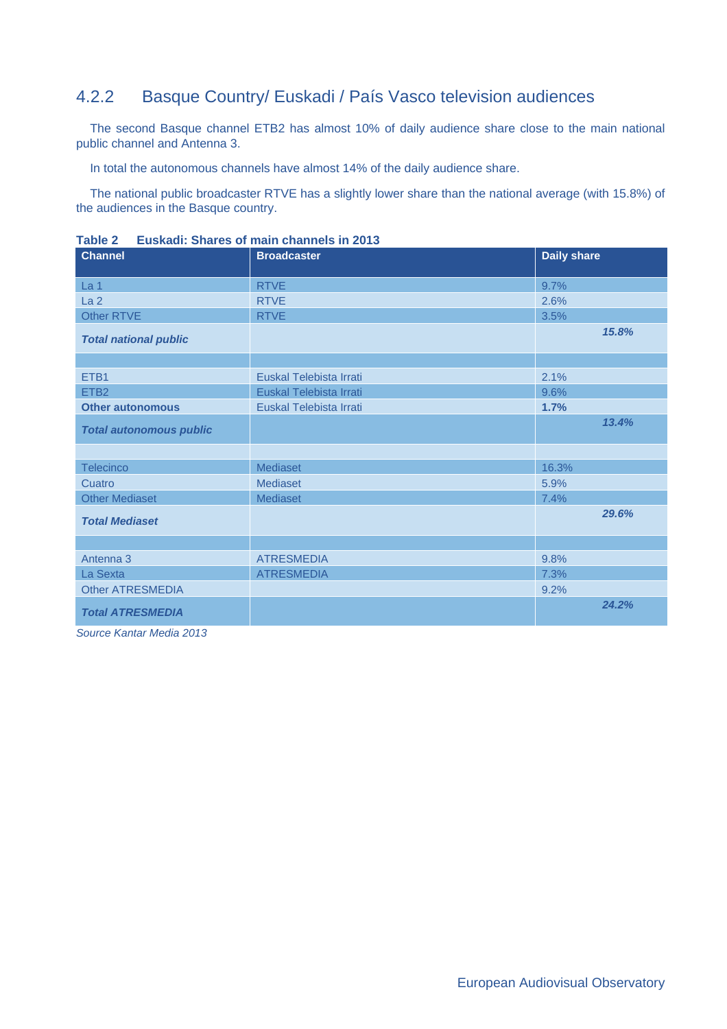# 4.2.2 Basque Country/ Euskadi / País Vasco television audiences

The second Basque channel ETB2 has almost 10% of daily audience share close to the main national public channel and Antenna 3.

In total the autonomous channels have almost 14% of the daily audience share.

The national public broadcaster RTVE has a slightly lower share than the national average (with 15.8%) of the audiences in the Basque country.

| <b>Channel</b>                 | <b>Broadcaster</b>      | <b>Daily share</b> |
|--------------------------------|-------------------------|--------------------|
| La 1                           | <b>RTVE</b>             | 9.7%               |
| La <sub>2</sub>                | <b>RTVE</b>             | 2.6%               |
| Other RTVE                     | <b>RTVE</b>             | 3.5%               |
| <b>Total national public</b>   |                         | 15.8%              |
|                                |                         |                    |
| ETB1                           | Euskal Telebista Irrati | 2.1%               |
| ETB <sub>2</sub>               | Euskal Telebista Irrati | 9.6%               |
| <b>Other autonomous</b>        | Euskal Telebista Irrati | 1.7%               |
| <b>Total autonomous public</b> |                         | 13.4%              |
|                                |                         |                    |
| Telecinco                      | <b>Mediaset</b>         | 16.3%              |
| Cuatro                         | Mediaset                | 5.9%               |
| <b>Other Mediaset</b>          | Mediaset                | 7.4%               |
| <b>Total Mediaset</b>          |                         | 29.6%              |
|                                |                         |                    |
| Antenna 3                      | <b>ATRESMEDIA</b>       | 9.8%               |
| La Sexta                       | <b>ATRESMEDIA</b>       | 7.3%               |
| <b>Other ATRESMEDIA</b>        |                         | 9.2%               |
| <b>Total ATRESMEDIA</b>        |                         | 24.2%              |

**Table 2 Euskadi: Shares of main channels in 2013**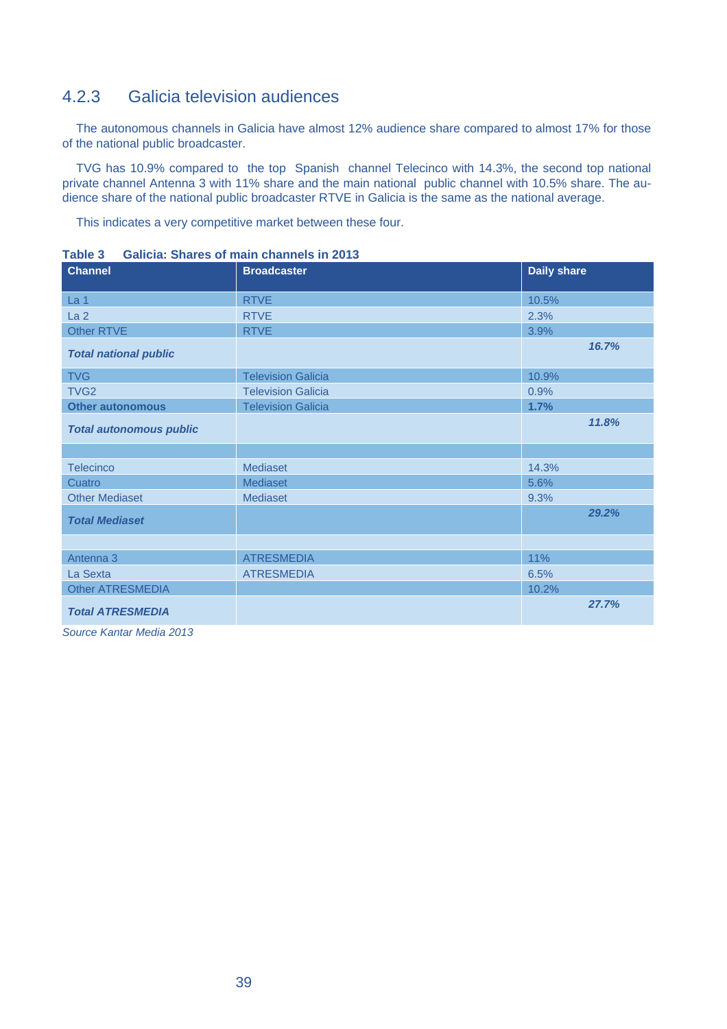# 4.2.3 Galicia television audiences

The autonomous channels in Galicia have almost 12% audience share compared to almost 17% for those of the national public broadcaster.

TVG has 10.9% compared to the top Spanish channel Telecinco with 14.3%, the second top national private channel Antenna 3 with 11% share and the main national public channel with 10.5% share. The audience share of the national public broadcaster RTVE in Galicia is the same as the national average.

This indicates a very competitive market between these four.

| <b>Channel</b>                 | <b>Broadcaster</b>        | <b>Daily share</b> |
|--------------------------------|---------------------------|--------------------|
| La <sub>1</sub>                | <b>RTVE</b>               | 10.5%              |
| La <sub>2</sub>                | <b>RTVE</b>               | 2.3%               |
| <b>Other RTVE</b>              | <b>RTVE</b>               | 3.9%               |
| <b>Total national public</b>   |                           | 16.7%              |
| <b>TVG</b>                     | <b>Television Galicia</b> | 10.9%              |
| TVG <sub>2</sub>               | <b>Television Galicia</b> | 0.9%               |
| <b>Other autonomous</b>        | <b>Television Galicia</b> | 1.7%               |
| <b>Total autonomous public</b> |                           | 11.8%              |
|                                |                           |                    |
| <b>Telecinco</b>               | <b>Mediaset</b>           | 14.3%              |
| Cuatro                         | Mediaset                  | 5.6%               |
| <b>Other Mediaset</b>          | <b>Mediaset</b>           | 9.3%               |
| <b>Total Mediaset</b>          |                           | 29.2%              |
|                                |                           |                    |
| Antenna 3                      | <b>ATRESMEDIA</b>         | 11%                |
| La Sexta                       | <b>ATRESMEDIA</b>         | 6.5%               |
| <b>Other ATRESMEDIA</b>        |                           | 10.2%              |
| <b>Total ATRESMEDIA</b>        |                           | 27.7%              |

**Table 3 Galicia: Shares of main channels in 2013**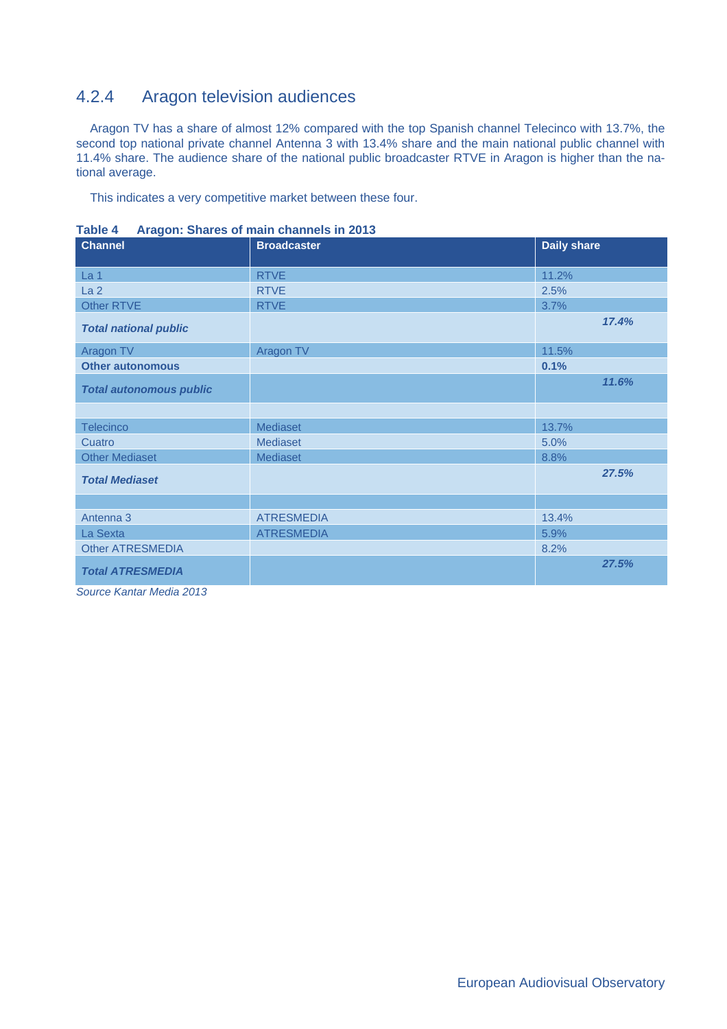# 4.2.4 Aragon television audiences

Aragon TV has a share of almost 12% compared with the top Spanish channel Telecinco with 13.7%, the second top national private channel Antenna 3 with 13.4% share and the main national public channel with 11.4% share. The audience share of the national public broadcaster RTVE in Aragon is higher than the national average.

This indicates a very competitive market between these four.

| <b>Channel</b>                 | <b>Broadcaster</b> | <b>Daily share</b> |
|--------------------------------|--------------------|--------------------|
| La <sub>1</sub>                | <b>RTVE</b>        | 11.2%              |
| La <sub>2</sub>                | <b>RTVE</b>        | 2.5%               |
| Other RTVE                     | <b>RTVE</b>        | 3.7%               |
| <b>Total national public</b>   |                    | 17.4%              |
| Aragon TV                      | Aragon TV          | 11.5%              |
| <b>Other autonomous</b>        |                    | 0.1%               |
| <b>Total autonomous public</b> |                    | 11.6%              |
|                                |                    |                    |
| <b>Telecinco</b>               | <b>Mediaset</b>    | 13.7%              |
| Cuatro                         | <b>Mediaset</b>    | 5.0%               |
| <b>Other Mediaset</b>          | Mediaset           | 8.8%               |
| <b>Total Mediaset</b>          |                    | 27.5%              |
|                                |                    |                    |
| Antenna 3                      | <b>ATRESMEDIA</b>  | 13.4%              |
| La Sexta                       | <b>ATRESMEDIA</b>  | 5.9%               |
| <b>Other ATRESMEDIA</b>        |                    | 8.2%               |
| <b>Total ATRESMEDIA</b>        |                    | 27.5%              |

**Table 4 Aragon: Shares of main channels in 2013**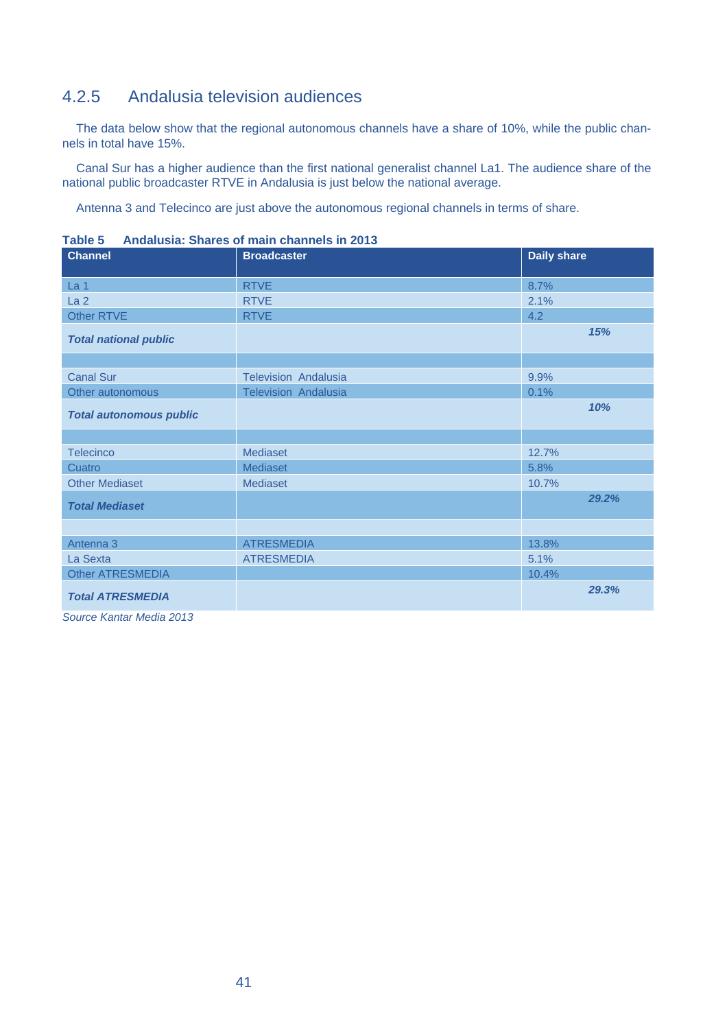# 4.2.5 Andalusia television audiences

The data below show that the regional autonomous channels have a share of 10%, while the public channels in total have 15%.

Canal Sur has a higher audience than the first national generalist channel La1. The audience share of the national public broadcaster RTVE in Andalusia is just below the national average.

Antenna 3 and Telecinco are just above the autonomous regional channels in terms of share.

| <b>Channel</b>                 | <b>Broadcaster</b>          | <b>Daily share</b> |
|--------------------------------|-----------------------------|--------------------|
| La <sub>1</sub>                | <b>RTVE</b>                 | 8.7%               |
| La <sub>2</sub>                | <b>RTVE</b>                 | 2.1%               |
| Other RTVE                     | <b>RTVE</b>                 | 4.2                |
| <b>Total national public</b>   |                             | 15%                |
|                                |                             |                    |
| <b>Canal Sur</b>               | <b>Television Andalusia</b> | 9.9%               |
| Other autonomous               | Television Andalusia        | 0.1%               |
| <b>Total autonomous public</b> |                             | 10%                |
|                                |                             |                    |
| <b>Telecinco</b>               | <b>Mediaset</b>             | 12.7%              |
| Cuatro                         | <b>Mediaset</b>             | 5.8%               |
| <b>Other Mediaset</b>          | Mediaset                    | 10.7%              |
| <b>Total Mediaset</b>          |                             | 29.2%              |
|                                |                             |                    |
| Antenna 3                      | <b>ATRESMEDIA</b>           | 13.8%              |
| La Sexta                       | <b>ATRESMEDIA</b>           | 5.1%               |
| <b>Other ATRESMEDIA</b>        |                             | 10.4%              |
| <b>Total ATRESMEDIA</b>        |                             | 29.3%              |

**Table 5 Andalusia: Shares of main channels in 2013**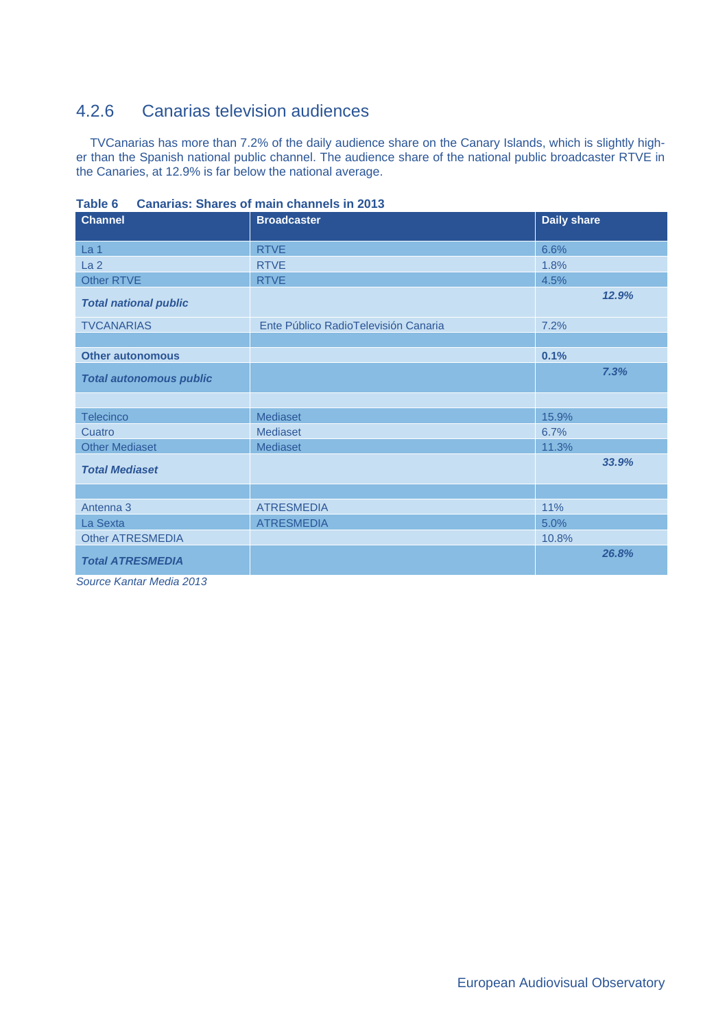# 4.2.6 Canarias television audiences

TVCanarias has more than 7.2% of the daily audience share on the Canary Islands, which is slightly higher than the Spanish national public channel. The audience share of the national public broadcaster RTVE in the Canaries, at 12.9% is far below the national average.

| <b>Channel</b>                 | <b>Broadcaster</b>                   | <b>Daily share</b> |
|--------------------------------|--------------------------------------|--------------------|
| La <sub>1</sub>                | <b>RTVE</b>                          | 6.6%               |
| La <sub>2</sub>                | <b>RTVE</b>                          | 1.8%               |
| Other RTVE                     | <b>RTVE</b>                          | 4.5%               |
| <b>Total national public</b>   |                                      | 12.9%              |
| <b>TVCANARIAS</b>              | Ente Público RadioTelevisión Canaria | 7.2%               |
|                                |                                      |                    |
| <b>Other autonomous</b>        |                                      | 0.1%               |
| <b>Total autonomous public</b> |                                      | 7.3%               |
|                                |                                      |                    |
| <b>Telecinco</b>               | Mediaset                             | 15.9%              |
| Cuatro                         | Mediaset                             | 6.7%               |
| <b>Other Mediaset</b>          | Mediaset                             | 11.3%              |
| <b>Total Mediaset</b>          |                                      | 33.9%              |
|                                |                                      |                    |
| Antenna 3                      | <b>ATRESMEDIA</b>                    | 11%                |
| La Sexta                       | <b>ATRESMEDIA</b>                    | 5.0%               |
| <b>Other ATRESMEDIA</b>        |                                      | 10.8%              |
| <b>Total ATRESMEDIA</b>        |                                      | 26.8%              |

**Table 6 Canarias: Shares of main channels in 2013**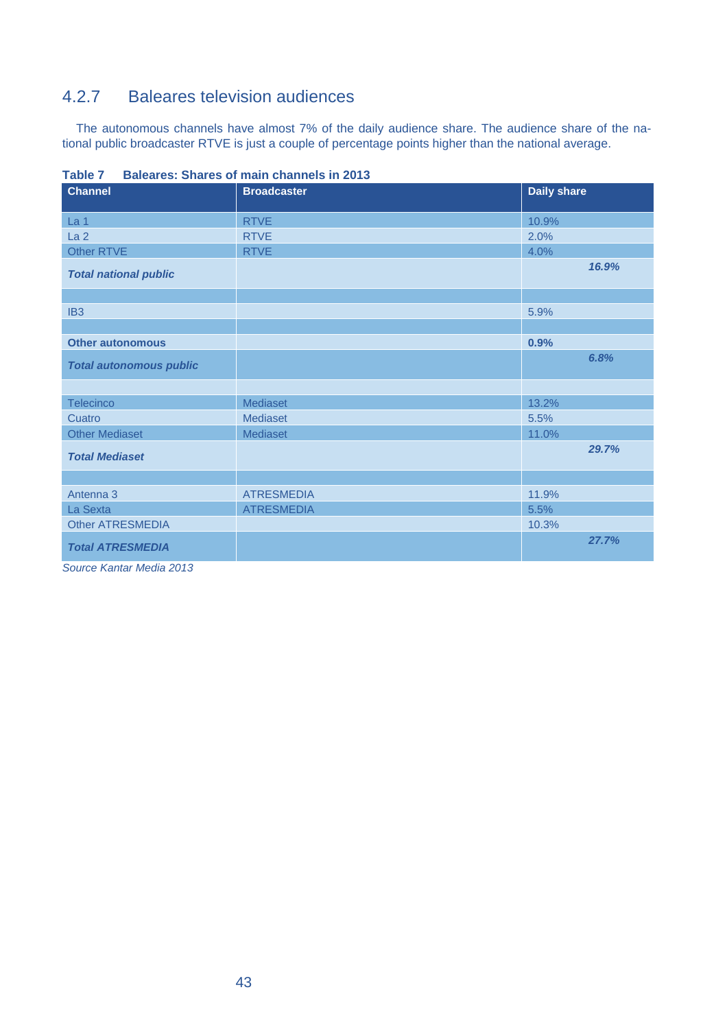# 4.2.7 Baleares television audiences

The autonomous channels have almost 7% of the daily audience share. The audience share of the national public broadcaster RTVE is just a couple of percentage points higher than the national average.

| <b>Channel</b>                 | <b>Broadcaster</b> | <b>Daily share</b> |
|--------------------------------|--------------------|--------------------|
| La 1                           | <b>RTVE</b>        | 10.9%              |
| La <sub>2</sub>                | <b>RTVE</b>        | 2.0%               |
| <b>Other RTVE</b>              | <b>RTVE</b>        | 4.0%               |
| <b>Total national public</b>   |                    | 16.9%              |
|                                |                    |                    |
| IB <sub>3</sub>                |                    | 5.9%               |
|                                |                    |                    |
| <b>Other autonomous</b>        |                    | 0.9%               |
| <b>Total autonomous public</b> |                    | 6.8%               |
|                                |                    |                    |
| Telecinco                      | Mediaset           | 13.2%              |
| Cuatro                         | Mediaset           | 5.5%               |
| <b>Other Mediaset</b>          | Mediaset           | 11.0%              |
| <b>Total Mediaset</b>          |                    | 29.7%              |
|                                |                    |                    |
| Antenna 3                      | <b>ATRESMEDIA</b>  | 11.9%              |
| La Sexta                       | <b>ATRESMEDIA</b>  | 5.5%               |
| <b>Other ATRESMEDIA</b>        |                    | 10.3%              |
| <b>Total ATRESMEDIA</b>        |                    | 27.7%              |

**Table 7 Baleares: Shares of main channels in 2013**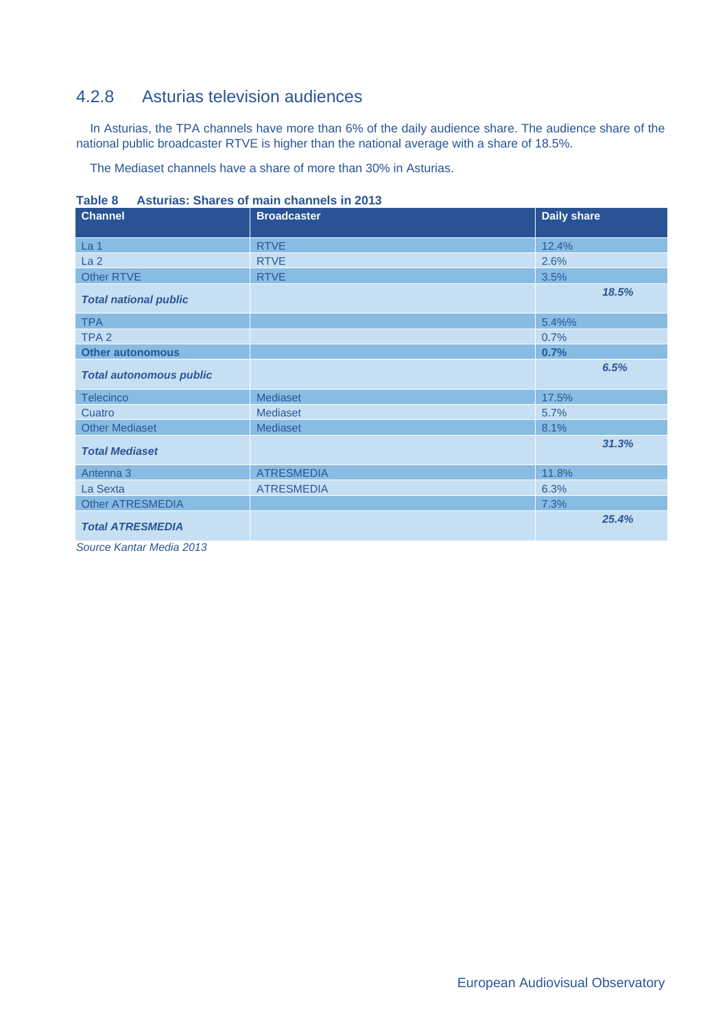# 4.2.8 Asturias television audiences

In Asturias, the TPA channels have more than 6% of the daily audience share. The audience share of the national public broadcaster RTVE is higher than the national average with a share of 18.5%.

The Mediaset channels have a share of more than 30% in Asturias.

| <b>Channel</b>                 | <b>Broadcaster</b> | <b>Daily share</b> |
|--------------------------------|--------------------|--------------------|
| La <sub>1</sub>                | <b>RTVE</b>        | 12.4%              |
| La <sub>2</sub>                | <b>RTVE</b>        | 2.6%               |
| <b>Other RTVE</b>              | <b>RTVE</b>        | 3.5%               |
| <b>Total national public</b>   |                    | 18.5%              |
| <b>TPA</b>                     |                    | 5.4%%              |
| TPA <sub>2</sub>               |                    | 0.7%               |
| <b>Other autonomous</b>        |                    | 0.7%               |
| <b>Total autonomous public</b> |                    | 6.5%               |
| Telecinco                      | <b>Mediaset</b>    | 17.5%              |
| Cuatro                         | Mediaset           | 5.7%               |
| <b>Other Mediaset</b>          | Mediaset           | 8.1%               |
| <b>Total Mediaset</b>          |                    | 31.3%              |
| Antenna 3                      | <b>ATRESMEDIA</b>  | 11.8%              |
| La Sexta                       | <b>ATRESMEDIA</b>  | 6.3%               |
| <b>Other ATRESMEDIA</b>        |                    | 7.3%               |
| <b>Total ATRESMEDIA</b>        |                    | 25.4%              |

**Table 8 Asturias: Shares of main channels in 2013**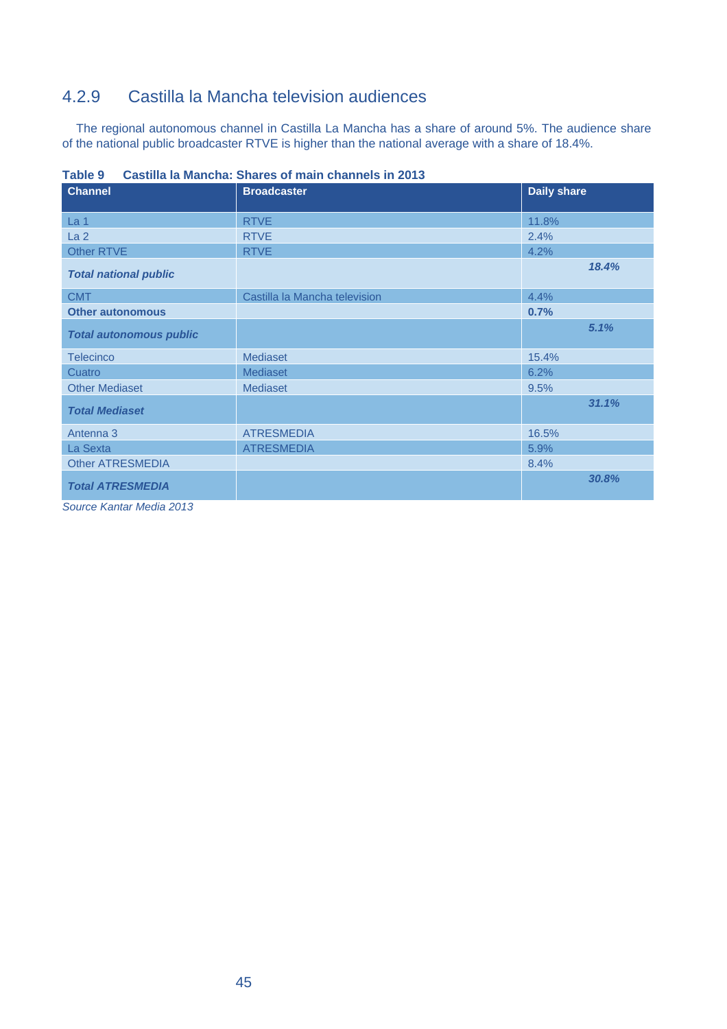# 4.2.9 Castilla la Mancha television audiences

The regional autonomous channel in Castilla La Mancha has a share of around 5%. The audience share of the national public broadcaster RTVE is higher than the national average with a share of 18.4%.

| <b>Channel</b>                 | <b>Broadcaster</b>            | <b>Daily share</b> |
|--------------------------------|-------------------------------|--------------------|
| La <sub>1</sub>                | <b>RTVE</b>                   | 11.8%              |
| La <sub>2</sub>                | <b>RTVE</b>                   | 2.4%               |
| <b>Other RTVE</b>              | <b>RTVE</b>                   | 4.2%               |
| <b>Total national public</b>   |                               | 18.4%              |
| <b>CMT</b>                     | Castilla la Mancha television | 4.4%               |
| <b>Other autonomous</b>        |                               | 0.7%               |
| <b>Total autonomous public</b> |                               | 5.1%               |
| <b>Telecinco</b>               | Mediaset                      | 15.4%              |
| Cuatro                         | <b>Mediaset</b>               | 6.2%               |
| <b>Other Mediaset</b>          | Mediaset                      | 9.5%               |
| <b>Total Mediaset</b>          |                               | 31.1%              |
| Antenna 3                      | <b>ATRESMEDIA</b>             | 16.5%              |
| La Sexta                       | <b>ATRESMEDIA</b>             | 5.9%               |
| <b>Other ATRESMEDIA</b>        |                               | 8.4%               |
| <b>Total ATRESMEDIA</b>        |                               | 30.8%              |
| Source Kantar Media 2013       |                               |                    |

**Table 9 Castilla la Mancha: Shares of main channels in 2013**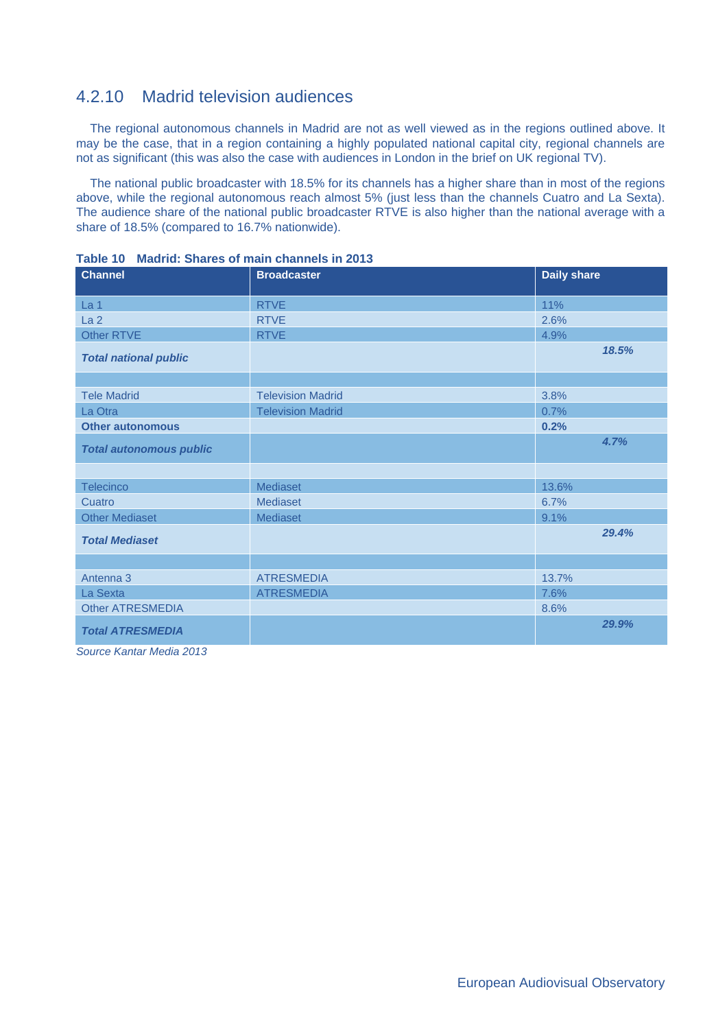# 4.2.10 Madrid television audiences

The regional autonomous channels in Madrid are not as well viewed as in the regions outlined above. It may be the case, that in a region containing a highly populated national capital city, regional channels are not as significant (this was also the case with audiences in London in the brief on UK regional TV).

The national public broadcaster with 18.5% for its channels has a higher share than in most of the regions above, while the regional autonomous reach almost 5% (just less than the channels Cuatro and La Sexta). The audience share of the national public broadcaster RTVE is also higher than the national average with a share of 18.5% (compared to 16.7% nationwide).

| <b>Channel</b>                 | <b>Broadcaster</b>       | <b>Daily share</b> |
|--------------------------------|--------------------------|--------------------|
| La 1                           | <b>RTVE</b>              | 11%                |
| La <sub>2</sub>                | <b>RTVE</b>              | 2.6%               |
| Other RTVE                     | <b>RTVE</b>              | 4.9%               |
| <b>Total national public</b>   |                          | 18.5%              |
|                                |                          |                    |
| <b>Tele Madrid</b>             | <b>Television Madrid</b> | 3.8%               |
| La Otra                        | <b>Television Madrid</b> | 0.7%               |
| <b>Other autonomous</b>        |                          | 0.2%               |
| <b>Total autonomous public</b> |                          | 4.7%               |
|                                |                          |                    |
| Telecinco                      | Mediaset                 | 13.6%              |
| Cuatro                         | <b>Mediaset</b>          | 6.7%               |
| <b>Other Mediaset</b>          | Mediaset                 | 9.1%               |
| <b>Total Mediaset</b>          |                          | 29.4%              |
|                                |                          |                    |
| Antenna 3                      | <b>ATRESMEDIA</b>        | 13.7%              |
| La Sexta                       | <b>ATRESMEDIA</b>        | 7.6%               |
| <b>Other ATRESMEDIA</b>        |                          | 8.6%               |
| <b>Total ATRESMEDIA</b>        |                          | 29.9%              |

**Table 10 Madrid: Shares of main channels in 2013**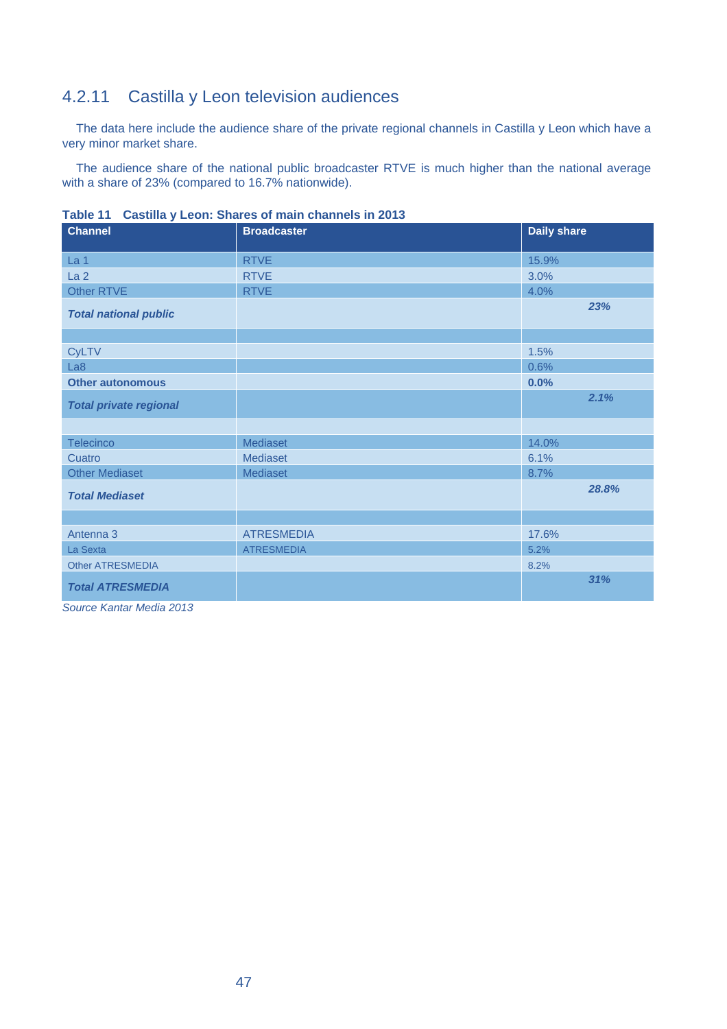# 4.2.11 Castilla y Leon television audiences

The data here include the audience share of the private regional channels in Castilla y Leon which have a very minor market share.

The audience share of the national public broadcaster RTVE is much higher than the national average with a share of 23% (compared to 16.7% nationwide).

| <b>Channel</b>                | <b>Broadcaster</b> | <b>Daily share</b> |
|-------------------------------|--------------------|--------------------|
| La <sub>1</sub>               | <b>RTVE</b>        | 15.9%              |
| La <sub>2</sub>               | <b>RTVE</b>        | 3.0%               |
| <b>Other RTVE</b>             | <b>RTVE</b>        | 4.0%               |
| <b>Total national public</b>  |                    | 23%                |
|                               |                    |                    |
| <b>CyLTV</b>                  |                    | 1.5%               |
| La8                           |                    | 0.6%               |
| <b>Other autonomous</b>       |                    | 0.0%               |
| <b>Total private regional</b> |                    | 2.1%               |
|                               |                    |                    |
| Telecinco                     | Mediaset           | 14.0%              |
| Cuatro                        | Mediaset           | 6.1%               |
| <b>Other Mediaset</b>         | Mediaset           | 8.7%               |
| <b>Total Mediaset</b>         |                    | 28.8%              |
|                               |                    |                    |
| Antenna 3                     | <b>ATRESMEDIA</b>  | 17.6%              |
| La Sexta                      | <b>ATRESMEDIA</b>  | 5.2%               |
| <b>Other ATRESMEDIA</b>       |                    | 8.2%               |
| <b>Total ATRESMEDIA</b>       |                    | 31%                |

**Table 11 Castilla y Leon: Shares of main channels in 2013**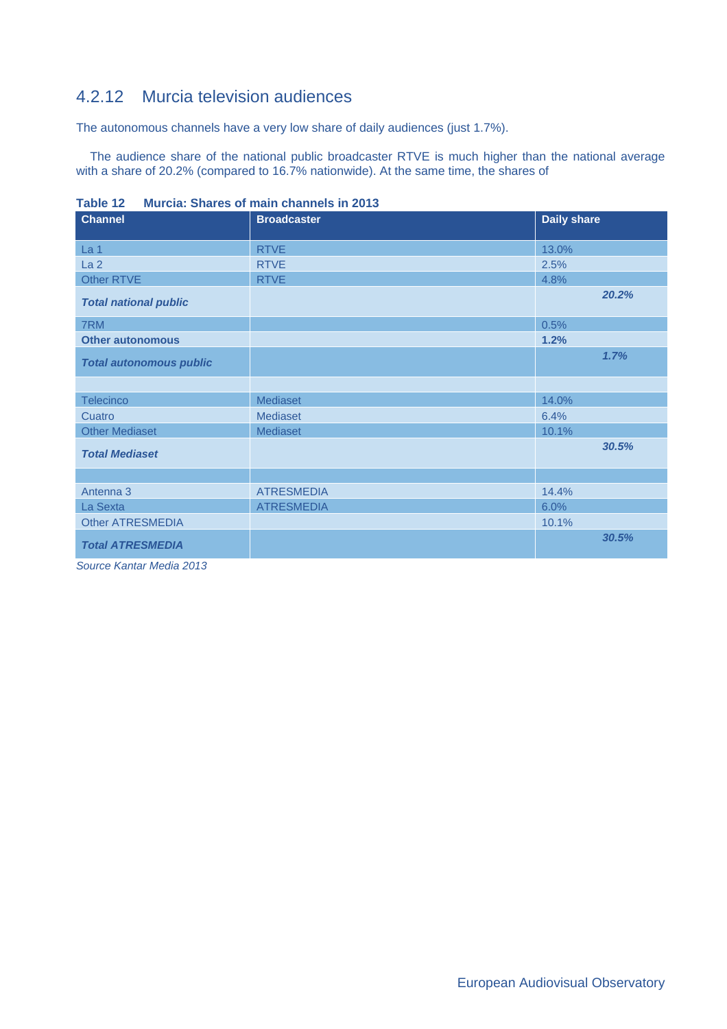# 4.2.12 Murcia television audiences

The autonomous channels have a very low share of daily audiences (just 1.7%).

The audience share of the national public broadcaster RTVE is much higher than the national average with a share of 20.2% (compared to 16.7% nationwide). At the same time, the shares of

| $I$ and $I$<br><b>Channel</b>  | <b>Murcia. Onares Or main channels in ZVTJ</b><br><b>Broadcaster</b> | <b>Daily share</b> |
|--------------------------------|----------------------------------------------------------------------|--------------------|
|                                |                                                                      |                    |
| La 1                           | <b>RTVE</b>                                                          | 13.0%              |
| La <sub>2</sub>                | <b>RTVE</b>                                                          | 2.5%               |
| Other RTVE                     | <b>RTVE</b>                                                          | 4.8%               |
| <b>Total national public</b>   |                                                                      | 20.2%              |
| 7RM                            |                                                                      | 0.5%               |
| <b>Other autonomous</b>        |                                                                      | 1.2%               |
| <b>Total autonomous public</b> |                                                                      | 1.7%               |
|                                |                                                                      |                    |
| <b>Telecinco</b>               | <b>Mediaset</b>                                                      | 14.0%              |
| Cuatro                         | Mediaset                                                             | 6.4%               |
| <b>Other Mediaset</b>          | Mediaset                                                             | 10.1%              |
| <b>Total Mediaset</b>          |                                                                      | 30.5%              |
|                                |                                                                      |                    |
| Antenna 3                      | <b>ATRESMEDIA</b>                                                    | 14.4%              |
| La Sexta                       | <b>ATRESMEDIA</b>                                                    | 6.0%               |
| <b>Other ATRESMEDIA</b>        |                                                                      | 10.1%              |
| <b>Total ATRESMEDIA</b>        |                                                                      | 30.5%              |

**Table 12 Murcia: Shares of main channels in 2013**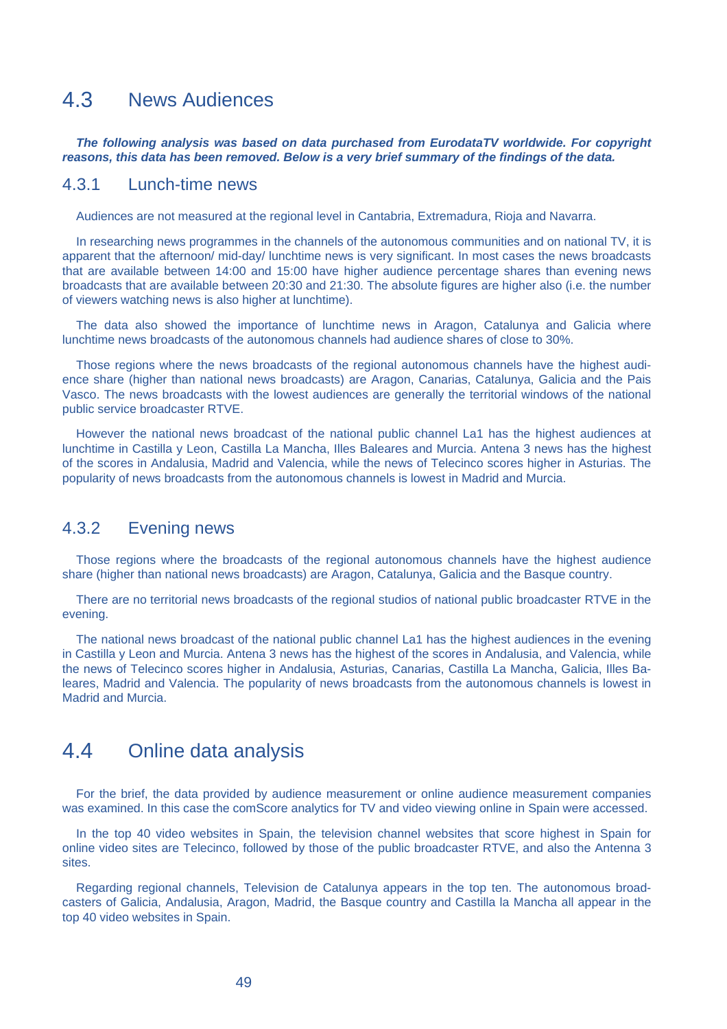# 4.3 News Audiences

*The following analysis was based on data purchased from EurodataTV worldwide. For copyright reasons, this data has been removed. Below is a very brief summary of the findings of the data.* 

#### 4.3.1 Lunch-time news

Audiences are not measured at the regional level in Cantabria, Extremadura, Rioja and Navarra.

In researching news programmes in the channels of the autonomous communities and on national TV, it is apparent that the afternoon/ mid-day/ lunchtime news is very significant. In most cases the news broadcasts that are available between 14:00 and 15:00 have higher audience percentage shares than evening news broadcasts that are available between 20:30 and 21:30. The absolute figures are higher also (i.e. the number of viewers watching news is also higher at lunchtime).

The data also showed the importance of lunchtime news in Aragon, Catalunya and Galicia where lunchtime news broadcasts of the autonomous channels had audience shares of close to 30%.

Those regions where the news broadcasts of the regional autonomous channels have the highest audience share (higher than national news broadcasts) are Aragon, Canarias, Catalunya, Galicia and the Pais Vasco. The news broadcasts with the lowest audiences are generally the territorial windows of the national public service broadcaster RTVE.

However the national news broadcast of the national public channel La1 has the highest audiences at lunchtime in Castilla y Leon, Castilla La Mancha, Illes Baleares and Murcia. Antena 3 news has the highest of the scores in Andalusia, Madrid and Valencia, while the news of Telecinco scores higher in Asturias. The popularity of news broadcasts from the autonomous channels is lowest in Madrid and Murcia.

#### 4.3.2 Evening news

Those regions where the broadcasts of the regional autonomous channels have the highest audience share (higher than national news broadcasts) are Aragon, Catalunya, Galicia and the Basque country.

There are no territorial news broadcasts of the regional studios of national public broadcaster RTVE in the evening.

The national news broadcast of the national public channel La1 has the highest audiences in the evening in Castilla y Leon and Murcia. Antena 3 news has the highest of the scores in Andalusia, and Valencia, while the news of Telecinco scores higher in Andalusia, Asturias, Canarias, Castilla La Mancha, Galicia, Illes Baleares, Madrid and Valencia. The popularity of news broadcasts from the autonomous channels is lowest in Madrid and Murcia.

# 4.4 Online data analysis

For the brief, the data provided by audience measurement or online audience measurement companies was examined. In this case the comScore analytics for TV and video viewing online in Spain were accessed.

In the top 40 video websites in Spain, the television channel websites that score highest in Spain for online video sites are Telecinco, followed by those of the public broadcaster RTVE, and also the Antenna 3 sites.

Regarding regional channels, Television de Catalunya appears in the top ten. The autonomous broadcasters of Galicia, Andalusia, Aragon, Madrid, the Basque country and Castilla la Mancha all appear in the top 40 video websites in Spain.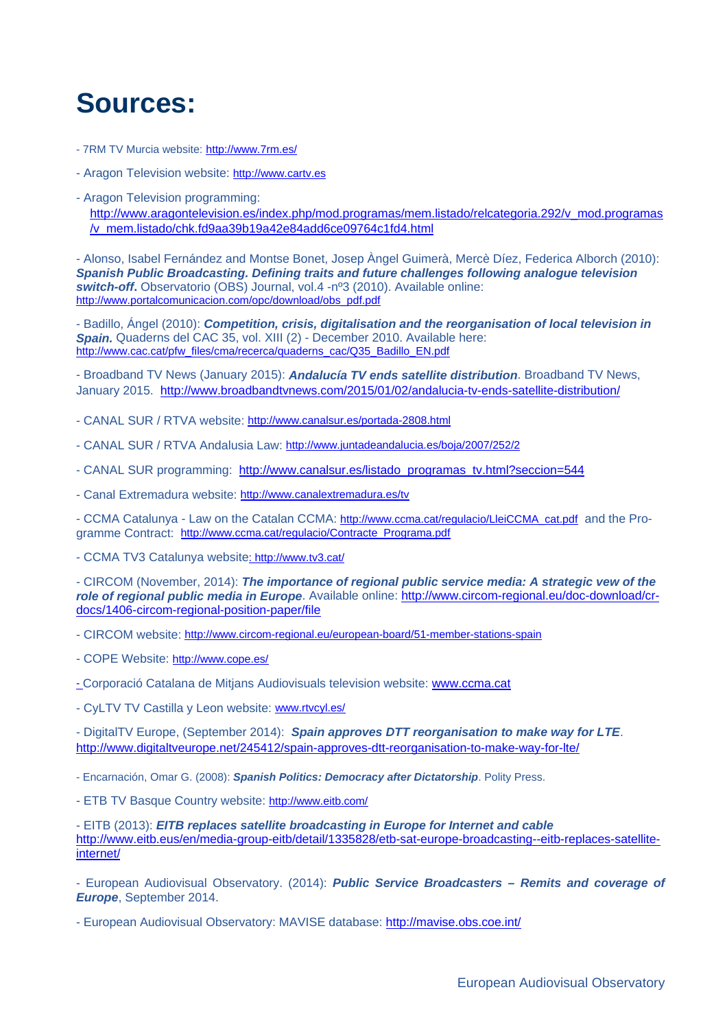# **Sources:**

- 7RM TV Murcia website: http://www.7rm.es/
- Aragon Television website: http://www.cartv.es
- Aragon Television programming: http://www.aragontelevision.es/index.php/mod.programas/mem.listado/relcategoria.292/v\_mod.programas /v\_mem.listado/chk.fd9aa39b19a42e84add6ce09764c1fd4.html

- Alonso, Isabel Fernández and Montse Bonet, Josep Àngel Guimerà, Mercè Díez, Federica Alborch (2010): *Spanish Public Broadcasting. Defining traits and future challenges following analogue television switch-off***.** Observatorio (OBS) Journal, vol.4 -nº3 (2010). Available online: http://www.portalcomunicacion.com/opc/download/obs\_pdf.pdf

- Badillo, Ángel (2010): *Competition, crisis, digitalisation and the reorganisation of local television in Spain.* Quaderns del CAC 35, vol. XIII (2) - December 2010. Available here: http://www.cac.cat/pfw\_files/cma/recerca/quaderns\_cac/Q35\_Badillo\_EN.pdf

- Broadband TV News (January 2015): *Andalucía TV ends satellite distribution*. Broadband TV News, January 2015. http://www.broadbandtvnews.com/2015/01/02/andalucia-tv-ends-satellite-distribution/

- CANAL SUR / RTVA website: http://www.canalsur.es/portada-2808.html
- CANAL SUR / RTVA Andalusia Law: http://www.juntadeandalucia.es/boja/2007/252/2
- CANAL SUR programming: http://www.canalsur.es/listado\_programas\_tv.html?seccion=544
- Canal Extremadura website: http://www.canalextremadura.es/tv

- CCMA Catalunya - Law on the Catalan CCMA: http://www.ccma.cat/regulacio/LleiCCMA\_cat.pdf and the Programme Contract: http://www.ccma.cat/regulacio/Contracte\_Programa.pdf

- CCMA TV3 Catalunya website: http://www.tv3.cat/

- CIRCOM (November, 2014): *The importance of regional public service media: A strategic vew of the role of regional public media in Europe*. Available online: http://www.circom-regional.eu/doc-download/crdocs/1406-circom-regional-position-paper/file

- CIRCOM website: http://www.circom-regional.eu/european-board/51-member-stations-spain

- COPE Website: http://www.cope.es/
- Corporació Catalana de Mitjans Audiovisuals television website: www.ccma.cat
- CyLTV TV Castilla y Leon website: www.rtvcyl.es/

- DigitalTV Europe, (September 2014): *Spain approves DTT reorganisation to make way for LTE*. http://www.digitaltveurope.net/245412/spain-approves-dtt-reorganisation-to-make-way-for-lte/

- Encarnación, Omar G. (2008): *Spanish Politics: Democracy after Dictatorship*. Polity Press.

- ETB TV Basque Country website: http://www.eitb.com/

- EITB (2013): *EITB replaces satellite broadcasting in Europe for Internet and cable* http://www.eitb.eus/en/media-group-eitb/detail/1335828/etb-sat-europe-broadcasting--eitb-replaces-satelliteinternet/

- European Audiovisual Observatory. (2014): *Public Service Broadcasters – Remits and coverage of Europe*, September 2014.

- European Audiovisual Observatory: MAVISE database: http://mavise.obs.coe.int/